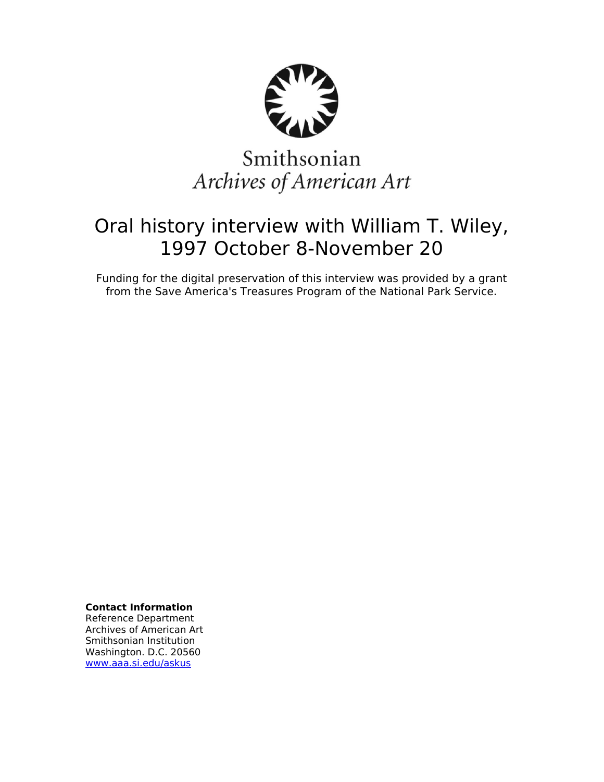

# Smithsonian Archives of American Art

# Oral history interview with William T. Wiley, 1997 October 8-November 20

Funding for the digital preservation of this interview was provided by a grant from the Save America's Treasures Program of the National Park Service.

**Contact Information**

Reference Department Archives of American Art Smithsonian Institution Washington. D.C. 20560 [www.aaa.si.edu/askus](http://www.aaa.si.edu/askus)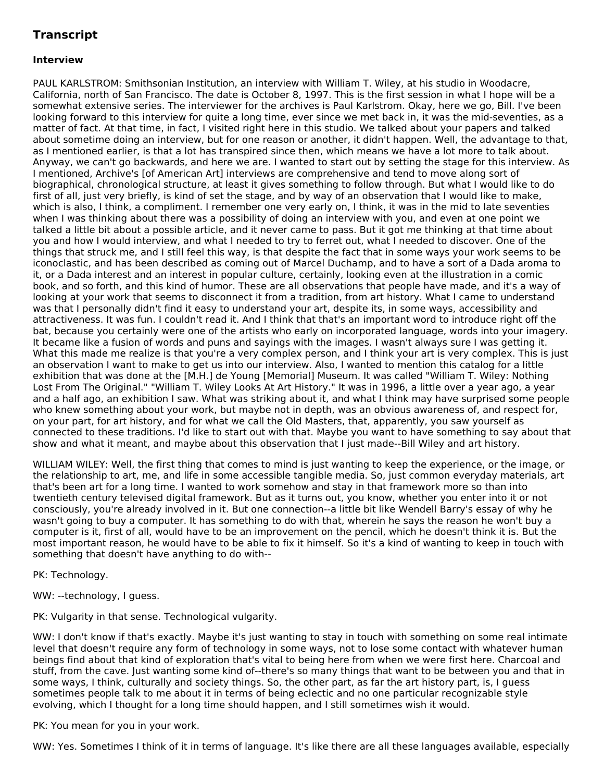# **Transcript**

# **Interview**

PAUL KARLSTROM: Smithsonian Institution, an interview with William T. Wiley, at his studio in Woodacre, California, north of San Francisco. The date is October 8, 1997. This is the first session in what I hope will be a somewhat extensive series. The interviewer for the archives is Paul Karlstrom. Okay, here we go, Bill. I've been looking forward to this interview for quite a long time, ever since we met back in, it was the mid-seventies, as a matter of fact. At that time, in fact, I visited right here in this studio. We talked about your papers and talked about sometime doing an interview, but for one reason or another, it didn't happen. Well, the advantage to that, as I mentioned earlier, is that a lot has transpired since then, which means we have a lot more to talk about. Anyway, we can't go backwards, and here we are. I wanted to start out by setting the stage for this interview. As I mentioned, Archive's [of American Art] interviews are comprehensive and tend to move along sort of biographical, chronological structure, at least it gives something to follow through. But what I would like to do first of all, just very briefly, is kind of set the stage, and by way of an observation that I would like to make, which is also, I think, a compliment. I remember one very early on, I think, it was in the mid to late seventies when I was thinking about there was a possibility of doing an interview with you, and even at one point we talked a little bit about a possible article, and it never came to pass. But it got me thinking at that time about you and how I would interview, and what I needed to try to ferret out, what I needed to discover. One of the things that struck me, and I still feel this way, is that despite the fact that in some ways your work seems to be iconoclastic, and has been described as coming out of Marcel Duchamp, and to have a sort of a Dada aroma to it, or a Dada interest and an interest in popular culture, certainly, looking even at the illustration in a comic book, and so forth, and this kind of humor. These are all observations that people have made, and it's a way of looking at your work that seems to disconnect it from a tradition, from art history. What I came to understand was that I personally didn't find it easy to understand your art, despite its, in some ways, accessibility and attractiveness. It was fun. I couldn't read it. And I think that that's an important word to introduce right off the bat, because you certainly were one of the artists who early on incorporated language, words into your imagery. It became like a fusion of words and puns and sayings with the images. I wasn't always sure I was getting it. What this made me realize is that you're a very complex person, and I think your art is very complex. This is just an observation I want to make to get us into our interview. Also, I wanted to mention this catalog for a little exhibition that was done at the [M.H.] de Young [Memorial] Museum. It was called "William T. Wiley: Nothing Lost From The Original." "William T. Wiley Looks At Art History." It was in 1996, a little over a year ago, a year and a half ago, an exhibition I saw. What was striking about it, and what I think may have surprised some people who knew something about your work, but maybe not in depth, was an obvious awareness of, and respect for, on your part, for art history, and for what we call the Old Masters, that, apparently, you saw yourself as connected to these traditions. I'd like to start out with that. Maybe you want to have something to say about that show and what it meant, and maybe about this observation that I just made--Bill Wiley and art history.

WILLIAM WILEY: Well, the first thing that comes to mind is just wanting to keep the experience, or the image, or the relationship to art, me, and life in some accessible tangible media. So, just common everyday materials, art that's been art for a long time. I wanted to work somehow and stay in that framework more so than into twentieth century televised digital framework. But as it turns out, you know, whether you enter into it or not consciously, you're already involved in it. But one connection--a little bit like Wendell Barry's essay of why he wasn't going to buy a computer. It has something to do with that, wherein he says the reason he won't buy a computer is it, first of all, would have to be an improvement on the pencil, which he doesn't think it is. But the most important reason, he would have to be able to fix it himself. So it's a kind of wanting to keep in touch with something that doesn't have anything to do with--

PK: Technology.

WW: --technology, I guess.

PK: Vulgarity in that sense. Technological vulgarity.

WW: I don't know if that's exactly. Maybe it's just wanting to stay in touch with something on some real intimate level that doesn't require any form of technology in some ways, not to lose some contact with whatever human beings find about that kind of exploration that's vital to being here from when we were first here. Charcoal and stuff, from the cave. Just wanting some kind of--there's so many things that want to be between you and that in some ways, I think, culturally and society things. So, the other part, as far the art history part, is, I guess sometimes people talk to me about it in terms of being eclectic and no one particular recognizable style evolving, which I thought for a long time should happen, and I still sometimes wish it would.

PK: You mean for you in your work.

WW: Yes. Sometimes I think of it in terms of language. It's like there are all these languages available, especially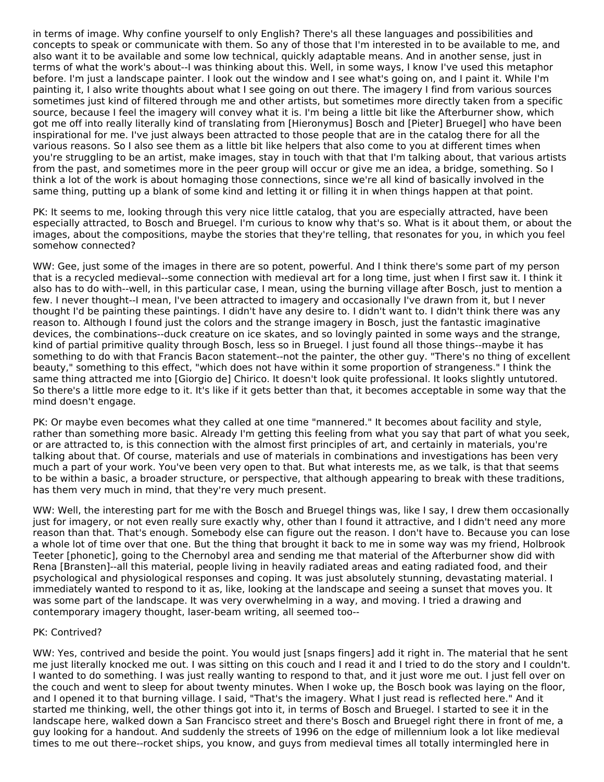in terms of image. Why confine yourself to only English? There's all these languages and possibilities and concepts to speak or communicate with them. So any of those that I'm interested in to be available to me, and also want it to be available and some low technical, quickly adaptable means. And in another sense, just in terms of what the work's about--I was thinking about this. Well, in some ways, I know I've used this metaphor before. I'm just a landscape painter. I look out the window and I see what's going on, and I paint it. While I'm painting it, I also write thoughts about what I see going on out there. The imagery I find from various sources sometimes just kind of filtered through me and other artists, but sometimes more directly taken from a specific source, because I feel the imagery will convey what it is. I'm being a little bit like the Afterburner show, which got me off into really literally kind of translating from [Hieronymus] Bosch and [Pieter] Bruegel] who have been inspirational for me. I've just always been attracted to those people that are in the catalog there for all the various reasons. So I also see them as a little bit like helpers that also come to you at different times when you're struggling to be an artist, make images, stay in touch with that that I'm talking about, that various artists from the past, and sometimes more in the peer group will occur or give me an idea, a bridge, something. So I think a lot of the work is about homaging those connections, since we're all kind of basically involved in the same thing, putting up a blank of some kind and letting it or filling it in when things happen at that point.

PK: It seems to me, looking through this very nice little catalog, that you are especially attracted, have been especially attracted, to Bosch and Bruegel. I'm curious to know why that's so. What is it about them, or about the images, about the compositions, maybe the stories that they're telling, that resonates for you, in which you feel somehow connected?

WW: Gee, just some of the images in there are so potent, powerful. And I think there's some part of my person that is a recycled medieval--some connection with medieval art for a long time, just when I first saw it. I think it also has to do with--well, in this particular case, I mean, using the burning village after Bosch, just to mention a few. I never thought--I mean, I've been attracted to imagery and occasionally I've drawn from it, but I never thought I'd be painting these paintings. I didn't have any desire to. I didn't want to. I didn't think there was any reason to. Although I found just the colors and the strange imagery in Bosch, just the fantastic imaginative devices, the combinations--duck creature on ice skates, and so lovingly painted in some ways and the strange, kind of partial primitive quality through Bosch, less so in Bruegel. I just found all those things--maybe it has something to do with that Francis Bacon statement--not the painter, the other guy. "There's no thing of excellent beauty," something to this effect, "which does not have within it some proportion of strangeness." I think the same thing attracted me into [Giorgio de] Chirico. It doesn't look quite professional. It looks slightly untutored. So there's a little more edge to it. It's like if it gets better than that, it becomes acceptable in some way that the mind doesn't engage.

PK: Or maybe even becomes what they called at one time "mannered." It becomes about facility and style, rather than something more basic. Already I'm getting this feeling from what you say that part of what you seek, or are attracted to, is this connection with the almost first principles of art, and certainly in materials, you're talking about that. Of course, materials and use of materials in combinations and investigations has been very much a part of your work. You've been very open to that. But what interests me, as we talk, is that that seems to be within a basic, a broader structure, or perspective, that although appearing to break with these traditions, has them very much in mind, that they're very much present.

WW: Well, the interesting part for me with the Bosch and Bruegel things was, like I say, I drew them occasionally just for imagery, or not even really sure exactly why, other than I found it attractive, and I didn't need any more reason than that. That's enough. Somebody else can figure out the reason. I don't have to. Because you can lose a whole lot of time over that one. But the thing that brought it back to me in some way was my friend, Holbrook Teeter [phonetic], going to the Chernobyl area and sending me that material of the Afterburner show did with Rena [Bransten]--all this material, people living in heavily radiated areas and eating radiated food, and their psychological and physiological responses and coping. It was just absolutely stunning, devastating material. I immediately wanted to respond to it as, like, looking at the landscape and seeing a sunset that moves you. It was some part of the landscape. It was very overwhelming in a way, and moving. I tried a drawing and contemporary imagery thought, laser-beam writing, all seemed too--

#### PK: Contrived?

WW: Yes, contrived and beside the point. You would just [snaps fingers] add it right in. The material that he sent me just literally knocked me out. I was sitting on this couch and I read it and I tried to do the story and I couldn't. I wanted to do something. I was just really wanting to respond to that, and it just wore me out. I just fell over on the couch and went to sleep for about twenty minutes. When I woke up, the Bosch book was laying on the floor, and I opened it to that burning village. I said, "That's the imagery. What I just read is reflected here." And it started me thinking, well, the other things got into it, in terms of Bosch and Bruegel. I started to see it in the landscape here, walked down a San Francisco street and there's Bosch and Bruegel right there in front of me, a guy looking for a handout. And suddenly the streets of 1996 on the edge of millennium look a lot like medieval times to me out there--rocket ships, you know, and guys from medieval times all totally intermingled here in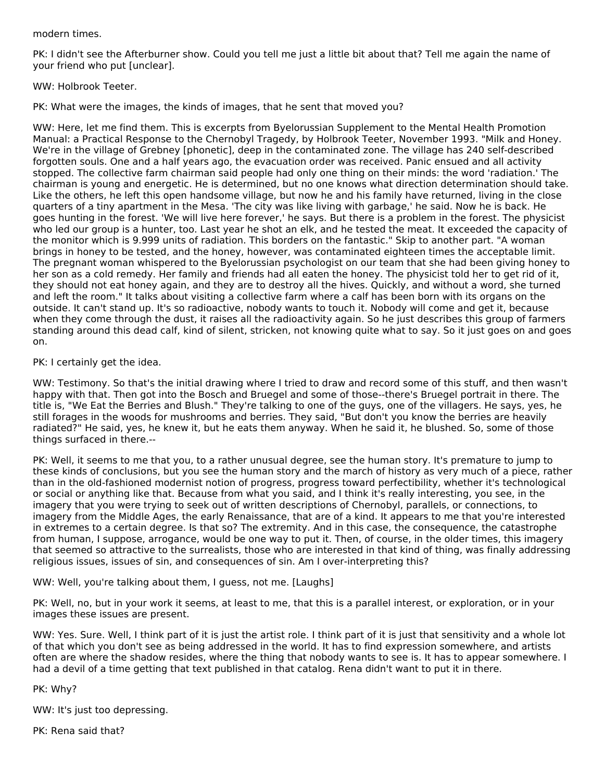#### modern times.

PK: I didn't see the Afterburner show. Could you tell me just a little bit about that? Tell me again the name of your friend who put [unclear].

WW: Holbrook Teeter.

PK: What were the images, the kinds of images, that he sent that moved you?

WW: Here, let me find them. This is excerpts from Byelorussian Supplement to the Mental Health Promotion Manual: a Practical Response to the Chernobyl Tragedy, by Holbrook Teeter, November 1993. "Milk and Honey. We're in the village of Grebney [phonetic], deep in the contaminated zone. The village has 240 self-described forgotten souls. One and a half years ago, the evacuation order was received. Panic ensued and all activity stopped. The collective farm chairman said people had only one thing on their minds: the word 'radiation.' The chairman is young and energetic. He is determined, but no one knows what direction determination should take. Like the others, he left this open handsome village, but now he and his family have returned, living in the close quarters of a tiny apartment in the Mesa. 'The city was like living with garbage,' he said. Now he is back. He goes hunting in the forest. 'We will live here forever,' he says. But there is a problem in the forest. The physicist who led our group is a hunter, too. Last year he shot an elk, and he tested the meat. It exceeded the capacity of the monitor which is 9.999 units of radiation. This borders on the fantastic." Skip to another part. "A woman brings in honey to be tested, and the honey, however, was contaminated eighteen times the acceptable limit. The pregnant woman whispered to the Byelorussian psychologist on our team that she had been giving honey to her son as a cold remedy. Her family and friends had all eaten the honey. The physicist told her to get rid of it, they should not eat honey again, and they are to destroy all the hives. Quickly, and without a word, she turned and left the room." It talks about visiting a collective farm where a calf has been born with its organs on the outside. It can't stand up. It's so radioactive, nobody wants to touch it. Nobody will come and get it, because when they come through the dust, it raises all the radioactivity again. So he just describes this group of farmers standing around this dead calf, kind of silent, stricken, not knowing quite what to say. So it just goes on and goes on.

# PK: I certainly get the idea.

WW: Testimony. So that's the initial drawing where I tried to draw and record some of this stuff, and then wasn't happy with that. Then got into the Bosch and Bruegel and some of those--there's Bruegel portrait in there. The title is, "We Eat the Berries and Blush." They're talking to one of the guys, one of the villagers. He says, yes, he still forages in the woods for mushrooms and berries. They said, "But don't you know the berries are heavily radiated?" He said, yes, he knew it, but he eats them anyway. When he said it, he blushed. So, some of those things surfaced in there.--

PK: Well, it seems to me that you, to a rather unusual degree, see the human story. It's premature to jump to these kinds of conclusions, but you see the human story and the march of history as very much of a piece, rather than in the old-fashioned modernist notion of progress, progress toward perfectibility, whether it's technological or social or anything like that. Because from what you said, and I think it's really interesting, you see, in the imagery that you were trying to seek out of written descriptions of Chernobyl, parallels, or connections, to imagery from the Middle Ages, the early Renaissance, that are of a kind. It appears to me that you're interested in extremes to a certain degree. Is that so? The extremity. And in this case, the consequence, the catastrophe from human, I suppose, arrogance, would be one way to put it. Then, of course, in the older times, this imagery that seemed so attractive to the surrealists, those who are interested in that kind of thing, was finally addressing religious issues, issues of sin, and consequences of sin. Am I over-interpreting this?

#### WW: Well, you're talking about them, I guess, not me. [Laughs]

PK: Well, no, but in your work it seems, at least to me, that this is a parallel interest, or exploration, or in your images these issues are present.

WW: Yes. Sure. Well, I think part of it is just the artist role. I think part of it is just that sensitivity and a whole lot of that which you don't see as being addressed in the world. It has to find expression somewhere, and artists often are where the shadow resides, where the thing that nobody wants to see is. It has to appear somewhere. I had a devil of a time getting that text published in that catalog. Rena didn't want to put it in there.

PK: Why?

WW: It's just too depressing.

PK: Rena said that?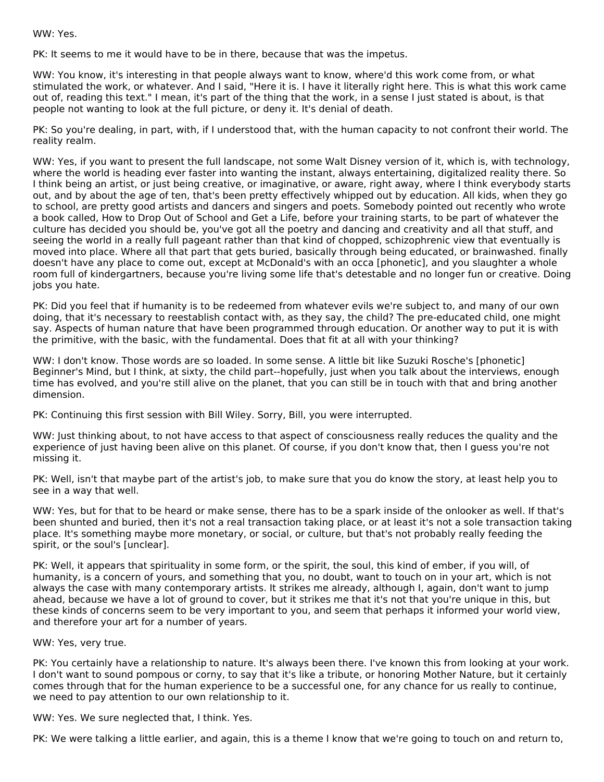WW: Yes.

PK: It seems to me it would have to be in there, because that was the impetus.

WW: You know, it's interesting in that people always want to know, where'd this work come from, or what stimulated the work, or whatever. And I said, "Here it is. I have it literally right here. This is what this work came out of, reading this text." I mean, it's part of the thing that the work, in a sense I just stated is about, is that people not wanting to look at the full picture, or deny it. It's denial of death.

PK: So you're dealing, in part, with, if I understood that, with the human capacity to not confront their world. The reality realm.

WW: Yes, if you want to present the full landscape, not some Walt Disney version of it, which is, with technology, where the world is heading ever faster into wanting the instant, always entertaining, digitalized reality there. So I think being an artist, or just being creative, or imaginative, or aware, right away, where I think everybody starts out, and by about the age of ten, that's been pretty effectively whipped out by education. All kids, when they go to school, are pretty good artists and dancers and singers and poets. Somebody pointed out recently who wrote a book called, How to Drop Out of School and Get a Life, before your training starts, to be part of whatever the culture has decided you should be, you've got all the poetry and dancing and creativity and all that stuff, and seeing the world in a really full pageant rather than that kind of chopped, schizophrenic view that eventually is moved into place. Where all that part that gets buried, basically through being educated, or brainwashed. finally doesn't have any place to come out, except at McDonald's with an occa [phonetic], and you slaughter a whole room full of kindergartners, because you're living some life that's detestable and no longer fun or creative. Doing jobs you hate.

PK: Did you feel that if humanity is to be redeemed from whatever evils we're subject to, and many of our own doing, that it's necessary to reestablish contact with, as they say, the child? The pre-educated child, one might say. Aspects of human nature that have been programmed through education. Or another way to put it is with the primitive, with the basic, with the fundamental. Does that fit at all with your thinking?

WW: I don't know. Those words are so loaded. In some sense. A little bit like Suzuki Rosche's [phonetic] Beginner's Mind, but I think, at sixty, the child part--hopefully, just when you talk about the interviews, enough time has evolved, and you're still alive on the planet, that you can still be in touch with that and bring another dimension.

PK: Continuing this first session with Bill Wiley. Sorry, Bill, you were interrupted.

WW: Just thinking about, to not have access to that aspect of consciousness really reduces the quality and the experience of just having been alive on this planet. Of course, if you don't know that, then I guess you're not missing it.

PK: Well, isn't that maybe part of the artist's job, to make sure that you do know the story, at least help you to see in a way that well.

WW: Yes, but for that to be heard or make sense, there has to be a spark inside of the onlooker as well. If that's been shunted and buried, then it's not a real transaction taking place, or at least it's not a sole transaction taking place. It's something maybe more monetary, or social, or culture, but that's not probably really feeding the spirit, or the soul's [unclear].

PK: Well, it appears that spirituality in some form, or the spirit, the soul, this kind of ember, if you will, of humanity, is a concern of yours, and something that you, no doubt, want to touch on in your art, which is not always the case with many contemporary artists. It strikes me already, although I, again, don't want to jump ahead, because we have a lot of ground to cover, but it strikes me that it's not that you're unique in this, but these kinds of concerns seem to be very important to you, and seem that perhaps it informed your world view, and therefore your art for a number of years.

#### WW: Yes, very true.

PK: You certainly have a relationship to nature. It's always been there. I've known this from looking at your work. I don't want to sound pompous or corny, to say that it's like a tribute, or honoring Mother Nature, but it certainly comes through that for the human experience to be a successful one, for any chance for us really to continue, we need to pay attention to our own relationship to it.

WW: Yes. We sure neglected that, I think. Yes.

PK: We were talking a little earlier, and again, this is a theme I know that we're going to touch on and return to,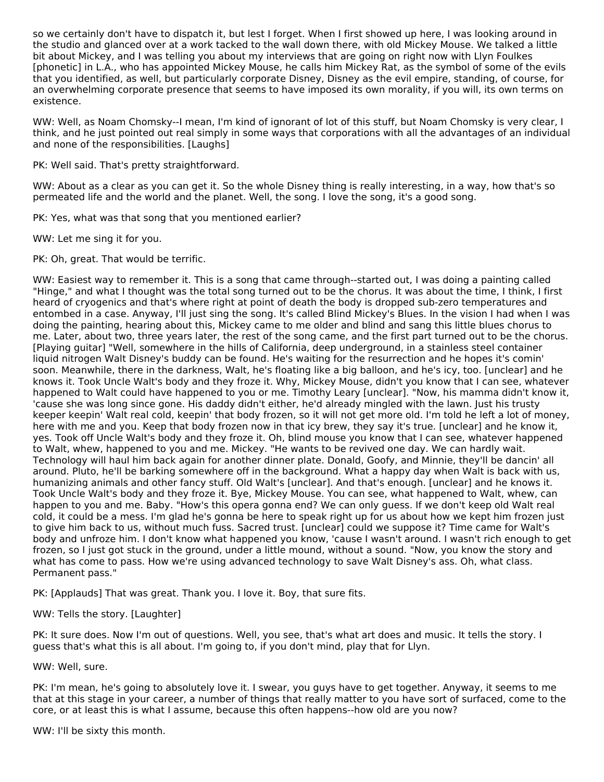so we certainly don't have to dispatch it, but lest I forget. When I first showed up here, I was looking around in the studio and glanced over at a work tacked to the wall down there, with old Mickey Mouse. We talked a little bit about Mickey, and I was telling you about my interviews that are going on right now with Llyn Foulkes [phonetic] in L.A., who has appointed Mickey Mouse, he calls him Mickey Rat, as the symbol of some of the evils that you identified, as well, but particularly corporate Disney, Disney as the evil empire, standing, of course, for an overwhelming corporate presence that seems to have imposed its own morality, if you will, its own terms on existence.

WW: Well, as Noam Chomsky--I mean, I'm kind of ignorant of lot of this stuff, but Noam Chomsky is very clear, I think, and he just pointed out real simply in some ways that corporations with all the advantages of an individual and none of the responsibilities. [Laughs]

PK: Well said. That's pretty straightforward.

WW: About as a clear as you can get it. So the whole Disney thing is really interesting, in a way, how that's so permeated life and the world and the planet. Well, the song. I love the song, it's a good song.

PK: Yes, what was that song that you mentioned earlier?

WW: Let me sing it for you.

PK: Oh, great. That would be terrific.

WW: Easiest way to remember it. This is a song that came through--started out, I was doing a painting called "Hinge," and what I thought was the total song turned out to be the chorus. It was about the time, I think, I first heard of cryogenics and that's where right at point of death the body is dropped sub-zero temperatures and entombed in a case. Anyway, I'll just sing the song. It's called Blind Mickey's Blues. In the vision I had when I was doing the painting, hearing about this, Mickey came to me older and blind and sang this little blues chorus to me. Later, about two, three years later, the rest of the song came, and the first part turned out to be the chorus. [Playing guitar] "Well, somewhere in the hills of California, deep underground, in a stainless steel container liquid nitrogen Walt Disney's buddy can be found. He's waiting for the resurrection and he hopes it's comin' soon. Meanwhile, there in the darkness, Walt, he's floating like a big balloon, and he's icy, too. [unclear] and he knows it. Took Uncle Walt's body and they froze it. Why, Mickey Mouse, didn't you know that I can see, whatever happened to Walt could have happened to you or me. Timothy Leary [unclear]. "Now, his mamma didn't know it, 'cause she was long since gone. His daddy didn't either, he'd already mingled with the lawn. Just his trusty keeper keepin' Walt real cold, keepin' that body frozen, so it will not get more old. I'm told he left a lot of money, here with me and you. Keep that body frozen now in that icy brew, they say it's true. [unclear] and he know it, yes. Took off Uncle Walt's body and they froze it. Oh, blind mouse you know that I can see, whatever happened to Walt, whew, happened to you and me. Mickey. "He wants to be revived one day. We can hardly wait. Technology will haul him back again for another dinner plate. Donald, Goofy, and Minnie, they'll be dancin' all around. Pluto, he'll be barking somewhere off in the background. What a happy day when Walt is back with us, humanizing animals and other fancy stuff. Old Walt's [unclear]. And that's enough. [unclear] and he knows it. Took Uncle Walt's body and they froze it. Bye, Mickey Mouse. You can see, what happened to Walt, whew, can happen to you and me. Baby. "How's this opera gonna end? We can only guess. If we don't keep old Walt real cold, it could be a mess. I'm glad he's gonna be here to speak right up for us about how we kept him frozen just to give him back to us, without much fuss. Sacred trust. [unclear] could we suppose it? Time came for Walt's body and unfroze him. I don't know what happened you know, 'cause I wasn't around. I wasn't rich enough to get frozen, so I just got stuck in the ground, under a little mound, without a sound. "Now, you know the story and what has come to pass. How we're using advanced technology to save Walt Disney's ass. Oh, what class. Permanent pass."

PK: [Applauds] That was great. Thank you. I love it. Boy, that sure fits.

WW: Tells the story. [Laughter]

PK: It sure does. Now I'm out of questions. Well, you see, that's what art does and music. It tells the story. I guess that's what this is all about. I'm going to, if you don't mind, play that for Llyn.

WW: Well, sure.

PK: I'm mean, he's going to absolutely love it. I swear, you guys have to get together. Anyway, it seems to me that at this stage in your career, a number of things that really matter to you have sort of surfaced, come to the core, or at least this is what I assume, because this often happens--how old are you now?

WW: I'll be sixty this month.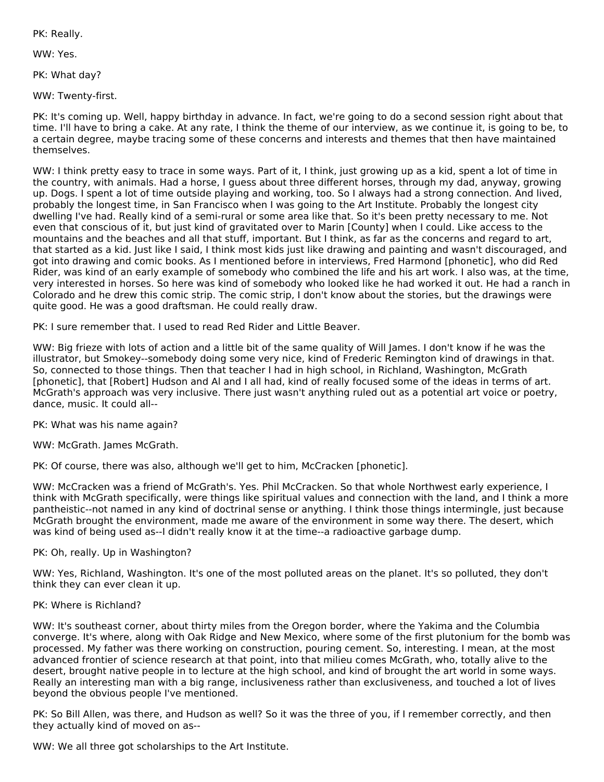PK: Really.

WW: Yes.

PK: What day?

WW: Twenty-first.

PK: It's coming up. Well, happy birthday in advance. In fact, we're going to do a second session right about that time. I'll have to bring a cake. At any rate, I think the theme of our interview, as we continue it, is going to be, to a certain degree, maybe tracing some of these concerns and interests and themes that then have maintained themselves.

WW: I think pretty easy to trace in some ways. Part of it, I think, just growing up as a kid, spent a lot of time in the country, with animals. Had a horse, I guess about three different horses, through my dad, anyway, growing up. Dogs. I spent a lot of time outside playing and working, too. So I always had a strong connection. And lived, probably the longest time, in San Francisco when I was going to the Art Institute. Probably the longest city dwelling I've had. Really kind of a semi-rural or some area like that. So it's been pretty necessary to me. Not even that conscious of it, but just kind of gravitated over to Marin [County] when I could. Like access to the mountains and the beaches and all that stuff, important. But I think, as far as the concerns and regard to art, that started as a kid. Just like I said, I think most kids just like drawing and painting and wasn't discouraged, and got into drawing and comic books. As I mentioned before in interviews, Fred Harmond [phonetic], who did Red Rider, was kind of an early example of somebody who combined the life and his art work. I also was, at the time, very interested in horses. So here was kind of somebody who looked like he had worked it out. He had a ranch in Colorado and he drew this comic strip. The comic strip, I don't know about the stories, but the drawings were quite good. He was a good draftsman. He could really draw.

PK: I sure remember that. I used to read Red Rider and Little Beaver.

WW: Big frieze with lots of action and a little bit of the same quality of Will James. I don't know if he was the illustrator, but Smokey--somebody doing some very nice, kind of Frederic Remington kind of drawings in that. So, connected to those things. Then that teacher I had in high school, in Richland, Washington, McGrath [phonetic], that [Robert] Hudson and Al and I all had, kind of really focused some of the ideas in terms of art. McGrath's approach was very inclusive. There just wasn't anything ruled out as a potential art voice or poetry, dance, music. It could all--

PK: What was his name again?

WW: McGrath. James McGrath.

PK: Of course, there was also, although we'll get to him, McCracken [phonetic].

WW: McCracken was a friend of McGrath's. Yes. Phil McCracken. So that whole Northwest early experience, I think with McGrath specifically, were things like spiritual values and connection with the land, and I think a more pantheistic--not named in any kind of doctrinal sense or anything. I think those things intermingle, just because McGrath brought the environment, made me aware of the environment in some way there. The desert, which was kind of being used as--I didn't really know it at the time--a radioactive garbage dump.

#### PK: Oh, really. Up in Washington?

WW: Yes, Richland, Washington. It's one of the most polluted areas on the planet. It's so polluted, they don't think they can ever clean it up.

# PK: Where is Richland?

WW: It's southeast corner, about thirty miles from the Oregon border, where the Yakima and the Columbia converge. It's where, along with Oak Ridge and New Mexico, where some of the first plutonium for the bomb was processed. My father was there working on construction, pouring cement. So, interesting. I mean, at the most advanced frontier of science research at that point, into that milieu comes McGrath, who, totally alive to the desert, brought native people in to lecture at the high school, and kind of brought the art world in some ways. Really an interesting man with a big range, inclusiveness rather than exclusiveness, and touched a lot of lives beyond the obvious people I've mentioned.

PK: So Bill Allen, was there, and Hudson as well? So it was the three of you, if I remember correctly, and then they actually kind of moved on as--

WW: We all three got scholarships to the Art Institute.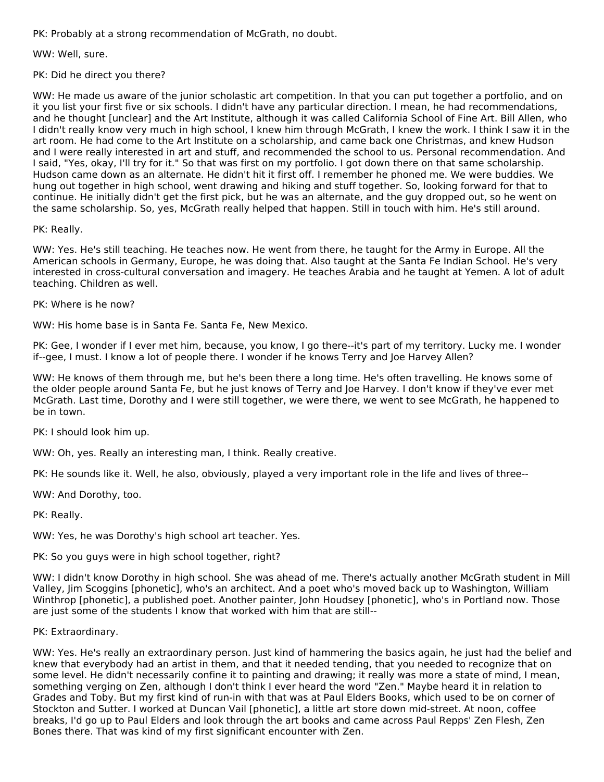PK: Probably at a strong recommendation of McGrath, no doubt.

WW: Well, sure.

PK: Did he direct you there?

WW: He made us aware of the junior scholastic art competition. In that you can put together a portfolio, and on it you list your first five or six schools. I didn't have any particular direction. I mean, he had recommendations, and he thought [unclear] and the Art Institute, although it was called California School of Fine Art. Bill Allen, who I didn't really know very much in high school, I knew him through McGrath, I knew the work. I think I saw it in the art room. He had come to the Art Institute on a scholarship, and came back one Christmas, and knew Hudson and I were really interested in art and stuff, and recommended the school to us. Personal recommendation. And I said, "Yes, okay, I'll try for it." So that was first on my portfolio. I got down there on that same scholarship. Hudson came down as an alternate. He didn't hit it first off. I remember he phoned me. We were buddies. We hung out together in high school, went drawing and hiking and stuff together. So, looking forward for that to continue. He initially didn't get the first pick, but he was an alternate, and the guy dropped out, so he went on the same scholarship. So, yes, McGrath really helped that happen. Still in touch with him. He's still around.

PK: Really.

WW: Yes. He's still teaching. He teaches now. He went from there, he taught for the Army in Europe. All the American schools in Germany, Europe, he was doing that. Also taught at the Santa Fe Indian School. He's very interested in cross-cultural conversation and imagery. He teaches Arabia and he taught at Yemen. A lot of adult teaching. Children as well.

PK: Where is he now?

WW: His home base is in Santa Fe. Santa Fe, New Mexico.

PK: Gee, I wonder if I ever met him, because, you know, I go there--it's part of my territory. Lucky me. I wonder if--gee, I must. I know a lot of people there. I wonder if he knows Terry and Joe Harvey Allen?

WW: He knows of them through me, but he's been there a long time. He's often travelling. He knows some of the older people around Santa Fe, but he just knows of Terry and Joe Harvey. I don't know if they've ever met McGrath. Last time, Dorothy and I were still together, we were there, we went to see McGrath, he happened to be in town.

PK: I should look him up.

WW: Oh, yes. Really an interesting man, I think. Really creative.

PK: He sounds like it. Well, he also, obviously, played a very important role in the life and lives of three--

WW: And Dorothy, too.

PK: Really.

WW: Yes, he was Dorothy's high school art teacher. Yes.

PK: So you guys were in high school together, right?

WW: I didn't know Dorothy in high school. She was ahead of me. There's actually another McGrath student in Mill Valley, Jim Scoggins [phonetic], who's an architect. And a poet who's moved back up to Washington, William Winthrop [phonetic], a published poet. Another painter, John Houdsey [phonetic], who's in Portland now. Those are just some of the students I know that worked with him that are still--

PK: Extraordinary.

WW: Yes. He's really an extraordinary person. Just kind of hammering the basics again, he just had the belief and knew that everybody had an artist in them, and that it needed tending, that you needed to recognize that on some level. He didn't necessarily confine it to painting and drawing; it really was more a state of mind, I mean, something verging on Zen, although I don't think I ever heard the word "Zen." Maybe heard it in relation to Grades and Toby. But my first kind of run-in with that was at Paul Elders Books, which used to be on corner of Stockton and Sutter. I worked at Duncan Vail [phonetic], a little art store down mid-street. At noon, coffee breaks, I'd go up to Paul Elders and look through the art books and came across Paul Repps' Zen Flesh, Zen Bones there. That was kind of my first significant encounter with Zen.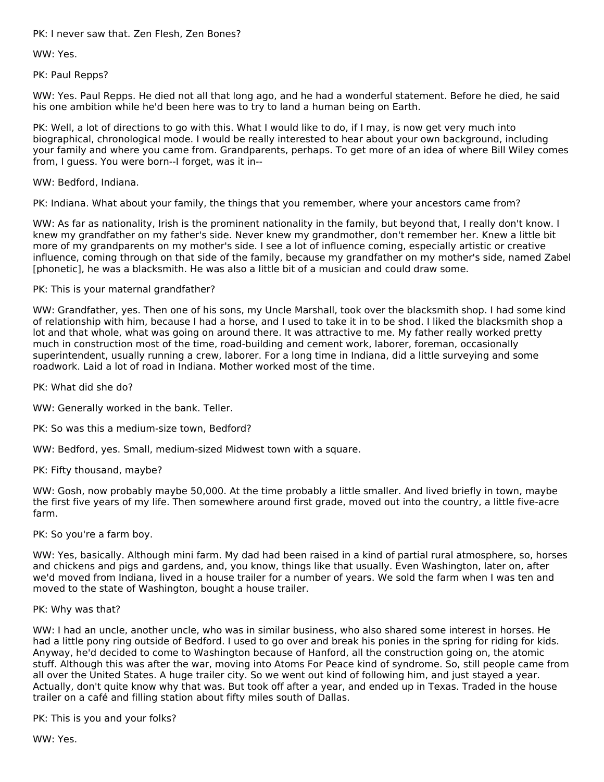PK: I never saw that. Zen Flesh, Zen Bones?

WW: Yes.

PK: Paul Repps?

WW: Yes. Paul Repps. He died not all that long ago, and he had a wonderful statement. Before he died, he said his one ambition while he'd been here was to try to land a human being on Earth.

PK: Well, a lot of directions to go with this. What I would like to do, if I may, is now get very much into biographical, chronological mode. I would be really interested to hear about your own background, including your family and where you came from. Grandparents, perhaps. To get more of an idea of where Bill Wiley comes from, I guess. You were born--I forget, was it in--

WW: Bedford, Indiana.

PK: Indiana. What about your family, the things that you remember, where your ancestors came from?

WW: As far as nationality, Irish is the prominent nationality in the family, but beyond that, I really don't know. I knew my grandfather on my father's side. Never knew my grandmother, don't remember her. Knew a little bit more of my grandparents on my mother's side. I see a lot of influence coming, especially artistic or creative influence, coming through on that side of the family, because my grandfather on my mother's side, named Zabel [phonetic], he was a blacksmith. He was also a little bit of a musician and could draw some.

# PK: This is your maternal grandfather?

WW: Grandfather, yes. Then one of his sons, my Uncle Marshall, took over the blacksmith shop. I had some kind of relationship with him, because I had a horse, and I used to take it in to be shod. I liked the blacksmith shop a lot and that whole, what was going on around there. It was attractive to me. My father really worked pretty much in construction most of the time, road-building and cement work, laborer, foreman, occasionally superintendent, usually running a crew, laborer. For a long time in Indiana, did a little surveying and some roadwork. Laid a lot of road in Indiana. Mother worked most of the time.

PK: What did she do?

WW: Generally worked in the bank. Teller.

PK: So was this a medium-size town, Bedford?

WW: Bedford, yes. Small, medium-sized Midwest town with a square.

PK: Fifty thousand, maybe?

WW: Gosh, now probably maybe 50,000. At the time probably a little smaller. And lived briefly in town, maybe the first five years of my life. Then somewhere around first grade, moved out into the country, a little five-acre farm.

PK: So you're a farm boy.

WW: Yes, basically. Although mini farm. My dad had been raised in a kind of partial rural atmosphere, so, horses and chickens and pigs and gardens, and, you know, things like that usually. Even Washington, later on, after we'd moved from Indiana, lived in a house trailer for a number of years. We sold the farm when I was ten and moved to the state of Washington, bought a house trailer.

#### PK: Why was that?

WW: I had an uncle, another uncle, who was in similar business, who also shared some interest in horses. He had a little pony ring outside of Bedford. I used to go over and break his ponies in the spring for riding for kids. Anyway, he'd decided to come to Washington because of Hanford, all the construction going on, the atomic stuff. Although this was after the war, moving into Atoms For Peace kind of syndrome. So, still people came from all over the United States. A huge trailer city. So we went out kind of following him, and just stayed a year. Actually, don't quite know why that was. But took off after a year, and ended up in Texas. Traded in the house trailer on a café and filling station about fifty miles south of Dallas.

PK: This is you and your folks?

WW: Yes.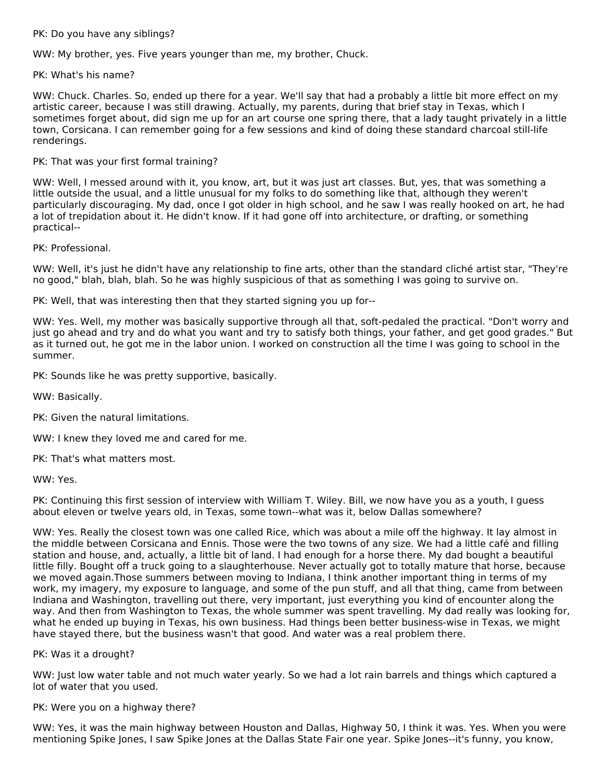# PK: Do you have any siblings?

WW: My brother, yes. Five years younger than me, my brother, Chuck.

#### PK: What's his name?

WW: Chuck. Charles. So, ended up there for a year. We'll say that had a probably a little bit more effect on my artistic career, because I was still drawing. Actually, my parents, during that brief stay in Texas, which I sometimes forget about, did sign me up for an art course one spring there, that a lady taught privately in a little town, Corsicana. I can remember going for a few sessions and kind of doing these standard charcoal still-life renderings.

# PK: That was your first formal training?

WW: Well, I messed around with it, you know, art, but it was just art classes. But, yes, that was something a little outside the usual, and a little unusual for my folks to do something like that, although they weren't particularly discouraging. My dad, once I got older in high school, and he saw I was really hooked on art, he had a lot of trepidation about it. He didn't know. If it had gone off into architecture, or drafting, or something practical--

PK: Professional.

WW: Well, it's just he didn't have any relationship to fine arts, other than the standard cliché artist star, "They're no good," blah, blah, blah. So he was highly suspicious of that as something I was going to survive on.

PK: Well, that was interesting then that they started signing you up for--

WW: Yes. Well, my mother was basically supportive through all that, soft-pedaled the practical. "Don't worry and just go ahead and try and do what you want and try to satisfy both things, your father, and get good grades." But as it turned out, he got me in the labor union. I worked on construction all the time I was going to school in the summer.

PK: Sounds like he was pretty supportive, basically.

WW: Basically.

PK: Given the natural limitations.

WW: I knew they loved me and cared for me.

PK: That's what matters most.

WW: Yes.

PK: Continuing this first session of interview with William T. Wiley. Bill, we now have you as a youth, I guess about eleven or twelve years old, in Texas, some town--what was it, below Dallas somewhere?

WW: Yes. Really the closest town was one called Rice, which was about a mile off the highway. It lay almost in the middle between Corsicana and Ennis. Those were the two towns of any size. We had a little café and filling station and house, and, actually, a little bit of land. I had enough for a horse there. My dad bought a beautiful little filly. Bought off a truck going to a slaughterhouse. Never actually got to totally mature that horse, because we moved again.Those summers between moving to Indiana, I think another important thing in terms of my work, my imagery, my exposure to language, and some of the pun stuff, and all that thing, came from between Indiana and Washington, travelling out there, very important, just everything you kind of encounter along the way. And then from Washington to Texas, the whole summer was spent travelling. My dad really was looking for, what he ended up buying in Texas, his own business. Had things been better business-wise in Texas, we might have stayed there, but the business wasn't that good. And water was a real problem there.

PK: Was it a drought?

WW: Just low water table and not much water yearly. So we had a lot rain barrels and things which captured a lot of water that you used.

PK: Were you on a highway there?

WW: Yes, it was the main highway between Houston and Dallas, Highway 50, I think it was. Yes. When you were mentioning Spike Jones, I saw Spike Jones at the Dallas State Fair one year. Spike Jones--it's funny, you know,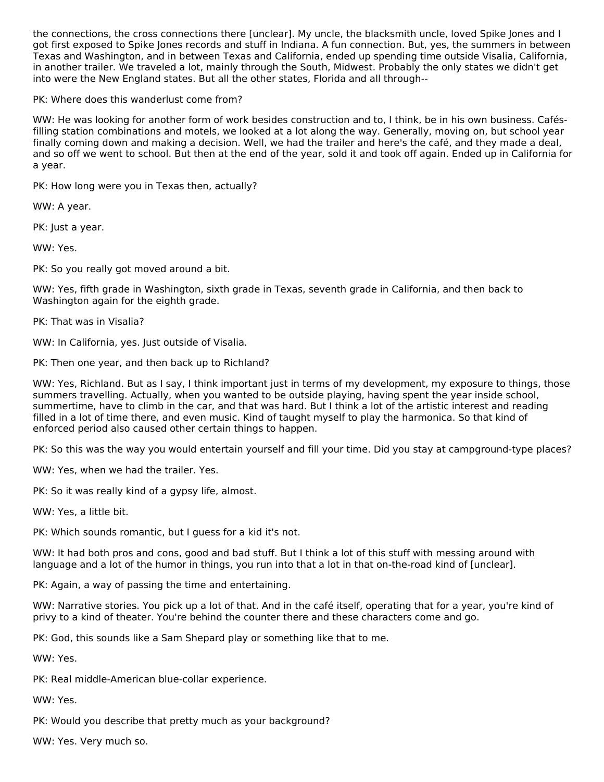the connections, the cross connections there [unclear]. My uncle, the blacksmith uncle, loved Spike Jones and I got first exposed to Spike Jones records and stuff in Indiana. A fun connection. But, yes, the summers in between Texas and Washington, and in between Texas and California, ended up spending time outside Visalia, California, in another trailer. We traveled a lot, mainly through the South, Midwest. Probably the only states we didn't get into were the New England states. But all the other states, Florida and all through--

PK: Where does this wanderlust come from?

WW: He was looking for another form of work besides construction and to, I think, be in his own business. Cafésfilling station combinations and motels, we looked at a lot along the way. Generally, moving on, but school year finally coming down and making a decision. Well, we had the trailer and here's the café, and they made a deal, and so off we went to school. But then at the end of the year, sold it and took off again. Ended up in California for a year.

PK: How long were you in Texas then, actually?

WW: A year.

PK: Just a year.

WW: Yes.

PK: So you really got moved around a bit.

WW: Yes, fifth grade in Washington, sixth grade in Texas, seventh grade in California, and then back to Washington again for the eighth grade.

PK: That was in Visalia?

WW: In California, yes. Just outside of Visalia.

PK: Then one year, and then back up to Richland?

WW: Yes, Richland. But as I say, I think important just in terms of my development, my exposure to things, those summers travelling. Actually, when you wanted to be outside playing, having spent the year inside school, summertime, have to climb in the car, and that was hard. But I think a lot of the artistic interest and reading filled in a lot of time there, and even music. Kind of taught myself to play the harmonica. So that kind of enforced period also caused other certain things to happen.

PK: So this was the way you would entertain yourself and fill your time. Did you stay at campground-type places?

WW: Yes, when we had the trailer. Yes.

PK: So it was really kind of a gypsy life, almost.

WW: Yes, a little bit.

PK: Which sounds romantic, but I guess for a kid it's not.

WW: It had both pros and cons, good and bad stuff. But I think a lot of this stuff with messing around with language and a lot of the humor in things, you run into that a lot in that on-the-road kind of [unclear].

PK: Again, a way of passing the time and entertaining.

WW: Narrative stories. You pick up a lot of that. And in the café itself, operating that for a year, you're kind of privy to a kind of theater. You're behind the counter there and these characters come and go.

PK: God, this sounds like a Sam Shepard play or something like that to me.

WW: Yes.

PK: Real middle-American blue-collar experience.

WW: Yes.

PK: Would you describe that pretty much as your background?

WW: Yes. Very much so.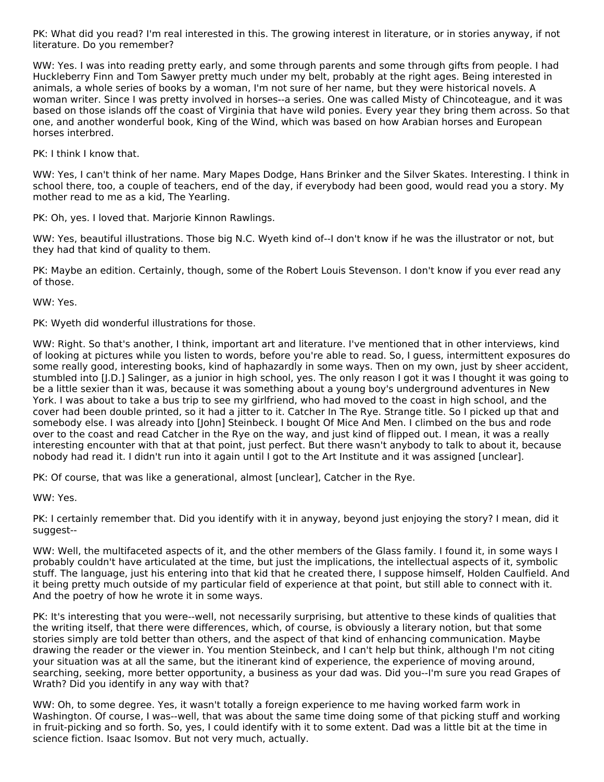PK: What did you read? I'm real interested in this. The growing interest in literature, or in stories anyway, if not literature. Do you remember?

WW: Yes. I was into reading pretty early, and some through parents and some through gifts from people. I had Huckleberry Finn and Tom Sawyer pretty much under my belt, probably at the right ages. Being interested in animals, a whole series of books by a woman, I'm not sure of her name, but they were historical novels. A woman writer. Since I was pretty involved in horses--a series. One was called Misty of Chincoteague, and it was based on those islands off the coast of Virginia that have wild ponies. Every year they bring them across. So that one, and another wonderful book, King of the Wind, which was based on how Arabian horses and European horses interbred.

PK: I think I know that.

WW: Yes, I can't think of her name. Mary Mapes Dodge, Hans Brinker and the Silver Skates. Interesting. I think in school there, too, a couple of teachers, end of the day, if everybody had been good, would read you a story. My mother read to me as a kid, The Yearling.

PK: Oh, yes. I loved that. Marjorie Kinnon Rawlings.

WW: Yes, beautiful illustrations. Those big N.C. Wyeth kind of--I don't know if he was the illustrator or not, but they had that kind of quality to them.

PK: Maybe an edition. Certainly, though, some of the Robert Louis Stevenson. I don't know if you ever read any of those.

WW: Yes.

PK: Wyeth did wonderful illustrations for those.

WW: Right. So that's another, I think, important art and literature. I've mentioned that in other interviews, kind of looking at pictures while you listen to words, before you're able to read. So, I guess, intermittent exposures do some really good, interesting books, kind of haphazardly in some ways. Then on my own, just by sheer accident, stumbled into [J.D.] Salinger, as a junior in high school, yes. The only reason I got it was I thought it was going to be a little sexier than it was, because it was something about a young boy's underground adventures in New York. I was about to take a bus trip to see my girlfriend, who had moved to the coast in high school, and the cover had been double printed, so it had a jitter to it. Catcher In The Rye. Strange title. So I picked up that and somebody else. I was already into [John] Steinbeck. I bought Of Mice And Men. I climbed on the bus and rode over to the coast and read Catcher in the Rye on the way, and just kind of flipped out. I mean, it was a really interesting encounter with that at that point, just perfect. But there wasn't anybody to talk to about it, because nobody had read it. I didn't run into it again until I got to the Art Institute and it was assigned [unclear].

PK: Of course, that was like a generational, almost [unclear], Catcher in the Rye.

WW: Yes.

PK: I certainly remember that. Did you identify with it in anyway, beyond just enjoying the story? I mean, did it suggest--

WW: Well, the multifaceted aspects of it, and the other members of the Glass family. I found it, in some ways I probably couldn't have articulated at the time, but just the implications, the intellectual aspects of it, symbolic stuff. The language, just his entering into that kid that he created there, I suppose himself, Holden Caulfield. And it being pretty much outside of my particular field of experience at that point, but still able to connect with it. And the poetry of how he wrote it in some ways.

PK: It's interesting that you were--well, not necessarily surprising, but attentive to these kinds of qualities that the writing itself, that there were differences, which, of course, is obviously a literary notion, but that some stories simply are told better than others, and the aspect of that kind of enhancing communication. Maybe drawing the reader or the viewer in. You mention Steinbeck, and I can't help but think, although I'm not citing your situation was at all the same, but the itinerant kind of experience, the experience of moving around, searching, seeking, more better opportunity, a business as your dad was. Did you--I'm sure you read Grapes of Wrath? Did you identify in any way with that?

WW: Oh, to some degree. Yes, it wasn't totally a foreign experience to me having worked farm work in Washington. Of course, I was--well, that was about the same time doing some of that picking stuff and working in fruit-picking and so forth. So, yes, I could identify with it to some extent. Dad was a little bit at the time in science fiction. Isaac Isomov. But not very much, actually.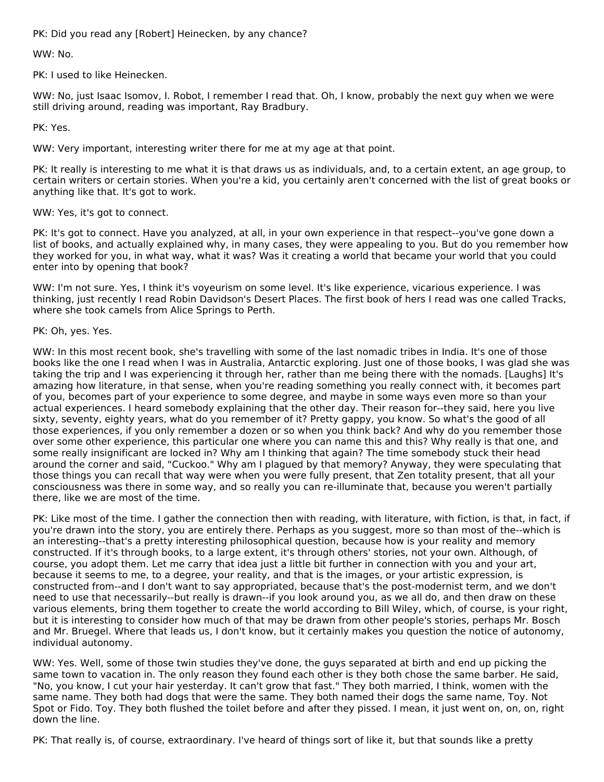PK: Did you read any [Robert] Heinecken, by any chance?

WW: No.

PK: I used to like Heinecken.

WW: No, just Isaac Isomov, I. Robot, I remember I read that. Oh, I know, probably the next guy when we were still driving around, reading was important, Ray Bradbury.

PK: Yes.

WW: Very important, interesting writer there for me at my age at that point.

PK: It really is interesting to me what it is that draws us as individuals, and, to a certain extent, an age group, to certain writers or certain stories. When you're a kid, you certainly aren't concerned with the list of great books or anything like that. It's got to work.

WW: Yes, it's got to connect.

PK: It's got to connect. Have you analyzed, at all, in your own experience in that respect--you've gone down a list of books, and actually explained why, in many cases, they were appealing to you. But do you remember how they worked for you, in what way, what it was? Was it creating a world that became your world that you could enter into by opening that book?

WW: I'm not sure. Yes, I think it's voyeurism on some level. It's like experience, vicarious experience. I was thinking, just recently I read Robin Davidson's Desert Places. The first book of hers I read was one called Tracks, where she took camels from Alice Springs to Perth.

PK: Oh, yes. Yes.

WW: In this most recent book, she's travelling with some of the last nomadic tribes in India. It's one of those books like the one I read when I was in Australia, Antarctic exploring. Just one of those books, I was glad she was taking the trip and I was experiencing it through her, rather than me being there with the nomads. [Laughs] It's amazing how literature, in that sense, when you're reading something you really connect with, it becomes part of you, becomes part of your experience to some degree, and maybe in some ways even more so than your actual experiences. I heard somebody explaining that the other day. Their reason for--they said, here you live sixty, seventy, eighty years, what do you remember of it? Pretty gappy, you know. So what's the good of all those experiences, if you only remember a dozen or so when you think back? And why do you remember those over some other experience, this particular one where you can name this and this? Why really is that one, and some really insignificant are locked in? Why am I thinking that again? The time somebody stuck their head around the corner and said, "Cuckoo." Why am I plagued by that memory? Anyway, they were speculating that those things you can recall that way were when you were fully present, that Zen totality present, that all your consciousness was there in some way, and so really you can re-illuminate that, because you weren't partially there, like we are most of the time.

PK: Like most of the time. I gather the connection then with reading, with literature, with fiction, is that, in fact, if you're drawn into the story, you are entirely there. Perhaps as you suggest, more so than most of the--which is an interesting--that's a pretty interesting philosophical question, because how is your reality and memory constructed. If it's through books, to a large extent, it's through others' stories, not your own. Although, of course, you adopt them. Let me carry that idea just a little bit further in connection with you and your art, because it seems to me, to a degree, your reality, and that is the images, or your artistic expression, is constructed from--and I don't want to say appropriated, because that's the post-modernist term, and we don't need to use that necessarily--but really is drawn--if you look around you, as we all do, and then draw on these various elements, bring them together to create the world according to Bill Wiley, which, of course, is your right, but it is interesting to consider how much of that may be drawn from other people's stories, perhaps Mr. Bosch and Mr. Bruegel. Where that leads us, I don't know, but it certainly makes you question the notice of autonomy, individual autonomy.

WW: Yes. Well, some of those twin studies they've done, the guys separated at birth and end up picking the same town to vacation in. The only reason they found each other is they both chose the same barber. He said, "No, you know, I cut your hair yesterday. It can't grow that fast." They both married, I think, women with the same name. They both had dogs that were the same. They both named their dogs the same name, Toy. Not Spot or Fido. Toy. They both flushed the toilet before and after they pissed. I mean, it just went on, on, on, right down the line.

PK: That really is, of course, extraordinary. I've heard of things sort of like it, but that sounds like a pretty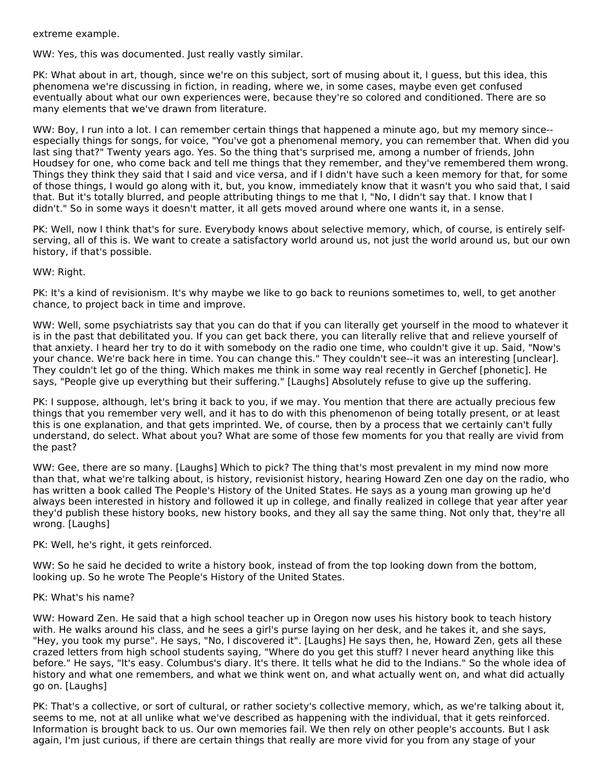extreme example.

WW: Yes, this was documented. Just really vastly similar.

PK: What about in art, though, since we're on this subject, sort of musing about it, I guess, but this idea, this phenomena we're discussing in fiction, in reading, where we, in some cases, maybe even get confused eventually about what our own experiences were, because they're so colored and conditioned. There are so many elements that we've drawn from literature.

WW: Boy, I run into a lot. I can remember certain things that happened a minute ago, but my memory since-especially things for songs, for voice, "You've got a phenomenal memory, you can remember that. When did you last sing that?" Twenty years ago. Yes. So the thing that's surprised me, among a number of friends, John Houdsey for one, who come back and tell me things that they remember, and they've remembered them wrong. Things they think they said that I said and vice versa, and if I didn't have such a keen memory for that, for some of those things, I would go along with it, but, you know, immediately know that it wasn't you who said that, I said that. But it's totally blurred, and people attributing things to me that I, "No, I didn't say that. I know that I didn't." So in some ways it doesn't matter, it all gets moved around where one wants it, in a sense.

PK: Well, now I think that's for sure. Everybody knows about selective memory, which, of course, is entirely selfserving, all of this is. We want to create a satisfactory world around us, not just the world around us, but our own history, if that's possible.

WW: Right.

PK: It's a kind of revisionism. It's why maybe we like to go back to reunions sometimes to, well, to get another chance, to project back in time and improve.

WW: Well, some psychiatrists say that you can do that if you can literally get yourself in the mood to whatever it is in the past that debilitated you. If you can get back there, you can literally relive that and relieve yourself of that anxiety. I heard her try to do it with somebody on the radio one time, who couldn't give it up. Said, "Now's your chance. We're back here in time. You can change this." They couldn't see--it was an interesting [unclear]. They couldn't let go of the thing. Which makes me think in some way real recently in Gerchef [phonetic]. He says, "People give up everything but their suffering." [Laughs] Absolutely refuse to give up the suffering.

PK: I suppose, although, let's bring it back to you, if we may. You mention that there are actually precious few things that you remember very well, and it has to do with this phenomenon of being totally present, or at least this is one explanation, and that gets imprinted. We, of course, then by a process that we certainly can't fully understand, do select. What about you? What are some of those few moments for you that really are vivid from the past?

WW: Gee, there are so many. [Laughs] Which to pick? The thing that's most prevalent in my mind now more than that, what we're talking about, is history, revisionist history, hearing Howard Zen one day on the radio, who has written a book called The People's History of the United States. He says as a young man growing up he'd always been interested in history and followed it up in college, and finally realized in college that year after year they'd publish these history books, new history books, and they all say the same thing. Not only that, they're all wrong. [Laughs]

PK: Well, he's right, it gets reinforced.

WW: So he said he decided to write a history book, instead of from the top looking down from the bottom, looking up. So he wrote The People's History of the United States.

# PK: What's his name?

WW: Howard Zen. He said that a high school teacher up in Oregon now uses his history book to teach history with. He walks around his class, and he sees a girl's purse laying on her desk, and he takes it, and she says, "Hey, you took my purse". He says, "No, I discovered it". [Laughs] He says then, he, Howard Zen, gets all these crazed letters from high school students saying, "Where do you get this stuff? I never heard anything like this before." He says, "It's easy. Columbus's diary. It's there. It tells what he did to the Indians." So the whole idea of history and what one remembers, and what we think went on, and what actually went on, and what did actually go on. [Laughs]

PK: That's a collective, or sort of cultural, or rather society's collective memory, which, as we're talking about it, seems to me, not at all unlike what we've described as happening with the individual, that it gets reinforced. Information is brought back to us. Our own memories fail. We then rely on other people's accounts. But I ask again, I'm just curious, if there are certain things that really are more vivid for you from any stage of your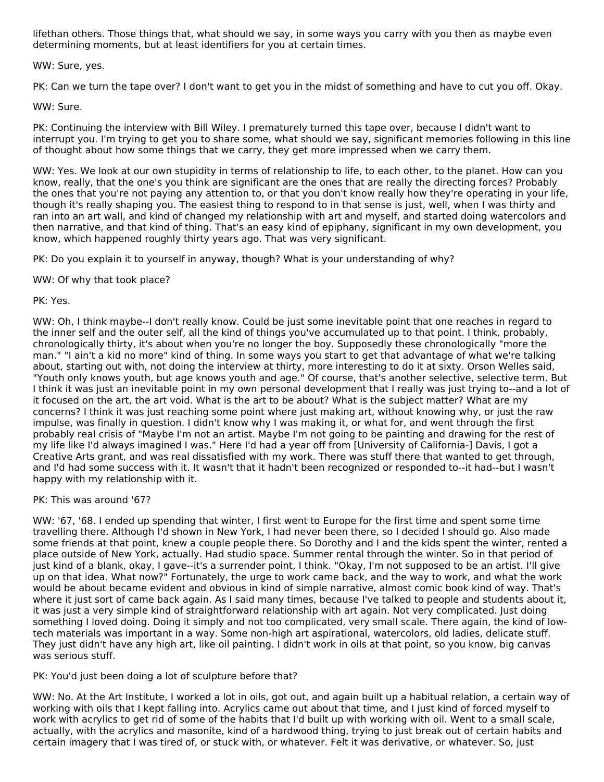lifethan others. Those things that, what should we say, in some ways you carry with you then as maybe even determining moments, but at least identifiers for you at certain times.

#### WW: Sure, yes.

PK: Can we turn the tape over? I don't want to get you in the midst of something and have to cut you off. Okay.

#### WW: Sure.

PK: Continuing the interview with Bill Wiley. I prematurely turned this tape over, because I didn't want to interrupt you. I'm trying to get you to share some, what should we say, significant memories following in this line of thought about how some things that we carry, they get more impressed when we carry them.

WW: Yes. We look at our own stupidity in terms of relationship to life, to each other, to the planet. How can you know, really, that the one's you think are significant are the ones that are really the directing forces? Probably the ones that you're not paying any attention to, or that you don't know really how they're operating in your life, though it's really shaping you. The easiest thing to respond to in that sense is just, well, when I was thirty and ran into an art wall, and kind of changed my relationship with art and myself, and started doing watercolors and then narrative, and that kind of thing. That's an easy kind of epiphany, significant in my own development, you know, which happened roughly thirty years ago. That was very significant.

PK: Do you explain it to yourself in anyway, though? What is your understanding of why?

WW: Of why that took place?

#### PK: Yes.

WW: Oh, I think maybe--I don't really know. Could be just some inevitable point that one reaches in regard to the inner self and the outer self, all the kind of things you've accumulated up to that point. I think, probably, chronologically thirty, it's about when you're no longer the boy. Supposedly these chronologically "more the man." "I ain't a kid no more" kind of thing. In some ways you start to get that advantage of what we're talking about, starting out with, not doing the interview at thirty, more interesting to do it at sixty. Orson Welles said, "Youth only knows youth, but age knows youth and age." Of course, that's another selective, selective term. But I think it was just an inevitable point in my own personal development that I really was just trying to--and a lot of it focused on the art, the art void. What is the art to be about? What is the subject matter? What are my concerns? I think it was just reaching some point where just making art, without knowing why, or just the raw impulse, was finally in question. I didn't know why I was making it, or what for, and went through the first probably real crisis of "Maybe I'm not an artist. Maybe I'm not going to be painting and drawing for the rest of my life like I'd always imagined I was." Here I'd had a year off from [University of California-] Davis, I got a Creative Arts grant, and was real dissatisfied with my work. There was stuff there that wanted to get through, and I'd had some success with it. It wasn't that it hadn't been recognized or responded to--it had--but I wasn't happy with my relationship with it.

PK: This was around '67?

WW: '67, '68. I ended up spending that winter, I first went to Europe for the first time and spent some time travelling there. Although I'd shown in New York, I had never been there, so I decided I should go. Also made some friends at that point, knew a couple people there. So Dorothy and I and the kids spent the winter, rented a place outside of New York, actually. Had studio space. Summer rental through the winter. So in that period of just kind of a blank, okay, I gave--it's a surrender point, I think. "Okay, I'm not supposed to be an artist. I'll give up on that idea. What now?" Fortunately, the urge to work came back, and the way to work, and what the work would be about became evident and obvious in kind of simple narrative, almost comic book kind of way. That's where it just sort of came back again. As I said many times, because I've talked to people and students about it, it was just a very simple kind of straightforward relationship with art again. Not very complicated. Just doing something I loved doing. Doing it simply and not too complicated, very small scale. There again, the kind of lowtech materials was important in a way. Some non-high art aspirational, watercolors, old ladies, delicate stuff. They just didn't have any high art, like oil painting. I didn't work in oils at that point, so you know, big canvas was serious stuff.

PK: You'd just been doing a lot of sculpture before that?

WW: No. At the Art Institute, I worked a lot in oils, got out, and again built up a habitual relation, a certain way of working with oils that I kept falling into. Acrylics came out about that time, and I just kind of forced myself to work with acrylics to get rid of some of the habits that I'd built up with working with oil. Went to a small scale, actually, with the acrylics and masonite, kind of a hardwood thing, trying to just break out of certain habits and certain imagery that I was tired of, or stuck with, or whatever. Felt it was derivative, or whatever. So, just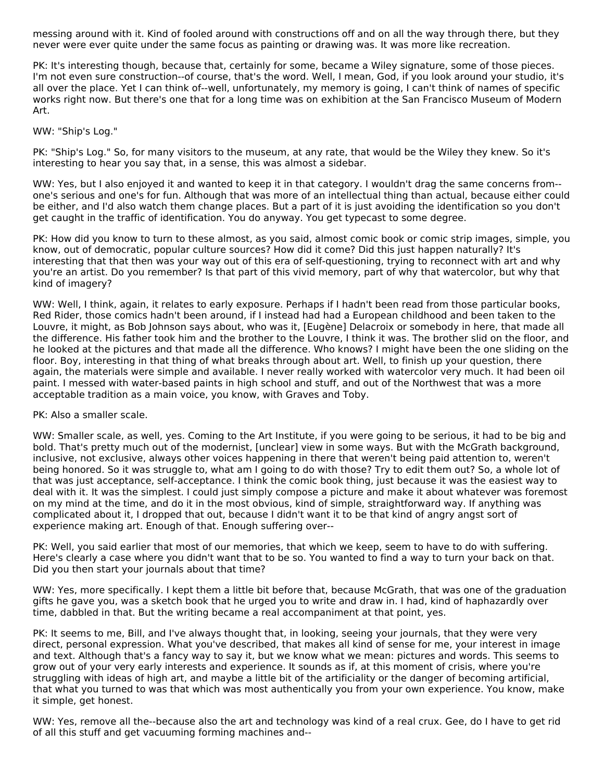messing around with it. Kind of fooled around with constructions off and on all the way through there, but they never were ever quite under the same focus as painting or drawing was. It was more like recreation.

PK: It's interesting though, because that, certainly for some, became a Wiley signature, some of those pieces. I'm not even sure construction--of course, that's the word. Well, I mean, God, if you look around your studio, it's all over the place. Yet I can think of--well, unfortunately, my memory is going, I can't think of names of specific works right now. But there's one that for a long time was on exhibition at the San Francisco Museum of Modern Art.

# WW: "Ship's Log."

PK: "Ship's Log." So, for many visitors to the museum, at any rate, that would be the Wiley they knew. So it's interesting to hear you say that, in a sense, this was almost a sidebar.

WW: Yes, but I also enjoyed it and wanted to keep it in that category. I wouldn't drag the same concerns from- one's serious and one's for fun. Although that was more of an intellectual thing than actual, because either could be either, and I'd also watch them change places. But a part of it is just avoiding the identification so you don't get caught in the traffic of identification. You do anyway. You get typecast to some degree.

PK: How did you know to turn to these almost, as you said, almost comic book or comic strip images, simple, you know, out of democratic, popular culture sources? How did it come? Did this just happen naturally? It's interesting that that then was your way out of this era of self-questioning, trying to reconnect with art and why you're an artist. Do you remember? Is that part of this vivid memory, part of why that watercolor, but why that kind of imagery?

WW: Well, I think, again, it relates to early exposure. Perhaps if I hadn't been read from those particular books, Red Rider, those comics hadn't been around, if I instead had had a European childhood and been taken to the Louvre, it might, as Bob Johnson says about, who was it, [Eugène] Delacroix or somebody in here, that made all the difference. His father took him and the brother to the Louvre, I think it was. The brother slid on the floor, and he looked at the pictures and that made all the difference. Who knows? I might have been the one sliding on the floor. Boy, interesting in that thing of what breaks through about art. Well, to finish up your question, there again, the materials were simple and available. I never really worked with watercolor very much. It had been oil paint. I messed with water-based paints in high school and stuff, and out of the Northwest that was a more acceptable tradition as a main voice, you know, with Graves and Toby.

#### PK: Also a smaller scale.

WW: Smaller scale, as well, yes. Coming to the Art Institute, if you were going to be serious, it had to be big and bold. That's pretty much out of the modernist, [unclear] view in some ways. But with the McGrath background, inclusive, not exclusive, always other voices happening in there that weren't being paid attention to, weren't being honored. So it was struggle to, what am I going to do with those? Try to edit them out? So, a whole lot of that was just acceptance, self-acceptance. I think the comic book thing, just because it was the easiest way to deal with it. It was the simplest. I could just simply compose a picture and make it about whatever was foremost on my mind at the time, and do it in the most obvious, kind of simple, straightforward way. If anything was complicated about it, I dropped that out, because I didn't want it to be that kind of angry angst sort of experience making art. Enough of that. Enough suffering over--

PK: Well, you said earlier that most of our memories, that which we keep, seem to have to do with suffering. Here's clearly a case where you didn't want that to be so. You wanted to find a way to turn your back on that. Did you then start your journals about that time?

WW: Yes, more specifically. I kept them a little bit before that, because McGrath, that was one of the graduation gifts he gave you, was a sketch book that he urged you to write and draw in. I had, kind of haphazardly over time, dabbled in that. But the writing became a real accompaniment at that point, yes.

PK: It seems to me, Bill, and I've always thought that, in looking, seeing your journals, that they were very direct, personal expression. What you've described, that makes all kind of sense for me, your interest in image and text. Although that's a fancy way to say it, but we know what we mean: pictures and words. This seems to grow out of your very early interests and experience. It sounds as if, at this moment of crisis, where you're struggling with ideas of high art, and maybe a little bit of the artificiality or the danger of becoming artificial, that what you turned to was that which was most authentically you from your own experience. You know, make it simple, get honest.

WW: Yes, remove all the--because also the art and technology was kind of a real crux. Gee, do I have to get rid of all this stuff and get vacuuming forming machines and--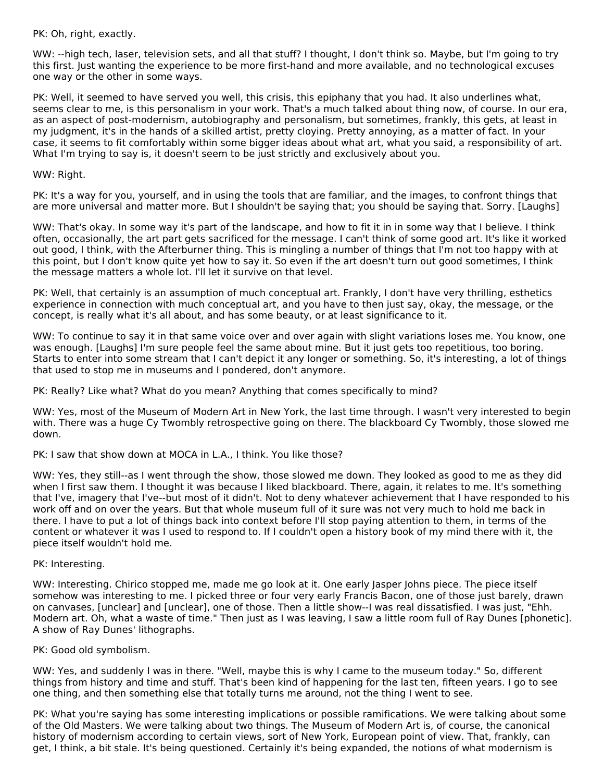PK: Oh, right, exactly.

WW: --high tech, laser, television sets, and all that stuff? I thought, I don't think so. Maybe, but I'm going to try this first. Just wanting the experience to be more first-hand and more available, and no technological excuses one way or the other in some ways.

PK: Well, it seemed to have served you well, this crisis, this epiphany that you had. It also underlines what, seems clear to me, is this personalism in your work. That's a much talked about thing now, of course. In our era, as an aspect of post-modernism, autobiography and personalism, but sometimes, frankly, this gets, at least in my judgment, it's in the hands of a skilled artist, pretty cloying. Pretty annoying, as a matter of fact. In your case, it seems to fit comfortably within some bigger ideas about what art, what you said, a responsibility of art. What I'm trying to say is, it doesn't seem to be just strictly and exclusively about you.

#### WW: Right.

PK: It's a way for you, yourself, and in using the tools that are familiar, and the images, to confront things that are more universal and matter more. But I shouldn't be saying that; you should be saying that. Sorry. [Laughs]

WW: That's okay. In some way it's part of the landscape, and how to fit it in in some way that I believe. I think often, occasionally, the art part gets sacrificed for the message. I can't think of some good art. It's like it worked out good, I think, with the Afterburner thing. This is mingling a number of things that I'm not too happy with at this point, but I don't know quite yet how to say it. So even if the art doesn't turn out good sometimes, I think the message matters a whole lot. I'll let it survive on that level.

PK: Well, that certainly is an assumption of much conceptual art. Frankly, I don't have very thrilling, esthetics experience in connection with much conceptual art, and you have to then just say, okay, the message, or the concept, is really what it's all about, and has some beauty, or at least significance to it.

WW: To continue to say it in that same voice over and over again with slight variations loses me. You know, one was enough. [Laughs] I'm sure people feel the same about mine. But it just gets too repetitious, too boring. Starts to enter into some stream that I can't depict it any longer or something. So, it's interesting, a lot of things that used to stop me in museums and I pondered, don't anymore.

PK: Really? Like what? What do you mean? Anything that comes specifically to mind?

WW: Yes, most of the Museum of Modern Art in New York, the last time through. I wasn't very interested to begin with. There was a huge Cy Twombly retrospective going on there. The blackboard Cy Twombly, those slowed me down.

PK: I saw that show down at MOCA in L.A., I think. You like those?

WW: Yes, they still--as I went through the show, those slowed me down. They looked as good to me as they did when I first saw them. I thought it was because I liked blackboard. There, again, it relates to me. It's something that I've, imagery that I've--but most of it didn't. Not to deny whatever achievement that I have responded to his work off and on over the years. But that whole museum full of it sure was not very much to hold me back in there. I have to put a lot of things back into context before I'll stop paying attention to them, in terms of the content or whatever it was I used to respond to. If I couldn't open a history book of my mind there with it, the piece itself wouldn't hold me.

#### PK: Interesting.

WW: Interesting. Chirico stopped me, made me go look at it. One early Jasper Johns piece. The piece itself somehow was interesting to me. I picked three or four very early Francis Bacon, one of those just barely, drawn on canvases, [unclear] and [unclear], one of those. Then a little show--I was real dissatisfied. I was just, "Ehh. Modern art. Oh, what a waste of time." Then just as I was leaving, I saw a little room full of Ray Dunes [phonetic]. A show of Ray Dunes' lithographs.

#### PK: Good old symbolism.

WW: Yes, and suddenly I was in there. "Well, maybe this is why I came to the museum today." So, different things from history and time and stuff. That's been kind of happening for the last ten, fifteen years. I go to see one thing, and then something else that totally turns me around, not the thing I went to see.

PK: What you're saying has some interesting implications or possible ramifications. We were talking about some of the Old Masters. We were talking about two things. The Museum of Modern Art is, of course, the canonical history of modernism according to certain views, sort of New York, European point of view. That, frankly, can get, I think, a bit stale. It's being questioned. Certainly it's being expanded, the notions of what modernism is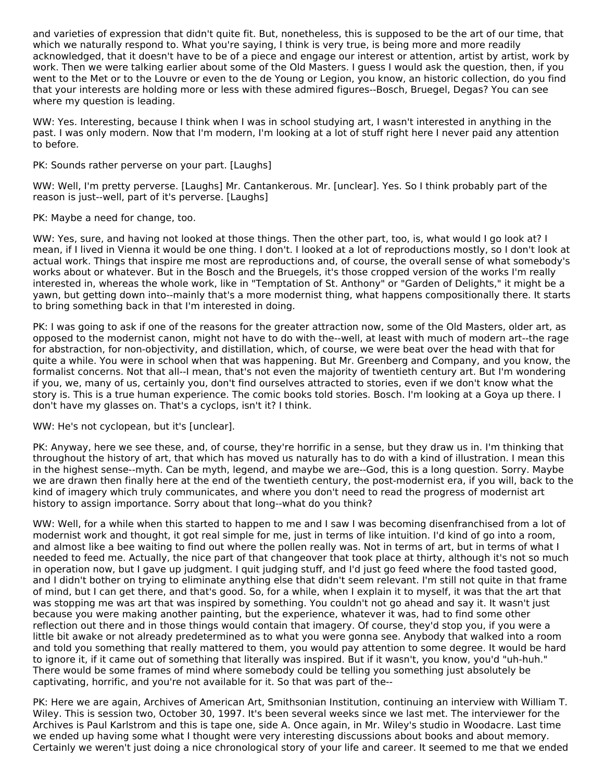and varieties of expression that didn't quite fit. But, nonetheless, this is supposed to be the art of our time, that which we naturally respond to. What you're saying, I think is very true, is being more and more readily acknowledged, that it doesn't have to be of a piece and engage our interest or attention, artist by artist, work by work. Then we were talking earlier about some of the Old Masters. I guess I would ask the question, then, if you went to the Met or to the Louvre or even to the de Young or Legion, you know, an historic collection, do you find that your interests are holding more or less with these admired figures--Bosch, Bruegel, Degas? You can see where my question is leading.

WW: Yes. Interesting, because I think when I was in school studying art, I wasn't interested in anything in the past. I was only modern. Now that I'm modern, I'm looking at a lot of stuff right here I never paid any attention to before.

PK: Sounds rather perverse on your part. [Laughs]

WW: Well, I'm pretty perverse. [Laughs] Mr. Cantankerous. Mr. [unclear]. Yes. So I think probably part of the reason is just--well, part of it's perverse. [Laughs]

PK: Maybe a need for change, too.

WW: Yes, sure, and having not looked at those things. Then the other part, too, is, what would I go look at? I mean, if I lived in Vienna it would be one thing. I don't. I looked at a lot of reproductions mostly, so I don't look at actual work. Things that inspire me most are reproductions and, of course, the overall sense of what somebody's works about or whatever. But in the Bosch and the Bruegels, it's those cropped version of the works I'm really interested in, whereas the whole work, like in "Temptation of St. Anthony" or "Garden of Delights," it might be a yawn, but getting down into--mainly that's a more modernist thing, what happens compositionally there. It starts to bring something back in that I'm interested in doing.

PK: I was going to ask if one of the reasons for the greater attraction now, some of the Old Masters, older art, as opposed to the modernist canon, might not have to do with the--well, at least with much of modern art--the rage for abstraction, for non-objectivity, and distillation, which, of course, we were beat over the head with that for quite a while. You were in school when that was happening. But Mr. Greenberg and Company, and you know, the formalist concerns. Not that all--I mean, that's not even the majority of twentieth century art. But I'm wondering if you, we, many of us, certainly you, don't find ourselves attracted to stories, even if we don't know what the story is. This is a true human experience. The comic books told stories. Bosch. I'm looking at a Goya up there. I don't have my glasses on. That's a cyclops, isn't it? I think.

#### WW: He's not cyclopean, but it's [unclear].

PK: Anyway, here we see these, and, of course, they're horrific in a sense, but they draw us in. I'm thinking that throughout the history of art, that which has moved us naturally has to do with a kind of illustration. I mean this in the highest sense--myth. Can be myth, legend, and maybe we are--God, this is a long question. Sorry. Maybe we are drawn then finally here at the end of the twentieth century, the post-modernist era, if you will, back to the kind of imagery which truly communicates, and where you don't need to read the progress of modernist art history to assign importance. Sorry about that long--what do you think?

WW: Well, for a while when this started to happen to me and I saw I was becoming disenfranchised from a lot of modernist work and thought, it got real simple for me, just in terms of like intuition. I'd kind of go into a room, and almost like a bee waiting to find out where the pollen really was. Not in terms of art, but in terms of what I needed to feed me. Actually, the nice part of that changeover that took place at thirty, although it's not so much in operation now, but I gave up judgment. I quit judging stuff, and I'd just go feed where the food tasted good, and I didn't bother on trying to eliminate anything else that didn't seem relevant. I'm still not quite in that frame of mind, but I can get there, and that's good. So, for a while, when I explain it to myself, it was that the art that was stopping me was art that was inspired by something. You couldn't not go ahead and say it. It wasn't just because you were making another painting, but the experience, whatever it was, had to find some other reflection out there and in those things would contain that imagery. Of course, they'd stop you, if you were a little bit awake or not already predetermined as to what you were gonna see. Anybody that walked into a room and told you something that really mattered to them, you would pay attention to some degree. It would be hard to ignore it, if it came out of something that literally was inspired. But if it wasn't, you know, you'd "uh-huh." There would be some frames of mind where somebody could be telling you something just absolutely be captivating, horrific, and you're not available for it. So that was part of the--

PK: Here we are again, Archives of American Art, Smithsonian Institution, continuing an interview with William T. Wiley. This is session two, October 30, 1997. It's been several weeks since we last met. The interviewer for the Archives is Paul Karlstrom and this is tape one, side A. Once again, in Mr. Wiley's studio in Woodacre. Last time we ended up having some what I thought were very interesting discussions about books and about memory. Certainly we weren't just doing a nice chronological story of your life and career. It seemed to me that we ended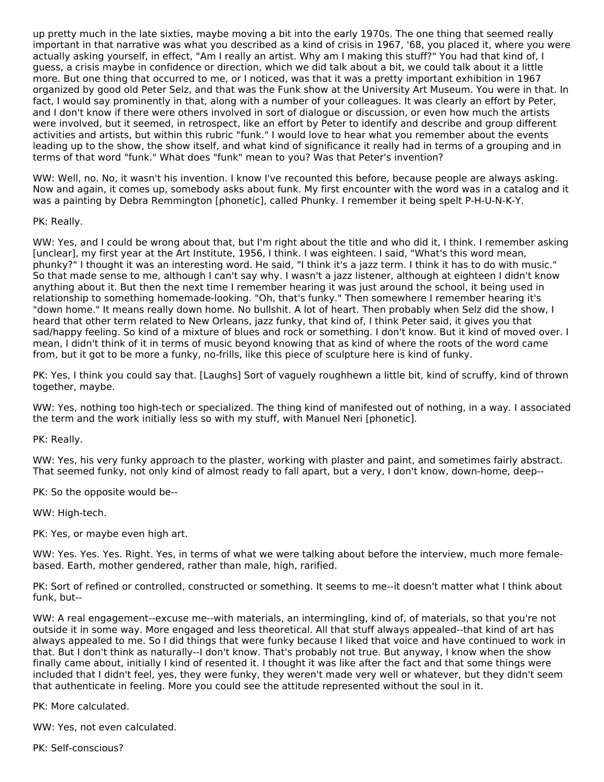up pretty much in the late sixties, maybe moving a bit into the early 1970s. The one thing that seemed really important in that narrative was what you described as a kind of crisis in 1967, '68, you placed it, where you were actually asking yourself, in effect, "Am I really an artist. Why am I making this stuff?" You had that kind of, I guess, a crisis maybe in confidence or direction, which we did talk about a bit, we could talk about it a little more. But one thing that occurred to me, or I noticed, was that it was a pretty important exhibition in 1967 organized by good old Peter Selz, and that was the Funk show at the University Art Museum. You were in that. In fact, I would say prominently in that, along with a number of your colleagues. It was clearly an effort by Peter, and I don't know if there were others involved in sort of dialogue or discussion, or even how much the artists were involved, but it seemed, in retrospect, like an effort by Peter to identify and describe and group different activities and artists, but within this rubric "funk." I would love to hear what you remember about the events leading up to the show, the show itself, and what kind of significance it really had in terms of a grouping and in terms of that word "funk." What does "funk" mean to you? Was that Peter's invention?

WW: Well, no. No, it wasn't his invention. I know I've recounted this before, because people are always asking. Now and again, it comes up, somebody asks about funk. My first encounter with the word was in a catalog and it was a painting by Debra Remmington [phonetic], called Phunky. I remember it being spelt P-H-U-N-K-Y.

# PK: Really.

WW: Yes, and I could be wrong about that, but I'm right about the title and who did it, I think. I remember asking [unclear], my first year at the Art Institute, 1956, I think. I was eighteen. I said, "What's this word mean, phunky?" I thought it was an interesting word. He said, "I think it's a jazz term. I think it has to do with music." So that made sense to me, although I can't say why. I wasn't a jazz listener, although at eighteen I didn't know anything about it. But then the next time I remember hearing it was just around the school, it being used in relationship to something homemade-looking. "Oh, that's funky." Then somewhere I remember hearing it's "down home." It means really down home. No bullshit. A lot of heart. Then probably when Selz did the show, I heard that other term related to New Orleans, jazz funky, that kind of, I think Peter said, it gives you that sad/happy feeling. So kind of a mixture of blues and rock or something. I don't know. But it kind of moved over. I mean, I didn't think of it in terms of music beyond knowing that as kind of where the roots of the word came from, but it got to be more a funky, no-frills, like this piece of sculpture here is kind of funky.

PK: Yes, I think you could say that. [Laughs] Sort of vaguely roughhewn a little bit, kind of scruffy, kind of thrown together, maybe.

WW: Yes, nothing too high-tech or specialized. The thing kind of manifested out of nothing, in a way. I associated the term and the work initially less so with my stuff, with Manuel Neri [phonetic].

PK: Really.

WW: Yes, his very funky approach to the plaster, working with plaster and paint, and sometimes fairly abstract. That seemed funky, not only kind of almost ready to fall apart, but a very, I don't know, down-home, deep--

PK: So the opposite would be--

WW: High-tech.

PK: Yes, or maybe even high art.

WW: Yes. Yes. Yes. Right. Yes, in terms of what we were talking about before the interview, much more femalebased. Earth, mother gendered, rather than male, high, rarified.

PK: Sort of refined or controlled, constructed or something. It seems to me--it doesn't matter what I think about funk, but--

WW: A real engagement--excuse me--with materials, an intermingling, kind of, of materials, so that you're not outside it in some way. More engaged and less theoretical. All that stuff always appealed--that kind of art has always appealed to me. So I did things that were funky because I liked that voice and have continued to work in that. But I don't think as naturally--I don't know. That's probably not true. But anyway, I know when the show finally came about, initially I kind of resented it. I thought it was like after the fact and that some things were included that I didn't feel, yes, they were funky, they weren't made very well or whatever, but they didn't seem that authenticate in feeling. More you could see the attitude represented without the soul in it.

PK: More calculated.

WW: Yes, not even calculated.

PK: Self-conscious?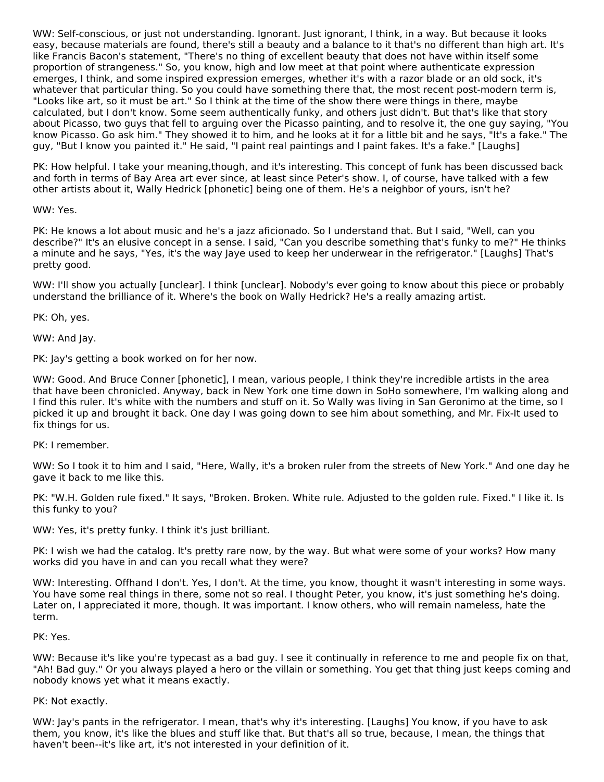WW: Self-conscious, or just not understanding. Ignorant. Just ignorant, I think, in a way. But because it looks easy, because materials are found, there's still a beauty and a balance to it that's no different than high art. It's like Francis Bacon's statement, "There's no thing of excellent beauty that does not have within itself some proportion of strangeness." So, you know, high and low meet at that point where authenticate expression emerges, I think, and some inspired expression emerges, whether it's with a razor blade or an old sock, it's whatever that particular thing. So you could have something there that, the most recent post-modern term is, "Looks like art, so it must be art." So I think at the time of the show there were things in there, maybe calculated, but I don't know. Some seem authentically funky, and others just didn't. But that's like that story about Picasso, two guys that fell to arguing over the Picasso painting, and to resolve it, the one guy saying, "You know Picasso. Go ask him." They showed it to him, and he looks at it for a little bit and he says, "It's a fake." The guy, "But I know you painted it." He said, "I paint real paintings and I paint fakes. It's a fake." [Laughs]

PK: How helpful. I take your meaning,though, and it's interesting. This concept of funk has been discussed back and forth in terms of Bay Area art ever since, at least since Peter's show. I, of course, have talked with a few other artists about it, Wally Hedrick [phonetic] being one of them. He's a neighbor of yours, isn't he?

WW: Yes.

PK: He knows a lot about music and he's a jazz aficionado. So I understand that. But I said, "Well, can you describe?" It's an elusive concept in a sense. I said, "Can you describe something that's funky to me?" He thinks a minute and he says, "Yes, it's the way Jaye used to keep her underwear in the refrigerator." [Laughs] That's pretty good.

WW: I'll show you actually [unclear]. I think [unclear]. Nobody's ever going to know about this piece or probably understand the brilliance of it. Where's the book on Wally Hedrick? He's a really amazing artist.

PK: Oh, yes.

WW: And Jay.

PK: Jay's getting a book worked on for her now.

WW: Good. And Bruce Conner [phonetic], I mean, various people, I think they're incredible artists in the area that have been chronicled. Anyway, back in New York one time down in SoHo somewhere, I'm walking along and I find this ruler. It's white with the numbers and stuff on it. So Wally was living in San Geronimo at the time, so I picked it up and brought it back. One day I was going down to see him about something, and Mr. Fix-It used to fix things for us.

#### PK: I remember.

WW: So I took it to him and I said, "Here, Wally, it's a broken ruler from the streets of New York." And one day he gave it back to me like this.

PK: "W.H. Golden rule fixed." It says, "Broken. Broken. White rule. Adjusted to the golden rule. Fixed." I like it. Is this funky to you?

WW: Yes, it's pretty funky. I think it's just brilliant.

PK: I wish we had the catalog. It's pretty rare now, by the way. But what were some of your works? How many works did you have in and can you recall what they were?

WW: Interesting. Offhand I don't. Yes, I don't. At the time, you know, thought it wasn't interesting in some ways. You have some real things in there, some not so real. I thought Peter, you know, it's just something he's doing. Later on, I appreciated it more, though. It was important. I know others, who will remain nameless, hate the term.

PK: Yes.

WW: Because it's like you're typecast as a bad guy. I see it continually in reference to me and people fix on that, "Ah! Bad guy." Or you always played a hero or the villain or something. You get that thing just keeps coming and nobody knows yet what it means exactly.

#### PK: Not exactly.

WW: Jay's pants in the refrigerator. I mean, that's why it's interesting. [Laughs] You know, if you have to ask them, you know, it's like the blues and stuff like that. But that's all so true, because, I mean, the things that haven't been--it's like art, it's not interested in your definition of it.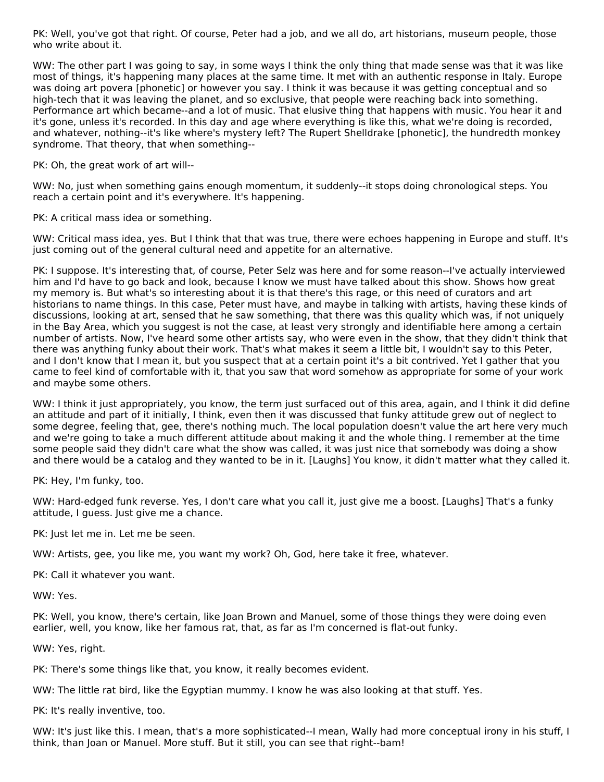PK: Well, you've got that right. Of course, Peter had a job, and we all do, art historians, museum people, those who write about it.

WW: The other part I was going to say, in some ways I think the only thing that made sense was that it was like most of things, it's happening many places at the same time. It met with an authentic response in Italy. Europe was doing art povera [phonetic] or however you say. I think it was because it was getting conceptual and so high-tech that it was leaving the planet, and so exclusive, that people were reaching back into something. Performance art which became--and a lot of music. That elusive thing that happens with music. You hear it and it's gone, unless it's recorded. In this day and age where everything is like this, what we're doing is recorded, and whatever, nothing--it's like where's mystery left? The Rupert Shelldrake [phonetic], the hundredth monkey syndrome. That theory, that when something--

PK: Oh, the great work of art will--

WW: No, just when something gains enough momentum, it suddenly--it stops doing chronological steps. You reach a certain point and it's everywhere. It's happening.

PK: A critical mass idea or something.

WW: Critical mass idea, yes. But I think that that was true, there were echoes happening in Europe and stuff. It's just coming out of the general cultural need and appetite for an alternative.

PK: I suppose. It's interesting that, of course, Peter Selz was here and for some reason--I've actually interviewed him and I'd have to go back and look, because I know we must have talked about this show. Shows how great my memory is. But what's so interesting about it is that there's this rage, or this need of curators and art historians to name things. In this case, Peter must have, and maybe in talking with artists, having these kinds of discussions, looking at art, sensed that he saw something, that there was this quality which was, if not uniquely in the Bay Area, which you suggest is not the case, at least very strongly and identifiable here among a certain number of artists. Now, I've heard some other artists say, who were even in the show, that they didn't think that there was anything funky about their work. That's what makes it seem a little bit, I wouldn't say to this Peter, and I don't know that I mean it, but you suspect that at a certain point it's a bit contrived. Yet I gather that you came to feel kind of comfortable with it, that you saw that word somehow as appropriate for some of your work and maybe some others.

WW: I think it just appropriately, you know, the term just surfaced out of this area, again, and I think it did define an attitude and part of it initially, I think, even then it was discussed that funky attitude grew out of neglect to some degree, feeling that, gee, there's nothing much. The local population doesn't value the art here very much and we're going to take a much different attitude about making it and the whole thing. I remember at the time some people said they didn't care what the show was called, it was just nice that somebody was doing a show and there would be a catalog and they wanted to be in it. [Laughs] You know, it didn't matter what they called it.

PK: Hey, I'm funky, too.

WW: Hard-edged funk reverse. Yes, I don't care what you call it, just give me a boost. [Laughs] That's a funky attitude, I guess. Just give me a chance.

PK: Just let me in. Let me be seen.

WW: Artists, gee, you like me, you want my work? Oh, God, here take it free, whatever.

PK: Call it whatever you want.

WW: Yes.

PK: Well, you know, there's certain, like Joan Brown and Manuel, some of those things they were doing even earlier, well, you know, like her famous rat, that, as far as I'm concerned is flat-out funky.

WW: Yes, right.

PK: There's some things like that, you know, it really becomes evident.

WW: The little rat bird, like the Egyptian mummy. I know he was also looking at that stuff. Yes.

PK: It's really inventive, too.

WW: It's just like this. I mean, that's a more sophisticated--I mean, Wally had more conceptual irony in his stuff, I think, than Joan or Manuel. More stuff. But it still, you can see that right--bam!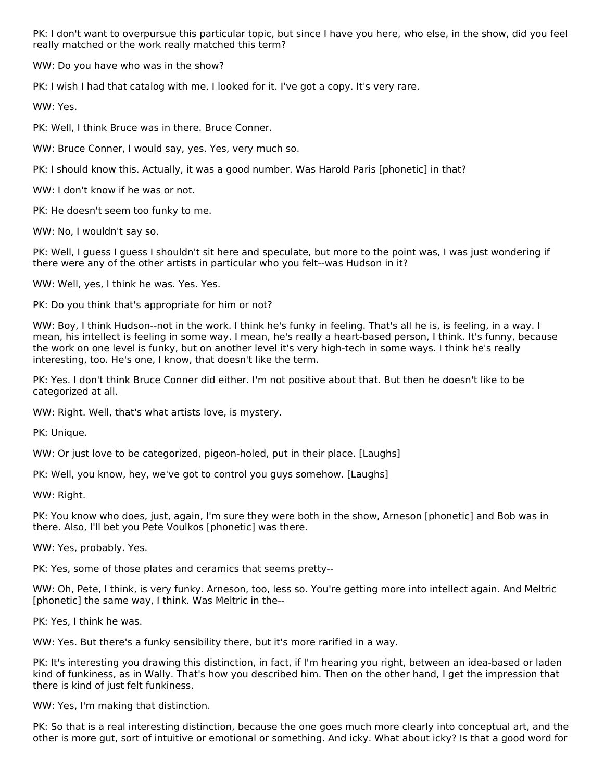PK: I don't want to overpursue this particular topic, but since I have you here, who else, in the show, did you feel really matched or the work really matched this term?

WW: Do you have who was in the show?

PK: I wish I had that catalog with me. I looked for it. I've got a copy. It's very rare.

WW: Yes.

PK: Well, I think Bruce was in there. Bruce Conner.

WW: Bruce Conner, I would say, yes. Yes, very much so.

PK: I should know this. Actually, it was a good number. Was Harold Paris [phonetic] in that?

WW: I don't know if he was or not.

PK: He doesn't seem too funky to me.

WW: No, I wouldn't say so.

PK: Well, I guess I guess I shouldn't sit here and speculate, but more to the point was, I was just wondering if there were any of the other artists in particular who you felt--was Hudson in it?

WW: Well, yes, I think he was. Yes. Yes.

PK: Do you think that's appropriate for him or not?

WW: Boy, I think Hudson--not in the work. I think he's funky in feeling. That's all he is, is feeling, in a way. I mean, his intellect is feeling in some way. I mean, he's really a heart-based person, I think. It's funny, because the work on one level is funky, but on another level it's very high-tech in some ways. I think he's really interesting, too. He's one, I know, that doesn't like the term.

PK: Yes. I don't think Bruce Conner did either. I'm not positive about that. But then he doesn't like to be categorized at all.

WW: Right. Well, that's what artists love, is mystery.

PK: Unique.

WW: Or just love to be categorized, pigeon-holed, put in their place. [Laughs]

PK: Well, you know, hey, we've got to control you guys somehow. [Laughs]

WW: Right.

PK: You know who does, just, again, I'm sure they were both in the show, Arneson [phonetic] and Bob was in there. Also, I'll bet you Pete Voulkos [phonetic] was there.

WW: Yes, probably. Yes.

PK: Yes, some of those plates and ceramics that seems pretty--

WW: Oh, Pete, I think, is very funky. Arneson, too, less so. You're getting more into intellect again. And Meltric [phonetic] the same way, I think. Was Meltric in the--

PK: Yes, I think he was.

WW: Yes. But there's a funky sensibility there, but it's more rarified in a way.

PK: It's interesting you drawing this distinction, in fact, if I'm hearing you right, between an idea-based or laden kind of funkiness, as in Wally. That's how you described him. Then on the other hand, I get the impression that there is kind of just felt funkiness.

WW: Yes, I'm making that distinction.

PK: So that is a real interesting distinction, because the one goes much more clearly into conceptual art, and the other is more gut, sort of intuitive or emotional or something. And icky. What about icky? Is that a good word for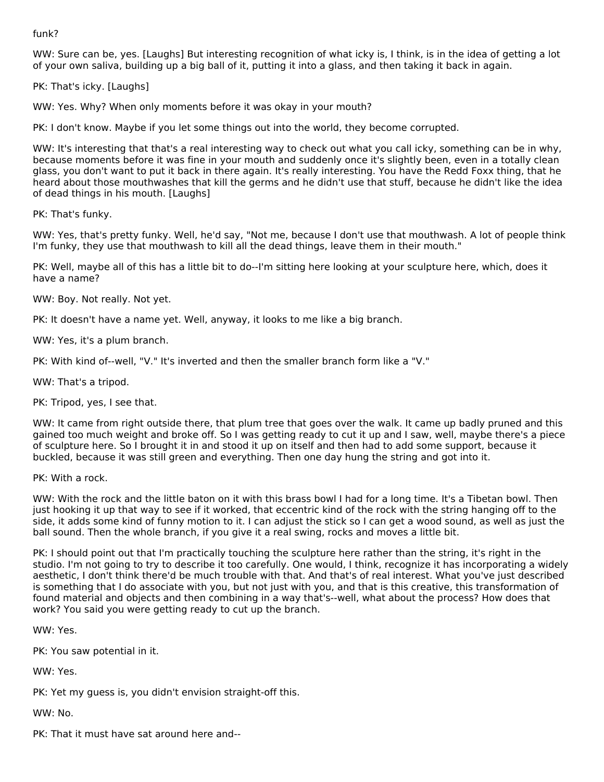funk?

WW: Sure can be, yes. [Laughs] But interesting recognition of what icky is, I think, is in the idea of getting a lot of your own saliva, building up a big ball of it, putting it into a glass, and then taking it back in again.

PK: That's icky. [Laughs]

WW: Yes. Why? When only moments before it was okay in your mouth?

PK: I don't know. Maybe if you let some things out into the world, they become corrupted.

WW: It's interesting that that's a real interesting way to check out what you call icky, something can be in why, because moments before it was fine in your mouth and suddenly once it's slightly been, even in a totally clean glass, you don't want to put it back in there again. It's really interesting. You have the Redd Foxx thing, that he heard about those mouthwashes that kill the germs and he didn't use that stuff, because he didn't like the idea of dead things in his mouth. [Laughs]

PK: That's funky.

WW: Yes, that's pretty funky. Well, he'd say, "Not me, because I don't use that mouthwash. A lot of people think I'm funky, they use that mouthwash to kill all the dead things, leave them in their mouth."

PK: Well, maybe all of this has a little bit to do--I'm sitting here looking at your sculpture here, which, does it have a name?

WW: Boy. Not really. Not yet.

PK: It doesn't have a name yet. Well, anyway, it looks to me like a big branch.

WW: Yes, it's a plum branch.

PK: With kind of--well, "V." It's inverted and then the smaller branch form like a "V."

WW: That's a tripod.

PK: Tripod, yes, I see that.

WW: It came from right outside there, that plum tree that goes over the walk. It came up badly pruned and this gained too much weight and broke off. So I was getting ready to cut it up and I saw, well, maybe there's a piece of sculpture here. So I brought it in and stood it up on itself and then had to add some support, because it buckled, because it was still green and everything. Then one day hung the string and got into it.

PK: With a rock.

WW: With the rock and the little baton on it with this brass bowl I had for a long time. It's a Tibetan bowl. Then just hooking it up that way to see if it worked, that eccentric kind of the rock with the string hanging off to the side, it adds some kind of funny motion to it. I can adjust the stick so I can get a wood sound, as well as just the ball sound. Then the whole branch, if you give it a real swing, rocks and moves a little bit.

PK: I should point out that I'm practically touching the sculpture here rather than the string, it's right in the studio. I'm not going to try to describe it too carefully. One would, I think, recognize it has incorporating a widely aesthetic, I don't think there'd be much trouble with that. And that's of real interest. What you've just described is something that I do associate with you, but not just with you, and that is this creative, this transformation of found material and objects and then combining in a way that's--well, what about the process? How does that work? You said you were getting ready to cut up the branch.

WW: Yes.

PK: You saw potential in it.

WW: Yes.

PK: Yet my guess is, you didn't envision straight-off this.

WW: No.

PK: That it must have sat around here and--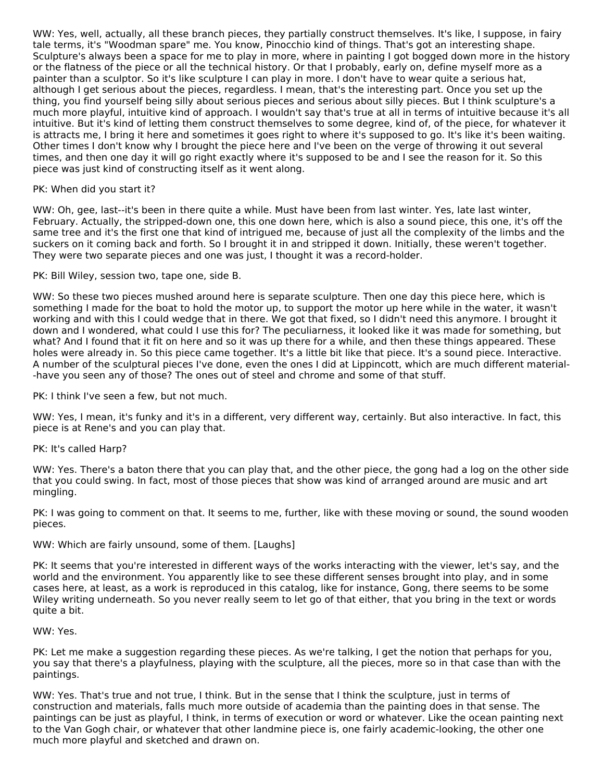WW: Yes, well, actually, all these branch pieces, they partially construct themselves. It's like, I suppose, in fairy tale terms, it's "Woodman spare" me. You know, Pinocchio kind of things. That's got an interesting shape. Sculpture's always been a space for me to play in more, where in painting I got bogged down more in the history or the flatness of the piece or all the technical history. Or that I probably, early on, define myself more as a painter than a sculptor. So it's like sculpture I can play in more. I don't have to wear quite a serious hat, although I get serious about the pieces, regardless. I mean, that's the interesting part. Once you set up the thing, you find yourself being silly about serious pieces and serious about silly pieces. But I think sculpture's a much more playful, intuitive kind of approach. I wouldn't say that's true at all in terms of intuitive because it's all intuitive. But it's kind of letting them construct themselves to some degree, kind of, of the piece, for whatever it is attracts me, I bring it here and sometimes it goes right to where it's supposed to go. It's like it's been waiting. Other times I don't know why I brought the piece here and I've been on the verge of throwing it out several times, and then one day it will go right exactly where it's supposed to be and I see the reason for it. So this piece was just kind of constructing itself as it went along.

#### PK: When did you start it?

WW: Oh, gee, last--it's been in there quite a while. Must have been from last winter. Yes, late last winter, February. Actually, the stripped-down one, this one down here, which is also a sound piece, this one, it's off the same tree and it's the first one that kind of intrigued me, because of just all the complexity of the limbs and the suckers on it coming back and forth. So I brought it in and stripped it down. Initially, these weren't together. They were two separate pieces and one was just, I thought it was a record-holder.

PK: Bill Wiley, session two, tape one, side B.

WW: So these two pieces mushed around here is separate sculpture. Then one day this piece here, which is something I made for the boat to hold the motor up, to support the motor up here while in the water, it wasn't working and with this I could wedge that in there. We got that fixed, so I didn't need this anymore. I brought it down and I wondered, what could I use this for? The peculiarness, it looked like it was made for something, but what? And I found that it fit on here and so it was up there for a while, and then these things appeared. These holes were already in. So this piece came together. It's a little bit like that piece. It's a sound piece. Interactive. A number of the sculptural pieces I've done, even the ones I did at Lippincott, which are much different material- -have you seen any of those? The ones out of steel and chrome and some of that stuff.

PK: I think I've seen a few, but not much.

WW: Yes, I mean, it's funky and it's in a different, very different way, certainly. But also interactive. In fact, this piece is at Rene's and you can play that.

# PK: It's called Harp?

WW: Yes. There's a baton there that you can play that, and the other piece, the gong had a log on the other side that you could swing. In fact, most of those pieces that show was kind of arranged around are music and art mingling.

PK: I was going to comment on that. It seems to me, further, like with these moving or sound, the sound wooden pieces.

# WW: Which are fairly unsound, some of them. [Laughs]

PK: It seems that you're interested in different ways of the works interacting with the viewer, let's say, and the world and the environment. You apparently like to see these different senses brought into play, and in some cases here, at least, as a work is reproduced in this catalog, like for instance, Gong, there seems to be some Wiley writing underneath. So you never really seem to let go of that either, that you bring in the text or words quite a bit.

#### WW: Yes.

PK: Let me make a suggestion regarding these pieces. As we're talking, I get the notion that perhaps for you, you say that there's a playfulness, playing with the sculpture, all the pieces, more so in that case than with the paintings.

WW: Yes. That's true and not true, I think. But in the sense that I think the sculpture, just in terms of construction and materials, falls much more outside of academia than the painting does in that sense. The paintings can be just as playful, I think, in terms of execution or word or whatever. Like the ocean painting next to the Van Gogh chair, or whatever that other landmine piece is, one fairly academic-looking, the other one much more playful and sketched and drawn on.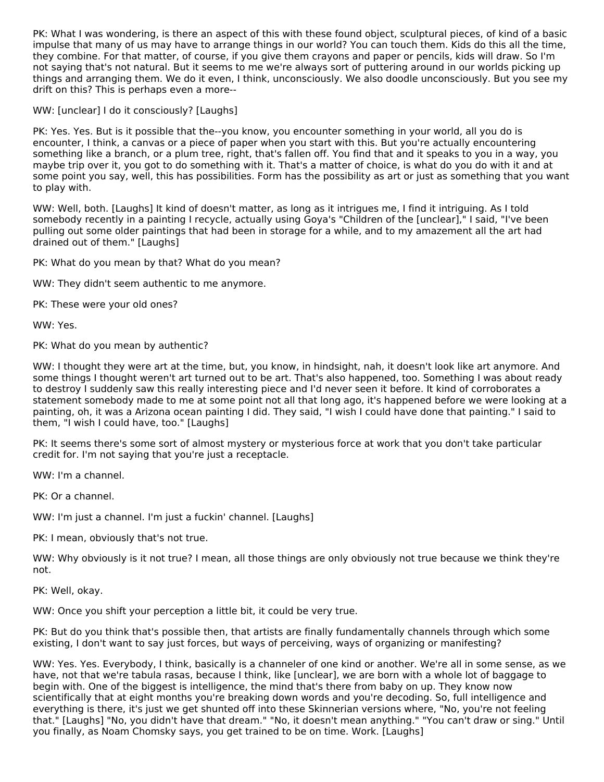PK: What I was wondering, is there an aspect of this with these found object, sculptural pieces, of kind of a basic impulse that many of us may have to arrange things in our world? You can touch them. Kids do this all the time, they combine. For that matter, of course, if you give them crayons and paper or pencils, kids will draw. So I'm not saying that's not natural. But it seems to me we're always sort of puttering around in our worlds picking up things and arranging them. We do it even, I think, unconsciously. We also doodle unconsciously. But you see my drift on this? This is perhaps even a more--

WW: [unclear] I do it consciously? [Laughs]

PK: Yes. Yes. But is it possible that the--you know, you encounter something in your world, all you do is encounter, I think, a canvas or a piece of paper when you start with this. But you're actually encountering something like a branch, or a plum tree, right, that's fallen off. You find that and it speaks to you in a way, you maybe trip over it, you got to do something with it. That's a matter of choice, is what do you do with it and at some point you say, well, this has possibilities. Form has the possibility as art or just as something that you want to play with.

WW: Well, both. [Laughs] It kind of doesn't matter, as long as it intrigues me, I find it intriguing. As I told somebody recently in a painting I recycle, actually using Goya's "Children of the [unclear]," I said, "I've been pulling out some older paintings that had been in storage for a while, and to my amazement all the art had drained out of them." [Laughs]

PK: What do you mean by that? What do you mean?

WW: They didn't seem authentic to me anymore.

PK: These were your old ones?

WW: Yes.

PK: What do you mean by authentic?

WW: I thought they were art at the time, but, you know, in hindsight, nah, it doesn't look like art anymore. And some things I thought weren't art turned out to be art. That's also happened, too. Something I was about ready to destroy I suddenly saw this really interesting piece and I'd never seen it before. It kind of corroborates a statement somebody made to me at some point not all that long ago, it's happened before we were looking at a painting, oh, it was a Arizona ocean painting I did. They said, "I wish I could have done that painting." I said to them, "I wish I could have, too." [Laughs]

PK: It seems there's some sort of almost mystery or mysterious force at work that you don't take particular credit for. I'm not saying that you're just a receptacle.

WW: I'm a channel.

PK: Or a channel.

WW: I'm just a channel. I'm just a fuckin' channel. [Laughs]

PK: I mean, obviously that's not true.

WW: Why obviously is it not true? I mean, all those things are only obviously not true because we think they're not.

PK: Well, okay.

WW: Once you shift your perception a little bit, it could be very true.

PK: But do you think that's possible then, that artists are finally fundamentally channels through which some existing, I don't want to say just forces, but ways of perceiving, ways of organizing or manifesting?

WW: Yes. Yes. Everybody, I think, basically is a channeler of one kind or another. We're all in some sense, as we have, not that we're tabula rasas, because I think, like [unclear], we are born with a whole lot of baggage to begin with. One of the biggest is intelligence, the mind that's there from baby on up. They know now scientifically that at eight months you're breaking down words and you're decoding. So, full intelligence and everything is there, it's just we get shunted off into these Skinnerian versions where, "No, you're not feeling that." [Laughs] "No, you didn't have that dream." "No, it doesn't mean anything." "You can't draw or sing." Until you finally, as Noam Chomsky says, you get trained to be on time. Work. [Laughs]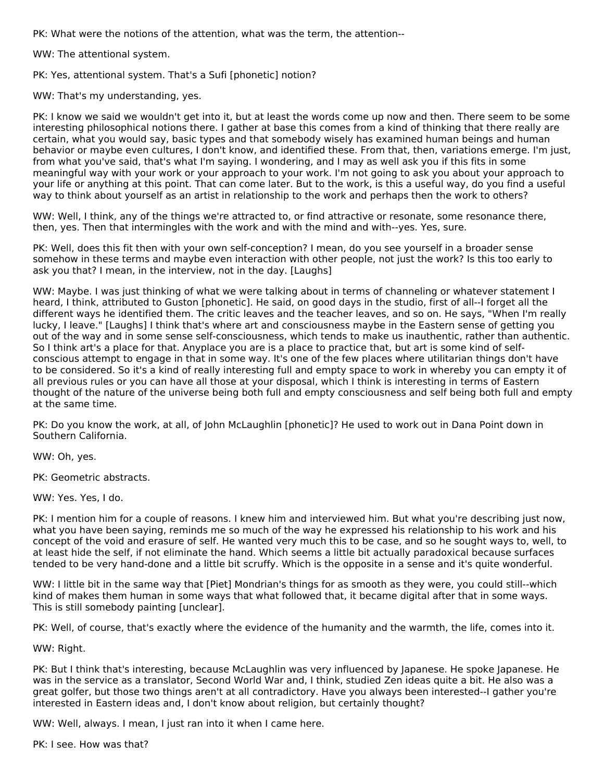PK: What were the notions of the attention, what was the term, the attention--

WW: The attentional system.

PK: Yes, attentional system. That's a Sufi [phonetic] notion?

WW: That's my understanding, yes.

PK: I know we said we wouldn't get into it, but at least the words come up now and then. There seem to be some interesting philosophical notions there. I gather at base this comes from a kind of thinking that there really are certain, what you would say, basic types and that somebody wisely has examined human beings and human behavior or maybe even cultures, I don't know, and identified these. From that, then, variations emerge. I'm just, from what you've said, that's what I'm saying. I wondering, and I may as well ask you if this fits in some meaningful way with your work or your approach to your work. I'm not going to ask you about your approach to your life or anything at this point. That can come later. But to the work, is this a useful way, do you find a useful way to think about yourself as an artist in relationship to the work and perhaps then the work to others?

WW: Well, I think, any of the things we're attracted to, or find attractive or resonate, some resonance there, then, yes. Then that intermingles with the work and with the mind and with--yes. Yes, sure.

PK: Well, does this fit then with your own self-conception? I mean, do you see yourself in a broader sense somehow in these terms and maybe even interaction with other people, not just the work? Is this too early to ask you that? I mean, in the interview, not in the day. [Laughs]

WW: Maybe. I was just thinking of what we were talking about in terms of channeling or whatever statement I heard, I think, attributed to Guston [phonetic]. He said, on good days in the studio, first of all--I forget all the different ways he identified them. The critic leaves and the teacher leaves, and so on. He says, "When I'm really lucky, I leave." [Laughs] I think that's where art and consciousness maybe in the Eastern sense of getting you out of the way and in some sense self-consciousness, which tends to make us inauthentic, rather than authentic. So I think art's a place for that. Anyplace you are is a place to practice that, but art is some kind of selfconscious attempt to engage in that in some way. It's one of the few places where utilitarian things don't have to be considered. So it's a kind of really interesting full and empty space to work in whereby you can empty it of all previous rules or you can have all those at your disposal, which I think is interesting in terms of Eastern thought of the nature of the universe being both full and empty consciousness and self being both full and empty at the same time.

PK: Do you know the work, at all, of John McLaughlin [phonetic]? He used to work out in Dana Point down in Southern California.

WW: Oh, yes.

PK: Geometric abstracts.

WW: Yes. Yes, I do.

PK: I mention him for a couple of reasons. I knew him and interviewed him. But what you're describing just now, what you have been saying, reminds me so much of the way he expressed his relationship to his work and his concept of the void and erasure of self. He wanted very much this to be case, and so he sought ways to, well, to at least hide the self, if not eliminate the hand. Which seems a little bit actually paradoxical because surfaces tended to be very hand-done and a little bit scruffy. Which is the opposite in a sense and it's quite wonderful.

WW: I little bit in the same way that [Piet] Mondrian's things for as smooth as they were, you could still--which kind of makes them human in some ways that what followed that, it became digital after that in some ways. This is still somebody painting [unclear].

PK: Well, of course, that's exactly where the evidence of the humanity and the warmth, the life, comes into it.

WW: Right.

PK: But I think that's interesting, because McLaughlin was very influenced by Japanese. He spoke Japanese. He was in the service as a translator, Second World War and, I think, studied Zen ideas quite a bit. He also was a great golfer, but those two things aren't at all contradictory. Have you always been interested--I gather you're interested in Eastern ideas and, I don't know about religion, but certainly thought?

WW: Well, always. I mean, I just ran into it when I came here.

PK: I see. How was that?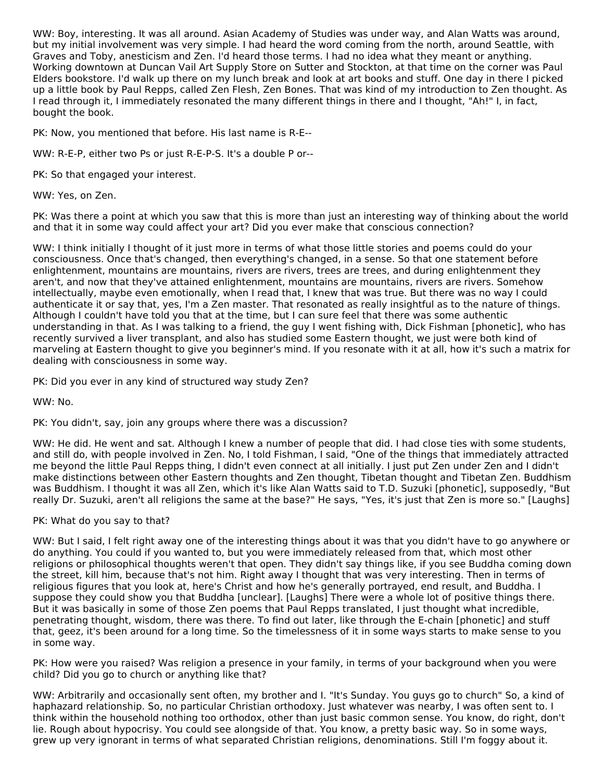WW: Boy, interesting. It was all around. Asian Academy of Studies was under way, and Alan Watts was around, but my initial involvement was very simple. I had heard the word coming from the north, around Seattle, with Graves and Toby, anesticism and Zen. I'd heard those terms. I had no idea what they meant or anything. Working downtown at Duncan Vail Art Supply Store on Sutter and Stockton, at that time on the corner was Paul Elders bookstore. I'd walk up there on my lunch break and look at art books and stuff. One day in there I picked up a little book by Paul Repps, called Zen Flesh, Zen Bones. That was kind of my introduction to Zen thought. As I read through it, I immediately resonated the many different things in there and I thought, "Ah!" I, in fact, bought the book.

PK: Now, you mentioned that before. His last name is R-E--

WW: R-E-P, either two Ps or just R-E-P-S. It's a double P or--

PK: So that engaged your interest.

WW: Yes, on Zen.

PK: Was there a point at which you saw that this is more than just an interesting way of thinking about the world and that it in some way could affect your art? Did you ever make that conscious connection?

WW: I think initially I thought of it just more in terms of what those little stories and poems could do your consciousness. Once that's changed, then everything's changed, in a sense. So that one statement before enlightenment, mountains are mountains, rivers are rivers, trees are trees, and during enlightenment they aren't, and now that they've attained enlightenment, mountains are mountains, rivers are rivers. Somehow intellectually, maybe even emotionally, when I read that, I knew that was true. But there was no way I could authenticate it or say that, yes, I'm a Zen master. That resonated as really insightful as to the nature of things. Although I couldn't have told you that at the time, but I can sure feel that there was some authentic understanding in that. As I was talking to a friend, the guy I went fishing with, Dick Fishman [phonetic], who has recently survived a liver transplant, and also has studied some Eastern thought, we just were both kind of marveling at Eastern thought to give you beginner's mind. If you resonate with it at all, how it's such a matrix for dealing with consciousness in some way.

PK: Did you ever in any kind of structured way study Zen?

WW: No.

PK: You didn't, say, join any groups where there was a discussion?

WW: He did. He went and sat. Although I knew a number of people that did. I had close ties with some students, and still do, with people involved in Zen. No, I told Fishman, I said, "One of the things that immediately attracted me beyond the little Paul Repps thing, I didn't even connect at all initially. I just put Zen under Zen and I didn't make distinctions between other Eastern thoughts and Zen thought, Tibetan thought and Tibetan Zen. Buddhism was Buddhism. I thought it was all Zen, which it's like Alan Watts said to T.D. Suzuki [phonetic], supposedly, "But really Dr. Suzuki, aren't all religions the same at the base?" He says, "Yes, it's just that Zen is more so." [Laughs]

PK: What do you say to that?

WW: But I said, I felt right away one of the interesting things about it was that you didn't have to go anywhere or do anything. You could if you wanted to, but you were immediately released from that, which most other religions or philosophical thoughts weren't that open. They didn't say things like, if you see Buddha coming down the street, kill him, because that's not him. Right away I thought that was very interesting. Then in terms of religious figures that you look at, here's Christ and how he's generally portrayed, end result, and Buddha. I suppose they could show you that Buddha [unclear]. [Laughs] There were a whole lot of positive things there. But it was basically in some of those Zen poems that Paul Repps translated, I just thought what incredible, penetrating thought, wisdom, there was there. To find out later, like through the E-chain [phonetic] and stuff that, geez, it's been around for a long time. So the timelessness of it in some ways starts to make sense to you in some way.

PK: How were you raised? Was religion a presence in your family, in terms of your background when you were child? Did you go to church or anything like that?

WW: Arbitrarily and occasionally sent often, my brother and I. "It's Sunday. You guys go to church" So, a kind of haphazard relationship. So, no particular Christian orthodoxy. Just whatever was nearby, I was often sent to. I think within the household nothing too orthodox, other than just basic common sense. You know, do right, don't lie. Rough about hypocrisy. You could see alongside of that. You know, a pretty basic way. So in some ways, grew up very ignorant in terms of what separated Christian religions, denominations. Still I'm foggy about it.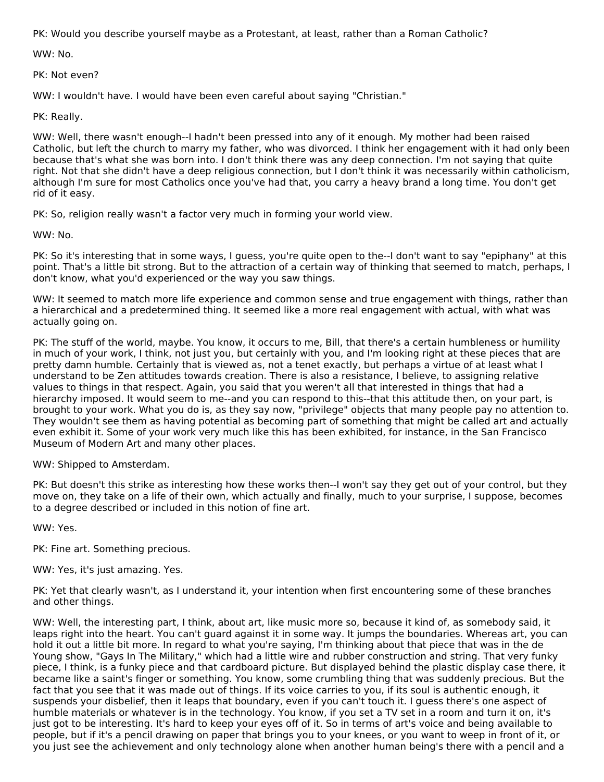PK: Would you describe yourself maybe as a Protestant, at least, rather than a Roman Catholic?

WW: No.

PK: Not even?

WW: I wouldn't have. I would have been even careful about saying "Christian."

PK: Really.

WW: Well, there wasn't enough--I hadn't been pressed into any of it enough. My mother had been raised Catholic, but left the church to marry my father, who was divorced. I think her engagement with it had only been because that's what she was born into. I don't think there was any deep connection. I'm not saying that quite right. Not that she didn't have a deep religious connection, but I don't think it was necessarily within catholicism, although I'm sure for most Catholics once you've had that, you carry a heavy brand a long time. You don't get rid of it easy.

PK: So, religion really wasn't a factor very much in forming your world view.

WW: No.

PK: So it's interesting that in some ways, I guess, you're quite open to the--I don't want to say "epiphany" at this point. That's a little bit strong. But to the attraction of a certain way of thinking that seemed to match, perhaps, I don't know, what you'd experienced or the way you saw things.

WW: It seemed to match more life experience and common sense and true engagement with things, rather than a hierarchical and a predetermined thing. It seemed like a more real engagement with actual, with what was actually going on.

PK: The stuff of the world, maybe. You know, it occurs to me, Bill, that there's a certain humbleness or humility in much of your work, I think, not just you, but certainly with you, and I'm looking right at these pieces that are pretty damn humble. Certainly that is viewed as, not a tenet exactly, but perhaps a virtue of at least what I understand to be Zen attitudes towards creation. There is also a resistance, I believe, to assigning relative values to things in that respect. Again, you said that you weren't all that interested in things that had a hierarchy imposed. It would seem to me--and you can respond to this--that this attitude then, on your part, is brought to your work. What you do is, as they say now, "privilege" objects that many people pay no attention to. They wouldn't see them as having potential as becoming part of something that might be called art and actually even exhibit it. Some of your work very much like this has been exhibited, for instance, in the San Francisco Museum of Modern Art and many other places.

WW: Shipped to Amsterdam.

PK: But doesn't this strike as interesting how these works then--I won't say they get out of your control, but they move on, they take on a life of their own, which actually and finally, much to your surprise, I suppose, becomes to a degree described or included in this notion of fine art.

WW: Yes.

PK: Fine art. Something precious.

WW: Yes, it's just amazing. Yes.

PK: Yet that clearly wasn't, as I understand it, your intention when first encountering some of these branches and other things.

WW: Well, the interesting part, I think, about art, like music more so, because it kind of, as somebody said, it leaps right into the heart. You can't guard against it in some way. It jumps the boundaries. Whereas art, you can hold it out a little bit more. In regard to what you're saying, I'm thinking about that piece that was in the de Young show, "Gays In The Military," which had a little wire and rubber construction and string. That very funky piece, I think, is a funky piece and that cardboard picture. But displayed behind the plastic display case there, it became like a saint's finger or something. You know, some crumbling thing that was suddenly precious. But the fact that you see that it was made out of things. If its voice carries to you, if its soul is authentic enough, it suspends your disbelief, then it leaps that boundary, even if you can't touch it. I guess there's one aspect of humble materials or whatever is in the technology. You know, if you set a TV set in a room and turn it on, it's just got to be interesting. It's hard to keep your eyes off of it. So in terms of art's voice and being available to people, but if it's a pencil drawing on paper that brings you to your knees, or you want to weep in front of it, or you just see the achievement and only technology alone when another human being's there with a pencil and a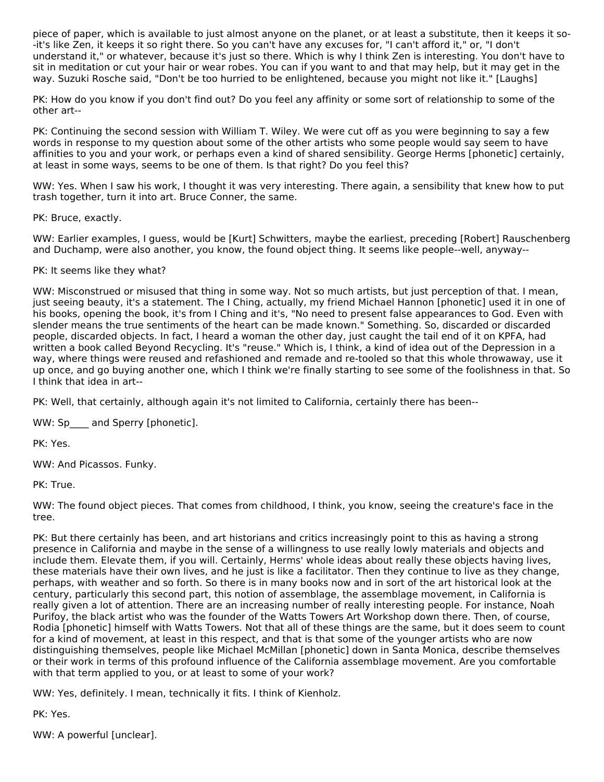piece of paper, which is available to just almost anyone on the planet, or at least a substitute, then it keeps it so- -it's like Zen, it keeps it so right there. So you can't have any excuses for, "I can't afford it," or, "I don't understand it," or whatever, because it's just so there. Which is why I think Zen is interesting. You don't have to sit in meditation or cut your hair or wear robes. You can if you want to and that may help, but it may get in the way. Suzuki Rosche said, "Don't be too hurried to be enlightened, because you might not like it." [Laughs]

PK: How do you know if you don't find out? Do you feel any affinity or some sort of relationship to some of the other art--

PK: Continuing the second session with William T. Wiley. We were cut off as you were beginning to say a few words in response to my question about some of the other artists who some people would say seem to have affinities to you and your work, or perhaps even a kind of shared sensibility. George Herms [phonetic] certainly, at least in some ways, seems to be one of them. Is that right? Do you feel this?

WW: Yes. When I saw his work, I thought it was very interesting. There again, a sensibility that knew how to put trash together, turn it into art. Bruce Conner, the same.

PK: Bruce, exactly.

WW: Earlier examples, I guess, would be [Kurt] Schwitters, maybe the earliest, preceding [Robert] Rauschenberg and Duchamp, were also another, you know, the found object thing. It seems like people--well, anyway--

# PK: It seems like they what?

WW: Misconstrued or misused that thing in some way. Not so much artists, but just perception of that. I mean, just seeing beauty, it's a statement. The I Ching, actually, my friend Michael Hannon [phonetic] used it in one of his books, opening the book, it's from I Ching and it's, "No need to present false appearances to God. Even with slender means the true sentiments of the heart can be made known." Something. So, discarded or discarded people, discarded objects. In fact, I heard a woman the other day, just caught the tail end of it on KPFA, had written a book called Beyond Recycling. It's "reuse." Which is, I think, a kind of idea out of the Depression in a way, where things were reused and refashioned and remade and re-tooled so that this whole throwaway, use it up once, and go buying another one, which I think we're finally starting to see some of the foolishness in that. So I think that idea in art--

PK: Well, that certainly, although again it's not limited to California, certainly there has been--

WW: Sp\_\_\_\_ and Sperry [phonetic].

PK: Yes.

WW: And Picassos. Funky.

PK: True.

WW: The found object pieces. That comes from childhood, I think, you know, seeing the creature's face in the tree.

PK: But there certainly has been, and art historians and critics increasingly point to this as having a strong presence in California and maybe in the sense of a willingness to use really lowly materials and objects and include them. Elevate them, if you will. Certainly, Herms' whole ideas about really these objects having lives, these materials have their own lives, and he just is like a facilitator. Then they continue to live as they change, perhaps, with weather and so forth. So there is in many books now and in sort of the art historical look at the century, particularly this second part, this notion of assemblage, the assemblage movement, in California is really given a lot of attention. There are an increasing number of really interesting people. For instance, Noah Purifoy, the black artist who was the founder of the Watts Towers Art Workshop down there. Then, of course, Rodia [phonetic] himself with Watts Towers. Not that all of these things are the same, but it does seem to count for a kind of movement, at least in this respect, and that is that some of the younger artists who are now distinguishing themselves, people like Michael McMillan [phonetic] down in Santa Monica, describe themselves or their work in terms of this profound influence of the California assemblage movement. Are you comfortable with that term applied to you, or at least to some of your work?

WW: Yes, definitely. I mean, technically it fits. I think of Kienholz.

PK: Yes.

WW: A powerful [unclear].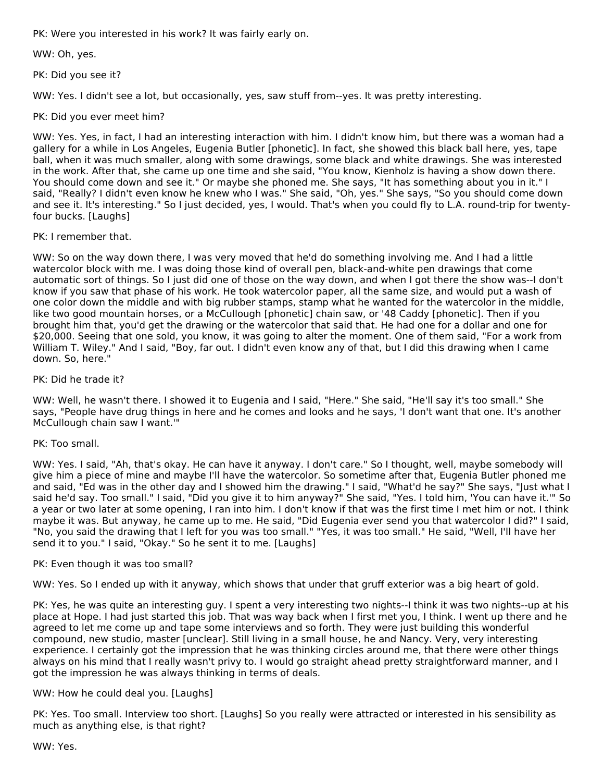PK: Were you interested in his work? It was fairly early on.

WW: Oh, yes.

PK: Did you see it?

WW: Yes. I didn't see a lot, but occasionally, yes, saw stuff from--yes. It was pretty interesting.

PK: Did you ever meet him?

WW: Yes. Yes, in fact, I had an interesting interaction with him. I didn't know him, but there was a woman had a gallery for a while in Los Angeles, Eugenia Butler [phonetic]. In fact, she showed this black ball here, yes, tape ball, when it was much smaller, along with some drawings, some black and white drawings. She was interested in the work. After that, she came up one time and she said, "You know, Kienholz is having a show down there. You should come down and see it." Or maybe she phoned me. She says, "It has something about you in it." I said, "Really? I didn't even know he knew who I was." She said, "Oh, yes." She says, "So you should come down and see it. It's interesting." So I just decided, yes, I would. That's when you could fly to L.A. round-trip for twentyfour bucks. [Laughs]

PK: I remember that.

WW: So on the way down there, I was very moved that he'd do something involving me. And I had a little watercolor block with me. I was doing those kind of overall pen, black-and-white pen drawings that come automatic sort of things. So I just did one of those on the way down, and when I got there the show was--I don't know if you saw that phase of his work. He took watercolor paper, all the same size, and would put a wash of one color down the middle and with big rubber stamps, stamp what he wanted for the watercolor in the middle, like two good mountain horses, or a McCullough [phonetic] chain saw, or '48 Caddy [phonetic]. Then if you brought him that, you'd get the drawing or the watercolor that said that. He had one for a dollar and one for \$20,000. Seeing that one sold, you know, it was going to alter the moment. One of them said, "For a work from William T. Wiley." And I said, "Boy, far out. I didn't even know any of that, but I did this drawing when I came down. So, here."

#### PK: Did he trade it?

WW: Well, he wasn't there. I showed it to Eugenia and I said, "Here." She said, "He'll say it's too small." She says, "People have drug things in here and he comes and looks and he says, 'I don't want that one. It's another McCullough chain saw I want.'"

#### PK: Too small.

WW: Yes. I said, "Ah, that's okay. He can have it anyway. I don't care." So I thought, well, maybe somebody will give him a piece of mine and maybe I'll have the watercolor. So sometime after that, Eugenia Butler phoned me and said, "Ed was in the other day and I showed him the drawing." I said, "What'd he say?" She says, "Just what I said he'd say. Too small." I said, "Did you give it to him anyway?" She said, "Yes. I told him, 'You can have it.'" So a year or two later at some opening, I ran into him. I don't know if that was the first time I met him or not. I think maybe it was. But anyway, he came up to me. He said, "Did Eugenia ever send you that watercolor I did?" I said, "No, you said the drawing that I left for you was too small." "Yes, it was too small." He said, "Well, I'll have her send it to you." I said, "Okay." So he sent it to me. [Laughs]

#### PK: Even though it was too small?

WW: Yes. So I ended up with it anyway, which shows that under that gruff exterior was a big heart of gold.

PK: Yes, he was quite an interesting guy. I spent a very interesting two nights--I think it was two nights--up at his place at Hope. I had just started this job. That was way back when I first met you, I think. I went up there and he agreed to let me come up and tape some interviews and so forth. They were just building this wonderful compound, new studio, master [unclear]. Still living in a small house, he and Nancy. Very, very interesting experience. I certainly got the impression that he was thinking circles around me, that there were other things always on his mind that I really wasn't privy to. I would go straight ahead pretty straightforward manner, and I got the impression he was always thinking in terms of deals.

#### WW: How he could deal you. [Laughs]

PK: Yes. Too small. Interview too short. [Laughs] So you really were attracted or interested in his sensibility as much as anything else, is that right?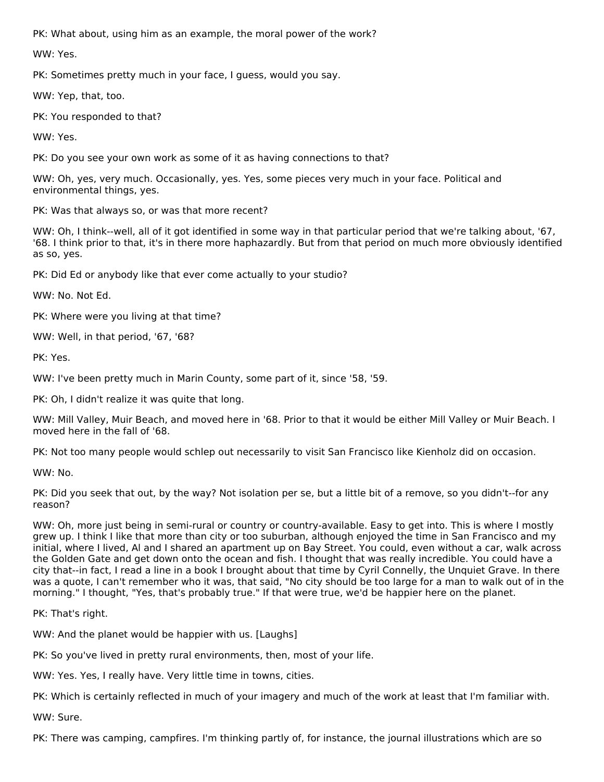PK: What about, using him as an example, the moral power of the work?

WW: Yes.

PK: Sometimes pretty much in your face, I guess, would you say.

WW: Yep, that, too.

PK: You responded to that?

WW: Yes.

PK: Do you see your own work as some of it as having connections to that?

WW: Oh, yes, very much. Occasionally, yes. Yes, some pieces very much in your face. Political and environmental things, yes.

PK: Was that always so, or was that more recent?

WW: Oh, I think--well, all of it got identified in some way in that particular period that we're talking about, '67, '68. I think prior to that, it's in there more haphazardly. But from that period on much more obviously identified as so, yes.

PK: Did Ed or anybody like that ever come actually to your studio?

WW: No. Not Ed.

PK: Where were you living at that time?

WW: Well, in that period, '67, '68?

PK: Yes.

WW: I've been pretty much in Marin County, some part of it, since '58, '59.

PK: Oh, I didn't realize it was quite that long.

WW: Mill Valley, Muir Beach, and moved here in '68. Prior to that it would be either Mill Valley or Muir Beach. I moved here in the fall of '68.

PK: Not too many people would schlep out necessarily to visit San Francisco like Kienholz did on occasion.

WW: No.

PK: Did you seek that out, by the way? Not isolation per se, but a little bit of a remove, so you didn't--for any reason?

WW: Oh, more just being in semi-rural or country or country-available. Easy to get into. This is where I mostly grew up. I think I like that more than city or too suburban, although enjoyed the time in San Francisco and my initial, where I lived, Al and I shared an apartment up on Bay Street. You could, even without a car, walk across the Golden Gate and get down onto the ocean and fish. I thought that was really incredible. You could have a city that--in fact, I read a line in a book I brought about that time by Cyril Connelly, the Unquiet Grave. In there was a quote, I can't remember who it was, that said, "No city should be too large for a man to walk out of in the morning." I thought, "Yes, that's probably true." If that were true, we'd be happier here on the planet.

PK: That's right.

WW: And the planet would be happier with us. [Laughs]

PK: So you've lived in pretty rural environments, then, most of your life.

WW: Yes. Yes, I really have. Very little time in towns, cities.

PK: Which is certainly reflected in much of your imagery and much of the work at least that I'm familiar with.

WW: Sure.

PK: There was camping, campfires. I'm thinking partly of, for instance, the journal illustrations which are so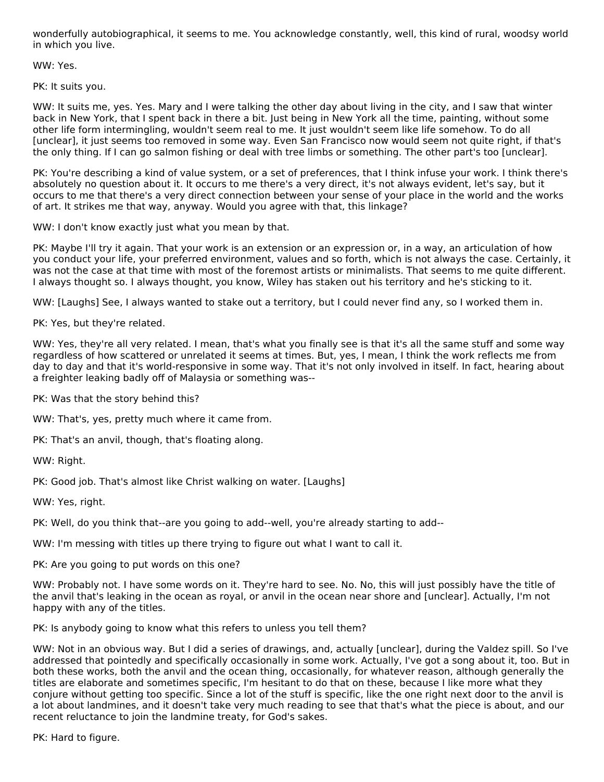wonderfully autobiographical, it seems to me. You acknowledge constantly, well, this kind of rural, woodsy world in which you live.

WW: Yes.

PK: It suits you.

WW: It suits me, yes. Yes. Mary and I were talking the other day about living in the city, and I saw that winter back in New York, that I spent back in there a bit. Just being in New York all the time, painting, without some other life form intermingling, wouldn't seem real to me. It just wouldn't seem like life somehow. To do all [unclear], it just seems too removed in some way. Even San Francisco now would seem not quite right, if that's the only thing. If I can go salmon fishing or deal with tree limbs or something. The other part's too [unclear].

PK: You're describing a kind of value system, or a set of preferences, that I think infuse your work. I think there's absolutely no question about it. It occurs to me there's a very direct, it's not always evident, let's say, but it occurs to me that there's a very direct connection between your sense of your place in the world and the works of art. It strikes me that way, anyway. Would you agree with that, this linkage?

WW: I don't know exactly just what you mean by that.

PK: Maybe I'll try it again. That your work is an extension or an expression or, in a way, an articulation of how you conduct your life, your preferred environment, values and so forth, which is not always the case. Certainly, it was not the case at that time with most of the foremost artists or minimalists. That seems to me quite different. I always thought so. I always thought, you know, Wiley has staken out his territory and he's sticking to it.

WW: [Laughs] See, I always wanted to stake out a territory, but I could never find any, so I worked them in.

PK: Yes, but they're related.

WW: Yes, they're all very related. I mean, that's what you finally see is that it's all the same stuff and some way regardless of how scattered or unrelated it seems at times. But, yes, I mean, I think the work reflects me from day to day and that it's world-responsive in some way. That it's not only involved in itself. In fact, hearing about a freighter leaking badly off of Malaysia or something was--

PK: Was that the story behind this?

WW: That's, yes, pretty much where it came from.

PK: That's an anvil, though, that's floating along.

WW: Right.

PK: Good job. That's almost like Christ walking on water. [Laughs]

WW: Yes, right.

PK: Well, do you think that--are you going to add--well, you're already starting to add--

WW: I'm messing with titles up there trying to figure out what I want to call it.

PK: Are you going to put words on this one?

WW: Probably not. I have some words on it. They're hard to see. No. No, this will just possibly have the title of the anvil that's leaking in the ocean as royal, or anvil in the ocean near shore and [unclear]. Actually, I'm not happy with any of the titles.

PK: Is anybody going to know what this refers to unless you tell them?

WW: Not in an obvious way. But I did a series of drawings, and, actually [unclear], during the Valdez spill. So I've addressed that pointedly and specifically occasionally in some work. Actually, I've got a song about it, too. But in both these works, both the anvil and the ocean thing, occasionally, for whatever reason, although generally the titles are elaborate and sometimes specific, I'm hesitant to do that on these, because I like more what they conjure without getting too specific. Since a lot of the stuff is specific, like the one right next door to the anvil is a lot about landmines, and it doesn't take very much reading to see that that's what the piece is about, and our recent reluctance to join the landmine treaty, for God's sakes.

PK: Hard to figure.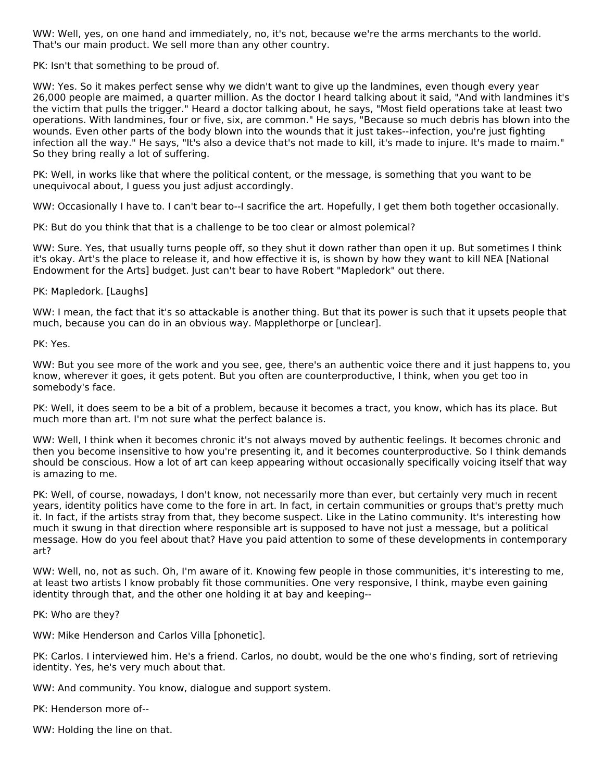WW: Well, yes, on one hand and immediately, no, it's not, because we're the arms merchants to the world. That's our main product. We sell more than any other country.

PK: Isn't that something to be proud of.

WW: Yes. So it makes perfect sense why we didn't want to give up the landmines, even though every year 26,000 people are maimed, a quarter million. As the doctor I heard talking about it said, "And with landmines it's the victim that pulls the trigger." Heard a doctor talking about, he says, "Most field operations take at least two operations. With landmines, four or five, six, are common." He says, "Because so much debris has blown into the wounds. Even other parts of the body blown into the wounds that it just takes--infection, you're just fighting infection all the way." He says, "It's also a device that's not made to kill, it's made to injure. It's made to maim." So they bring really a lot of suffering.

PK: Well, in works like that where the political content, or the message, is something that you want to be unequivocal about, I guess you just adjust accordingly.

WW: Occasionally I have to. I can't bear to--I sacrifice the art. Hopefully, I get them both together occasionally.

PK: But do you think that that is a challenge to be too clear or almost polemical?

WW: Sure. Yes, that usually turns people off, so they shut it down rather than open it up. But sometimes I think it's okay. Art's the place to release it, and how effective it is, is shown by how they want to kill NEA [National Endowment for the Arts] budget. Just can't bear to have Robert "Mapledork" out there.

#### PK: Mapledork. [Laughs]

WW: I mean, the fact that it's so attackable is another thing. But that its power is such that it upsets people that much, because you can do in an obvious way. Mapplethorpe or [unclear].

PK: Yes.

WW: But you see more of the work and you see, gee, there's an authentic voice there and it just happens to, you know, wherever it goes, it gets potent. But you often are counterproductive, I think, when you get too in somebody's face.

PK: Well, it does seem to be a bit of a problem, because it becomes a tract, you know, which has its place. But much more than art. I'm not sure what the perfect balance is.

WW: Well, I think when it becomes chronic it's not always moved by authentic feelings. It becomes chronic and then you become insensitive to how you're presenting it, and it becomes counterproductive. So I think demands should be conscious. How a lot of art can keep appearing without occasionally specifically voicing itself that way is amazing to me.

PK: Well, of course, nowadays, I don't know, not necessarily more than ever, but certainly very much in recent years, identity politics have come to the fore in art. In fact, in certain communities or groups that's pretty much it. In fact, if the artists stray from that, they become suspect. Like in the Latino community. It's interesting how much it swung in that direction where responsible art is supposed to have not just a message, but a political message. How do you feel about that? Have you paid attention to some of these developments in contemporary art?

WW: Well, no, not as such. Oh, I'm aware of it. Knowing few people in those communities, it's interesting to me, at least two artists I know probably fit those communities. One very responsive, I think, maybe even gaining identity through that, and the other one holding it at bay and keeping--

PK: Who are they?

WW: Mike Henderson and Carlos Villa [phonetic].

PK: Carlos. I interviewed him. He's a friend. Carlos, no doubt, would be the one who's finding, sort of retrieving identity. Yes, he's very much about that.

WW: And community. You know, dialogue and support system.

PK: Henderson more of--

WW: Holding the line on that.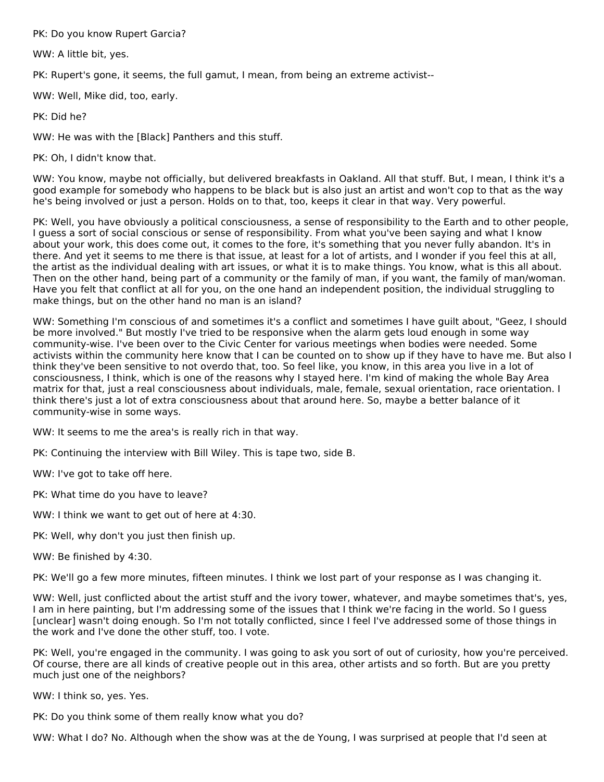PK: Do you know Rupert Garcia?

WW: A little bit, yes.

PK: Rupert's gone, it seems, the full gamut, I mean, from being an extreme activist--

WW: Well, Mike did, too, early.

PK: Did he?

WW: He was with the [Black] Panthers and this stuff.

PK: Oh, I didn't know that.

WW: You know, maybe not officially, but delivered breakfasts in Oakland. All that stuff. But, I mean, I think it's a good example for somebody who happens to be black but is also just an artist and won't cop to that as the way he's being involved or just a person. Holds on to that, too, keeps it clear in that way. Very powerful.

PK: Well, you have obviously a political consciousness, a sense of responsibility to the Earth and to other people, I guess a sort of social conscious or sense of responsibility. From what you've been saying and what I know about your work, this does come out, it comes to the fore, it's something that you never fully abandon. It's in there. And yet it seems to me there is that issue, at least for a lot of artists, and I wonder if you feel this at all, the artist as the individual dealing with art issues, or what it is to make things. You know, what is this all about. Then on the other hand, being part of a community or the family of man, if you want, the family of man/woman. Have you felt that conflict at all for you, on the one hand an independent position, the individual struggling to make things, but on the other hand no man is an island?

WW: Something I'm conscious of and sometimes it's a conflict and sometimes I have guilt about, "Geez, I should be more involved." But mostly I've tried to be responsive when the alarm gets loud enough in some way community-wise. I've been over to the Civic Center for various meetings when bodies were needed. Some activists within the community here know that I can be counted on to show up if they have to have me. But also I think they've been sensitive to not overdo that, too. So feel like, you know, in this area you live in a lot of consciousness, I think, which is one of the reasons why I stayed here. I'm kind of making the whole Bay Area matrix for that, just a real consciousness about individuals, male, female, sexual orientation, race orientation. I think there's just a lot of extra consciousness about that around here. So, maybe a better balance of it community-wise in some ways.

WW: It seems to me the area's is really rich in that way.

PK: Continuing the interview with Bill Wiley. This is tape two, side B.

WW: I've got to take off here.

PK: What time do you have to leave?

WW: I think we want to get out of here at 4:30.

PK: Well, why don't you just then finish up.

WW: Be finished by 4:30.

PK: We'll go a few more minutes, fifteen minutes. I think we lost part of your response as I was changing it.

WW: Well, just conflicted about the artist stuff and the ivory tower, whatever, and maybe sometimes that's, yes, I am in here painting, but I'm addressing some of the issues that I think we're facing in the world. So I guess [unclear] wasn't doing enough. So I'm not totally conflicted, since I feel I've addressed some of those things in the work and I've done the other stuff, too. I vote.

PK: Well, you're engaged in the community. I was going to ask you sort of out of curiosity, how you're perceived. Of course, there are all kinds of creative people out in this area, other artists and so forth. But are you pretty much just one of the neighbors?

WW: I think so, yes. Yes.

PK: Do you think some of them really know what you do?

WW: What I do? No. Although when the show was at the de Young, I was surprised at people that I'd seen at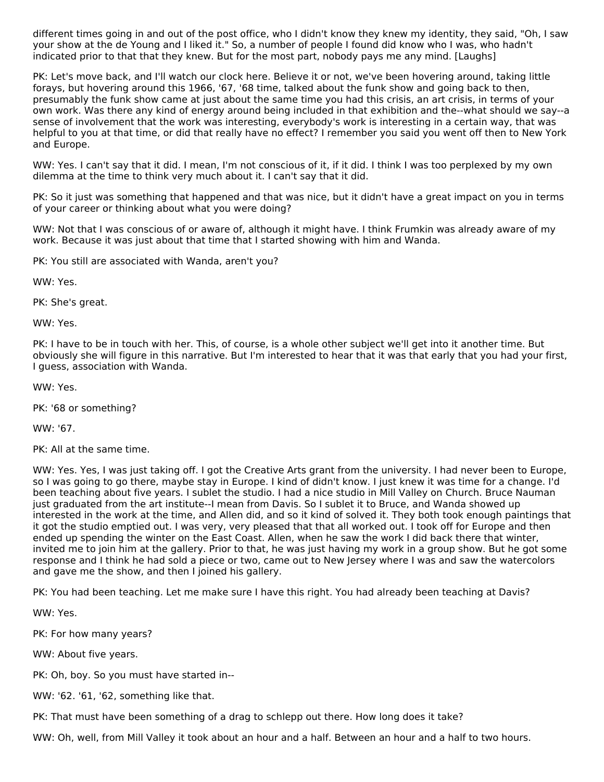different times going in and out of the post office, who I didn't know they knew my identity, they said, "Oh, I saw your show at the de Young and I liked it." So, a number of people I found did know who I was, who hadn't indicated prior to that that they knew. But for the most part, nobody pays me any mind. [Laughs]

PK: Let's move back, and I'll watch our clock here. Believe it or not, we've been hovering around, taking little forays, but hovering around this 1966, '67, '68 time, talked about the funk show and going back to then, presumably the funk show came at just about the same time you had this crisis, an art crisis, in terms of your own work. Was there any kind of energy around being included in that exhibition and the--what should we say--a sense of involvement that the work was interesting, everybody's work is interesting in a certain way, that was helpful to you at that time, or did that really have no effect? I remember you said you went off then to New York and Europe.

WW: Yes. I can't say that it did. I mean, I'm not conscious of it, if it did. I think I was too perplexed by my own dilemma at the time to think very much about it. I can't say that it did.

PK: So it just was something that happened and that was nice, but it didn't have a great impact on you in terms of your career or thinking about what you were doing?

WW: Not that I was conscious of or aware of, although it might have. I think Frumkin was already aware of my work. Because it was just about that time that I started showing with him and Wanda.

PK: You still are associated with Wanda, aren't you?

WW: Yes.

PK: She's great.

WW: Yes.

PK: I have to be in touch with her. This, of course, is a whole other subject we'll get into it another time. But obviously she will figure in this narrative. But I'm interested to hear that it was that early that you had your first, I guess, association with Wanda.

WW: Yes.

PK: '68 or something?

WW: '67.

PK: All at the same time.

WW: Yes. Yes, I was just taking off. I got the Creative Arts grant from the university. I had never been to Europe, so I was going to go there, maybe stay in Europe. I kind of didn't know. I just knew it was time for a change. I'd been teaching about five years. I sublet the studio. I had a nice studio in Mill Valley on Church. Bruce Nauman just graduated from the art institute--I mean from Davis. So I sublet it to Bruce, and Wanda showed up interested in the work at the time, and Allen did, and so it kind of solved it. They both took enough paintings that it got the studio emptied out. I was very, very pleased that that all worked out. I took off for Europe and then ended up spending the winter on the East Coast. Allen, when he saw the work I did back there that winter, invited me to join him at the gallery. Prior to that, he was just having my work in a group show. But he got some response and I think he had sold a piece or two, came out to New Jersey where I was and saw the watercolors and gave me the show, and then I joined his gallery.

PK: You had been teaching. Let me make sure I have this right. You had already been teaching at Davis?

WW: Yes.

PK: For how many years?

WW: About five years.

PK: Oh, boy. So you must have started in--

WW: '62. '61, '62, something like that.

PK: That must have been something of a drag to schlepp out there. How long does it take?

WW: Oh, well, from Mill Valley it took about an hour and a half. Between an hour and a half to two hours.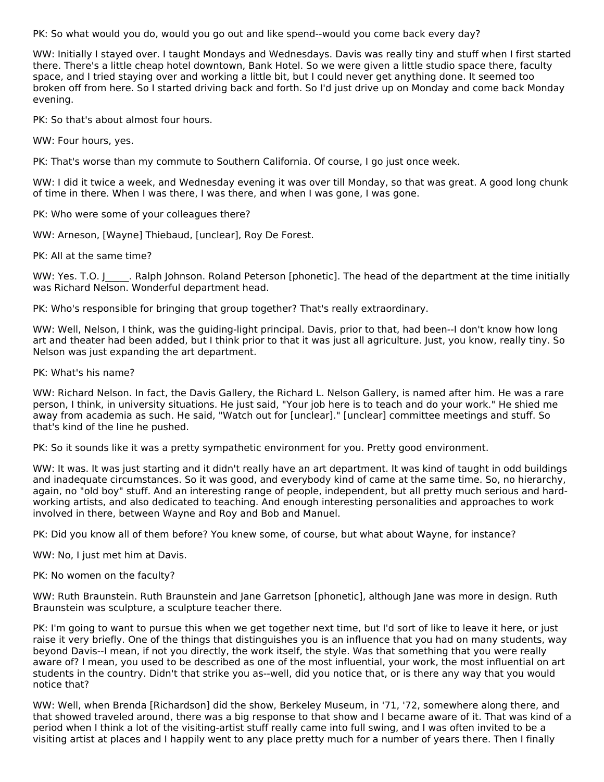PK: So what would you do, would you go out and like spend--would you come back every day?

WW: Initially I stayed over. I taught Mondays and Wednesdays. Davis was really tiny and stuff when I first started there. There's a little cheap hotel downtown, Bank Hotel. So we were given a little studio space there, faculty space, and I tried staying over and working a little bit, but I could never get anything done. It seemed too broken off from here. So I started driving back and forth. So I'd just drive up on Monday and come back Monday evening.

PK: So that's about almost four hours.

WW: Four hours, yes.

PK: That's worse than my commute to Southern California. Of course, I go just once week.

WW: I did it twice a week, and Wednesday evening it was over till Monday, so that was great. A good long chunk of time in there. When I was there, I was there, and when I was gone, I was gone.

PK: Who were some of your colleagues there?

WW: Arneson, [Wayne] Thiebaud, [unclear], Roy De Forest.

PK: All at the same time?

WW: Yes. T.O. J\_\_\_\_\_. Ralph Johnson. Roland Peterson [phonetic]. The head of the department at the time initially was Richard Nelson. Wonderful department head.

PK: Who's responsible for bringing that group together? That's really extraordinary.

WW: Well, Nelson, I think, was the guiding-light principal. Davis, prior to that, had been--I don't know how long art and theater had been added, but I think prior to that it was just all agriculture. Just, you know, really tiny. So Nelson was just expanding the art department.

PK: What's his name?

WW: Richard Nelson. In fact, the Davis Gallery, the Richard L. Nelson Gallery, is named after him. He was a rare person, I think, in university situations. He just said, "Your job here is to teach and do your work." He shied me away from academia as such. He said, "Watch out for [unclear]." [unclear] committee meetings and stuff. So that's kind of the line he pushed.

PK: So it sounds like it was a pretty sympathetic environment for you. Pretty good environment.

WW: It was. It was just starting and it didn't really have an art department. It was kind of taught in odd buildings and inadequate circumstances. So it was good, and everybody kind of came at the same time. So, no hierarchy, again, no "old boy" stuff. And an interesting range of people, independent, but all pretty much serious and hardworking artists, and also dedicated to teaching. And enough interesting personalities and approaches to work involved in there, between Wayne and Roy and Bob and Manuel.

PK: Did you know all of them before? You knew some, of course, but what about Wayne, for instance?

WW: No, I just met him at Davis.

PK: No women on the faculty?

WW: Ruth Braunstein. Ruth Braunstein and Jane Garretson [phonetic], although Jane was more in design. Ruth Braunstein was sculpture, a sculpture teacher there.

PK: I'm going to want to pursue this when we get together next time, but I'd sort of like to leave it here, or just raise it very briefly. One of the things that distinguishes you is an influence that you had on many students, way beyond Davis--I mean, if not you directly, the work itself, the style. Was that something that you were really aware of? I mean, you used to be described as one of the most influential, your work, the most influential on art students in the country. Didn't that strike you as--well, did you notice that, or is there any way that you would notice that?

WW: Well, when Brenda [Richardson] did the show, Berkeley Museum, in '71, '72, somewhere along there, and that showed traveled around, there was a big response to that show and I became aware of it. That was kind of a period when I think a lot of the visiting-artist stuff really came into full swing, and I was often invited to be a visiting artist at places and I happily went to any place pretty much for a number of years there. Then I finally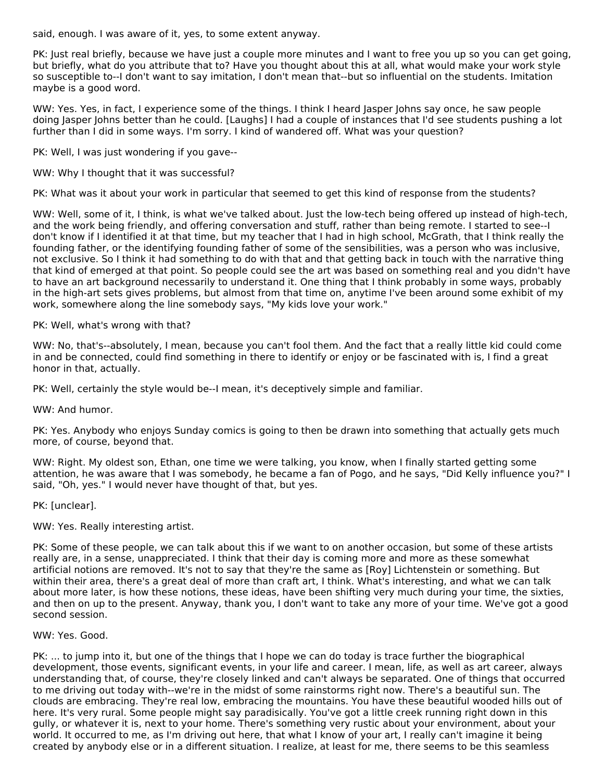said, enough. I was aware of it, yes, to some extent anyway.

PK: Just real briefly, because we have just a couple more minutes and I want to free you up so you can get going, but briefly, what do you attribute that to? Have you thought about this at all, what would make your work style so susceptible to--I don't want to say imitation, I don't mean that--but so influential on the students. Imitation maybe is a good word.

WW: Yes. Yes, in fact, I experience some of the things. I think I heard Jasper Johns say once, he saw people doing Jasper Johns better than he could. [Laughs] I had a couple of instances that I'd see students pushing a lot further than I did in some ways. I'm sorry. I kind of wandered off. What was your question?

PK: Well, I was just wondering if you gave--

WW: Why I thought that it was successful?

PK: What was it about your work in particular that seemed to get this kind of response from the students?

WW: Well, some of it, I think, is what we've talked about. Just the low-tech being offered up instead of high-tech, and the work being friendly, and offering conversation and stuff, rather than being remote. I started to see--I don't know if I identified it at that time, but my teacher that I had in high school, McGrath, that I think really the founding father, or the identifying founding father of some of the sensibilities, was a person who was inclusive, not exclusive. So I think it had something to do with that and that getting back in touch with the narrative thing that kind of emerged at that point. So people could see the art was based on something real and you didn't have to have an art background necessarily to understand it. One thing that I think probably in some ways, probably in the high-art sets gives problems, but almost from that time on, anytime I've been around some exhibit of my work, somewhere along the line somebody says, "My kids love your work."

PK: Well, what's wrong with that?

WW: No, that's--absolutely, I mean, because you can't fool them. And the fact that a really little kid could come in and be connected, could find something in there to identify or enjoy or be fascinated with is, I find a great honor in that, actually.

PK: Well, certainly the style would be--I mean, it's deceptively simple and familiar.

WW: And humor.

PK: Yes. Anybody who enjoys Sunday comics is going to then be drawn into something that actually gets much more, of course, beyond that.

WW: Right. My oldest son, Ethan, one time we were talking, you know, when I finally started getting some attention, he was aware that I was somebody, he became a fan of Pogo, and he says, "Did Kelly influence you?" I said, "Oh, yes." I would never have thought of that, but yes.

PK: [unclear].

WW: Yes. Really interesting artist.

PK: Some of these people, we can talk about this if we want to on another occasion, but some of these artists really are, in a sense, unappreciated. I think that their day is coming more and more as these somewhat artificial notions are removed. It's not to say that they're the same as [Roy] Lichtenstein or something. But within their area, there's a great deal of more than craft art, I think. What's interesting, and what we can talk about more later, is how these notions, these ideas, have been shifting very much during your time, the sixties, and then on up to the present. Anyway, thank you, I don't want to take any more of your time. We've got a good second session.

# WW: Yes. Good.

PK: ... to jump into it, but one of the things that I hope we can do today is trace further the biographical development, those events, significant events, in your life and career. I mean, life, as well as art career, always understanding that, of course, they're closely linked and can't always be separated. One of things that occurred to me driving out today with--we're in the midst of some rainstorms right now. There's a beautiful sun. The clouds are embracing. They're real low, embracing the mountains. You have these beautiful wooded hills out of here. It's very rural. Some people might say paradisically. You've got a little creek running right down in this gully, or whatever it is, next to your home. There's something very rustic about your environment, about your world. It occurred to me, as I'm driving out here, that what I know of your art, I really can't imagine it being created by anybody else or in a different situation. I realize, at least for me, there seems to be this seamless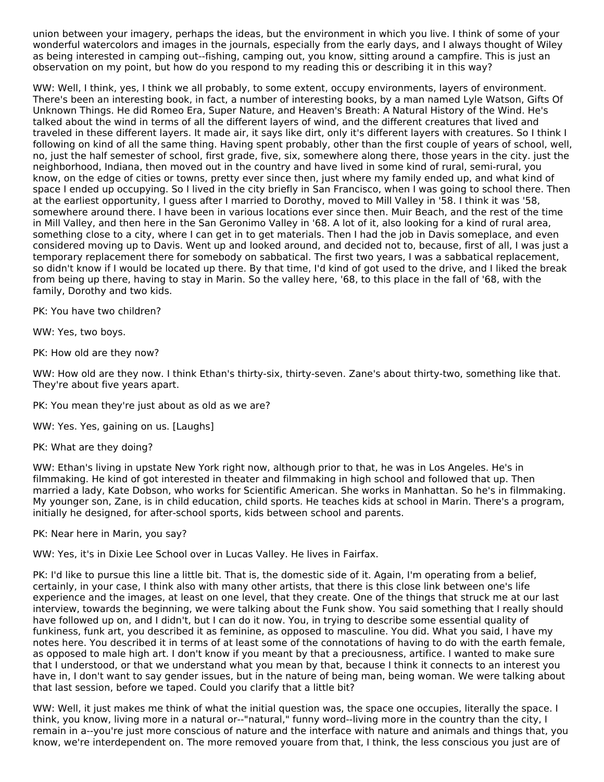union between your imagery, perhaps the ideas, but the environment in which you live. I think of some of your wonderful watercolors and images in the journals, especially from the early days, and I always thought of Wiley as being interested in camping out--fishing, camping out, you know, sitting around a campfire. This is just an observation on my point, but how do you respond to my reading this or describing it in this way?

WW: Well, I think, yes, I think we all probably, to some extent, occupy environments, layers of environment. There's been an interesting book, in fact, a number of interesting books, by a man named Lyle Watson, Gifts Of Unknown Things. He did Romeo Era, Super Nature, and Heaven's Breath: A Natural History of the Wind. He's talked about the wind in terms of all the different layers of wind, and the different creatures that lived and traveled in these different layers. It made air, it says like dirt, only it's different layers with creatures. So I think I following on kind of all the same thing. Having spent probably, other than the first couple of years of school, well, no, just the half semester of school, first grade, five, six, somewhere along there, those years in the city. just the neighborhood, Indiana, then moved out in the country and have lived in some kind of rural, semi-rural, you know, on the edge of cities or towns, pretty ever since then, just where my family ended up, and what kind of space I ended up occupying. So I lived in the city briefly in San Francisco, when I was going to school there. Then at the earliest opportunity, I guess after I married to Dorothy, moved to Mill Valley in '58. I think it was '58, somewhere around there. I have been in various locations ever since then. Muir Beach, and the rest of the time in Mill Valley, and then here in the San Geronimo Valley in '68. A lot of it, also looking for a kind of rural area, something close to a city, where I can get in to get materials. Then I had the job in Davis someplace, and even considered moving up to Davis. Went up and looked around, and decided not to, because, first of all, I was just a temporary replacement there for somebody on sabbatical. The first two years, I was a sabbatical replacement, so didn't know if I would be located up there. By that time, I'd kind of got used to the drive, and I liked the break from being up there, having to stay in Marin. So the valley here, '68, to this place in the fall of '68, with the family, Dorothy and two kids.

PK: You have two children?

WW: Yes, two boys.

PK: How old are they now?

WW: How old are they now. I think Ethan's thirty-six, thirty-seven. Zane's about thirty-two, something like that. They're about five years apart.

PK: You mean they're just about as old as we are?

WW: Yes. Yes, gaining on us. [Laughs]

PK: What are they doing?

WW: Ethan's living in upstate New York right now, although prior to that, he was in Los Angeles. He's in filmmaking. He kind of got interested in theater and filmmaking in high school and followed that up. Then married a lady, Kate Dobson, who works for Scientific American. She works in Manhattan. So he's in filmmaking. My younger son, Zane, is in child education, child sports. He teaches kids at school in Marin. There's a program, initially he designed, for after-school sports, kids between school and parents.

PK: Near here in Marin, you say?

WW: Yes, it's in Dixie Lee School over in Lucas Valley. He lives in Fairfax.

PK: I'd like to pursue this line a little bit. That is, the domestic side of it. Again, I'm operating from a belief, certainly, in your case, I think also with many other artists, that there is this close link between one's life experience and the images, at least on one level, that they create. One of the things that struck me at our last interview, towards the beginning, we were talking about the Funk show. You said something that I really should have followed up on, and I didn't, but I can do it now. You, in trying to describe some essential quality of funkiness, funk art, you described it as feminine, as opposed to masculine. You did. What you said, I have my notes here. You described it in terms of at least some of the connotations of having to do with the earth female, as opposed to male high art. I don't know if you meant by that a preciousness, artifice. I wanted to make sure that I understood, or that we understand what you mean by that, because I think it connects to an interest you have in, I don't want to say gender issues, but in the nature of being man, being woman. We were talking about that last session, before we taped. Could you clarify that a little bit?

WW: Well, it just makes me think of what the initial question was, the space one occupies, literally the space. I think, you know, living more in a natural or--"natural," funny word--living more in the country than the city, I remain in a--you're just more conscious of nature and the interface with nature and animals and things that, you know, we're interdependent on. The more removed youare from that, I think, the less conscious you just are of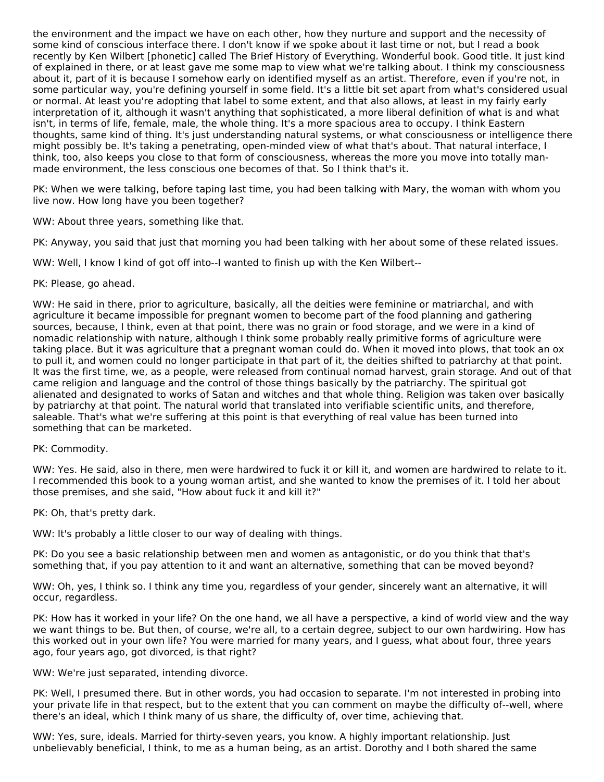the environment and the impact we have on each other, how they nurture and support and the necessity of some kind of conscious interface there. I don't know if we spoke about it last time or not, but I read a book recently by Ken Wilbert [phonetic] called The Brief History of Everything. Wonderful book. Good title. It just kind of explained in there, or at least gave me some map to view what we're talking about. I think my consciousness about it, part of it is because I somehow early on identified myself as an artist. Therefore, even if you're not, in some particular way, you're defining yourself in some field. It's a little bit set apart from what's considered usual or normal. At least you're adopting that label to some extent, and that also allows, at least in my fairly early interpretation of it, although it wasn't anything that sophisticated, a more liberal definition of what is and what isn't, in terms of life, female, male, the whole thing. It's a more spacious area to occupy. I think Eastern thoughts, same kind of thing. It's just understanding natural systems, or what consciousness or intelligence there might possibly be. It's taking a penetrating, open-minded view of what that's about. That natural interface, I think, too, also keeps you close to that form of consciousness, whereas the more you move into totally man made environment, the less conscious one becomes of that. So I think that's it.

PK: When we were talking, before taping last time, you had been talking with Mary, the woman with whom you live now. How long have you been together?

WW: About three years, something like that.

PK: Anyway, you said that just that morning you had been talking with her about some of these related issues.

WW: Well, I know I kind of got off into--I wanted to finish up with the Ken Wilbert--

# PK: Please, go ahead.

WW: He said in there, prior to agriculture, basically, all the deities were feminine or matriarchal, and with agriculture it became impossible for pregnant women to become part of the food planning and gathering sources, because, I think, even at that point, there was no grain or food storage, and we were in a kind of nomadic relationship with nature, although I think some probably really primitive forms of agriculture were taking place. But it was agriculture that a pregnant woman could do. When it moved into plows, that took an ox to pull it, and women could no longer participate in that part of it, the deities shifted to patriarchy at that point. It was the first time, we, as a people, were released from continual nomad harvest, grain storage. And out of that came religion and language and the control of those things basically by the patriarchy. The spiritual got alienated and designated to works of Satan and witches and that whole thing. Religion was taken over basically by patriarchy at that point. The natural world that translated into verifiable scientific units, and therefore, saleable. That's what we're suffering at this point is that everything of real value has been turned into something that can be marketed.

#### PK: Commodity.

WW: Yes. He said, also in there, men were hardwired to fuck it or kill it, and women are hardwired to relate to it. I recommended this book to a young woman artist, and she wanted to know the premises of it. I told her about those premises, and she said, "How about fuck it and kill it?"

PK: Oh, that's pretty dark.

WW: It's probably a little closer to our way of dealing with things.

PK: Do you see a basic relationship between men and women as antagonistic, or do you think that that's something that, if you pay attention to it and want an alternative, something that can be moved beyond?

WW: Oh, yes, I think so. I think any time you, regardless of your gender, sincerely want an alternative, it will occur, regardless.

PK: How has it worked in your life? On the one hand, we all have a perspective, a kind of world view and the way we want things to be. But then, of course, we're all, to a certain degree, subject to our own hardwiring. How has this worked out in your own life? You were married for many years, and I guess, what about four, three years ago, four years ago, got divorced, is that right?

WW: We're just separated, intending divorce.

PK: Well, I presumed there. But in other words, you had occasion to separate. I'm not interested in probing into your private life in that respect, but to the extent that you can comment on maybe the difficulty of--well, where there's an ideal, which I think many of us share, the difficulty of, over time, achieving that.

WW: Yes, sure, ideals. Married for thirty-seven years, you know. A highly important relationship. Just unbelievably beneficial, I think, to me as a human being, as an artist. Dorothy and I both shared the same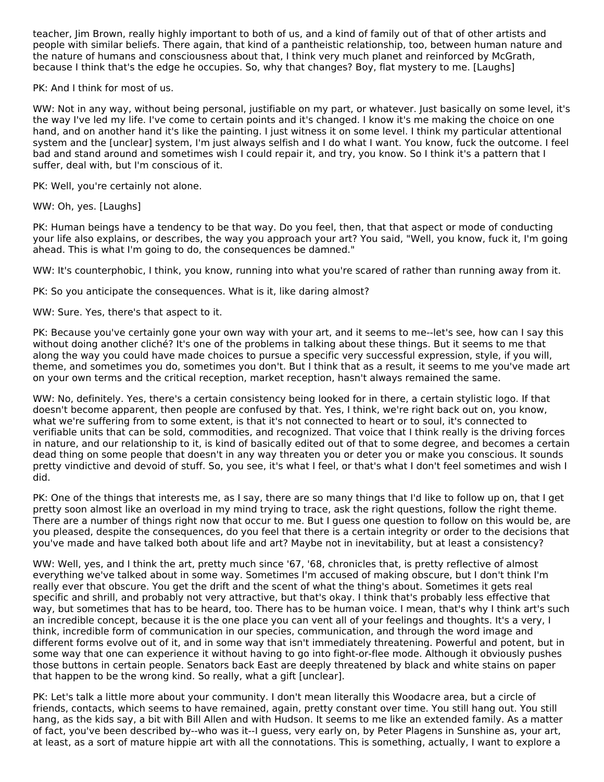teacher, Jim Brown, really highly important to both of us, and a kind of family out of that of other artists and people with similar beliefs. There again, that kind of a pantheistic relationship, too, between human nature and the nature of humans and consciousness about that, I think very much planet and reinforced by McGrath, because I think that's the edge he occupies. So, why that changes? Boy, flat mystery to me. [Laughs]

PK: And I think for most of us.

WW: Not in any way, without being personal, justifiable on my part, or whatever. Just basically on some level, it's the way I've led my life. I've come to certain points and it's changed. I know it's me making the choice on one hand, and on another hand it's like the painting. I just witness it on some level. I think my particular attentional system and the [unclear] system, I'm just always selfish and I do what I want. You know, fuck the outcome. I feel bad and stand around and sometimes wish I could repair it, and try, you know. So I think it's a pattern that I suffer, deal with, but I'm conscious of it.

PK: Well, you're certainly not alone.

WW: Oh, yes. [Laughs]

PK: Human beings have a tendency to be that way. Do you feel, then, that that aspect or mode of conducting your life also explains, or describes, the way you approach your art? You said, "Well, you know, fuck it, I'm going ahead. This is what I'm going to do, the consequences be damned."

WW: It's counterphobic, I think, you know, running into what you're scared of rather than running away from it.

PK: So you anticipate the consequences. What is it, like daring almost?

WW: Sure. Yes, there's that aspect to it.

PK: Because you've certainly gone your own way with your art, and it seems to me--let's see, how can I say this without doing another cliché? It's one of the problems in talking about these things. But it seems to me that along the way you could have made choices to pursue a specific very successful expression, style, if you will, theme, and sometimes you do, sometimes you don't. But I think that as a result, it seems to me you've made art on your own terms and the critical reception, market reception, hasn't always remained the same.

WW: No, definitely. Yes, there's a certain consistency being looked for in there, a certain stylistic logo. If that doesn't become apparent, then people are confused by that. Yes, I think, we're right back out on, you know, what we're suffering from to some extent, is that it's not connected to heart or to soul, it's connected to verifiable units that can be sold, commodities, and recognized. That voice that I think really is the driving forces in nature, and our relationship to it, is kind of basically edited out of that to some degree, and becomes a certain dead thing on some people that doesn't in any way threaten you or deter you or make you conscious. It sounds pretty vindictive and devoid of stuff. So, you see, it's what I feel, or that's what I don't feel sometimes and wish I did.

PK: One of the things that interests me, as I say, there are so many things that I'd like to follow up on, that I get pretty soon almost like an overload in my mind trying to trace, ask the right questions, follow the right theme. There are a number of things right now that occur to me. But I guess one question to follow on this would be, are you pleased, despite the consequences, do you feel that there is a certain integrity or order to the decisions that you've made and have talked both about life and art? Maybe not in inevitability, but at least a consistency?

WW: Well, yes, and I think the art, pretty much since '67, '68, chronicles that, is pretty reflective of almost everything we've talked about in some way. Sometimes I'm accused of making obscure, but I don't think I'm really ever that obscure. You get the drift and the scent of what the thing's about. Sometimes it gets real specific and shrill, and probably not very attractive, but that's okay. I think that's probably less effective that way, but sometimes that has to be heard, too. There has to be human voice. I mean, that's why I think art's such an incredible concept, because it is the one place you can vent all of your feelings and thoughts. It's a very, I think, incredible form of communication in our species, communication, and through the word image and different forms evolve out of it, and in some way that isn't immediately threatening. Powerful and potent, but in some way that one can experience it without having to go into fight-or-flee mode. Although it obviously pushes those buttons in certain people. Senators back East are deeply threatened by black and white stains on paper that happen to be the wrong kind. So really, what a gift [unclear].

PK: Let's talk a little more about your community. I don't mean literally this Woodacre area, but a circle of friends, contacts, which seems to have remained, again, pretty constant over time. You still hang out. You still hang, as the kids say, a bit with Bill Allen and with Hudson. It seems to me like an extended family. As a matter of fact, you've been described by--who was it--I guess, very early on, by Peter Plagens in Sunshine as, your art, at least, as a sort of mature hippie art with all the connotations. This is something, actually, I want to explore a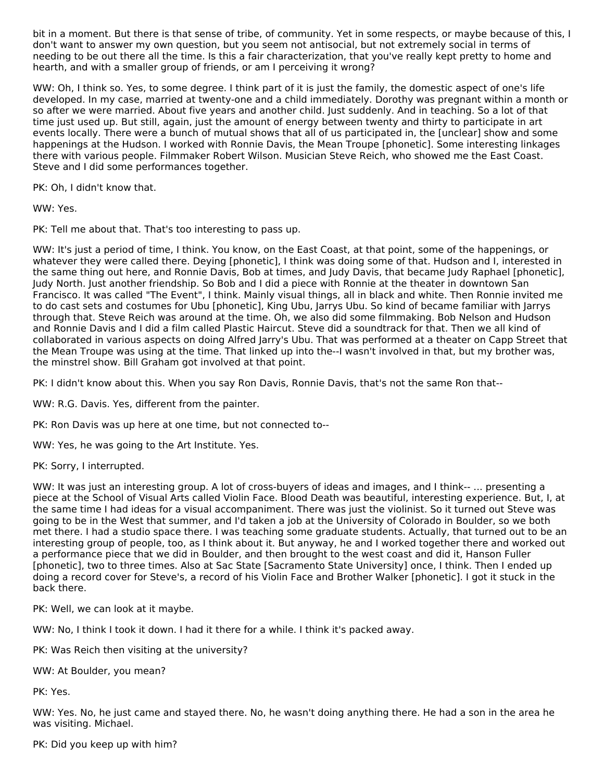bit in a moment. But there is that sense of tribe, of community. Yet in some respects, or maybe because of this, I don't want to answer my own question, but you seem not antisocial, but not extremely social in terms of needing to be out there all the time. Is this a fair characterization, that you've really kept pretty to home and hearth, and with a smaller group of friends, or am I perceiving it wrong?

WW: Oh, I think so. Yes, to some degree. I think part of it is just the family, the domestic aspect of one's life developed. In my case, married at twenty-one and a child immediately. Dorothy was pregnant within a month or so after we were married. About five years and another child. Just suddenly. And in teaching. So a lot of that time just used up. But still, again, just the amount of energy between twenty and thirty to participate in art events locally. There were a bunch of mutual shows that all of us participated in, the [unclear] show and some happenings at the Hudson. I worked with Ronnie Davis, the Mean Troupe [phonetic]. Some interesting linkages there with various people. Filmmaker Robert Wilson. Musician Steve Reich, who showed me the East Coast. Steve and I did some performances together.

PK: Oh, I didn't know that.

WW: Yes.

PK: Tell me about that. That's too interesting to pass up.

WW: It's just a period of time, I think. You know, on the East Coast, at that point, some of the happenings, or whatever they were called there. Deying [phonetic], I think was doing some of that. Hudson and I, interested in the same thing out here, and Ronnie Davis, Bob at times, and Judy Davis, that became Judy Raphael [phonetic], Judy North. Just another friendship. So Bob and I did a piece with Ronnie at the theater in downtown San Francisco. It was called "The Event", I think. Mainly visual things, all in black and white. Then Ronnie invited me to do cast sets and costumes for Ubu [phonetic], King Ubu, Jarrys Ubu. So kind of became familiar with Jarrys through that. Steve Reich was around at the time. Oh, we also did some filmmaking. Bob Nelson and Hudson and Ronnie Davis and I did a film called Plastic Haircut. Steve did a soundtrack for that. Then we all kind of collaborated in various aspects on doing Alfred Jarry's Ubu. That was performed at a theater on Capp Street that the Mean Troupe was using at the time. That linked up into the--I wasn't involved in that, but my brother was, the minstrel show. Bill Graham got involved at that point.

PK: I didn't know about this. When you say Ron Davis, Ronnie Davis, that's not the same Ron that--

WW: R.G. Davis. Yes, different from the painter.

PK: Ron Davis was up here at one time, but not connected to--

WW: Yes, he was going to the Art Institute. Yes.

PK: Sorry, I interrupted.

WW: It was just an interesting group. A lot of cross-buyers of ideas and images, and I think-- ... presenting a piece at the School of Visual Arts called Violin Face. Blood Death was beautiful, interesting experience. But, I, at the same time I had ideas for a visual accompaniment. There was just the violinist. So it turned out Steve was going to be in the West that summer, and I'd taken a job at the University of Colorado in Boulder, so we both met there. I had a studio space there. I was teaching some graduate students. Actually, that turned out to be an interesting group of people, too, as I think about it. But anyway, he and I worked together there and worked out a performance piece that we did in Boulder, and then brought to the west coast and did it, Hanson Fuller [phonetic], two to three times. Also at Sac State [Sacramento State University] once, I think. Then I ended up doing a record cover for Steve's, a record of his Violin Face and Brother Walker [phonetic]. I got it stuck in the back there.

PK: Well, we can look at it maybe.

WW: No, I think I took it down. I had it there for a while. I think it's packed away.

PK: Was Reich then visiting at the university?

WW: At Boulder, you mean?

PK: Yes.

WW: Yes. No, he just came and stayed there. No, he wasn't doing anything there. He had a son in the area he was visiting. Michael.

PK: Did you keep up with him?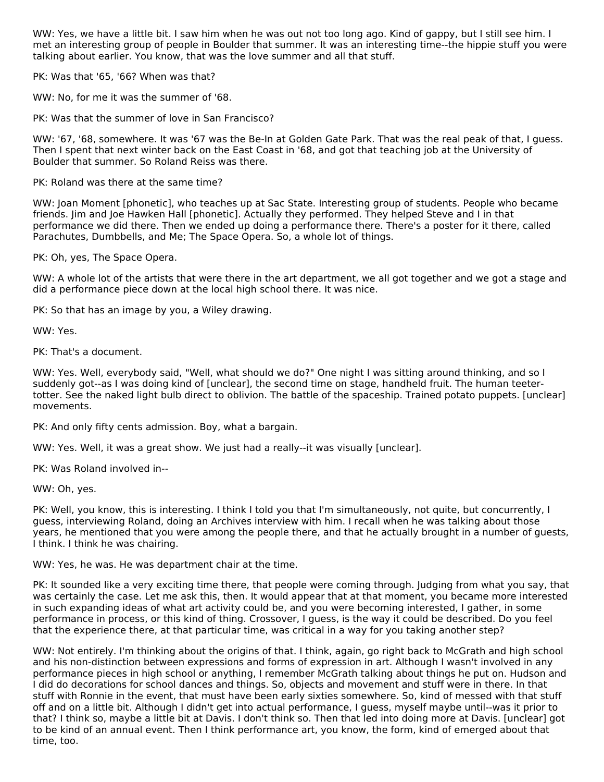WW: Yes, we have a little bit. I saw him when he was out not too long ago. Kind of gappy, but I still see him. I met an interesting group of people in Boulder that summer. It was an interesting time--the hippie stuff you were talking about earlier. You know, that was the love summer and all that stuff.

PK: Was that '65, '66? When was that?

WW: No, for me it was the summer of '68.

PK: Was that the summer of love in San Francisco?

WW: '67, '68, somewhere. It was '67 was the Be-In at Golden Gate Park. That was the real peak of that, I guess. Then I spent that next winter back on the East Coast in '68, and got that teaching job at the University of Boulder that summer. So Roland Reiss was there.

PK: Roland was there at the same time?

WW: Joan Moment [phonetic], who teaches up at Sac State. Interesting group of students. People who became friends. Jim and Joe Hawken Hall [phonetic]. Actually they performed. They helped Steve and I in that performance we did there. Then we ended up doing a performance there. There's a poster for it there, called Parachutes, Dumbbells, and Me; The Space Opera. So, a whole lot of things.

PK: Oh, yes, The Space Opera.

WW: A whole lot of the artists that were there in the art department, we all got together and we got a stage and did a performance piece down at the local high school there. It was nice.

PK: So that has an image by you, a Wiley drawing.

WW: Yes.

PK: That's a document.

WW: Yes. Well, everybody said, "Well, what should we do?" One night I was sitting around thinking, and so I suddenly got--as I was doing kind of [unclear], the second time on stage, handheld fruit. The human teetertotter. See the naked light bulb direct to oblivion. The battle of the spaceship. Trained potato puppets. [unclear] movements.

PK: And only fifty cents admission. Boy, what a bargain.

WW: Yes. Well, it was a great show. We just had a really--it was visually [unclear].

PK: Was Roland involved in--

WW: Oh, yes.

PK: Well, you know, this is interesting. I think I told you that I'm simultaneously, not quite, but concurrently, I guess, interviewing Roland, doing an Archives interview with him. I recall when he was talking about those years, he mentioned that you were among the people there, and that he actually brought in a number of guests, I think. I think he was chairing.

WW: Yes, he was. He was department chair at the time.

PK: It sounded like a very exciting time there, that people were coming through. Judging from what you say, that was certainly the case. Let me ask this, then. It would appear that at that moment, you became more interested in such expanding ideas of what art activity could be, and you were becoming interested, I gather, in some performance in process, or this kind of thing. Crossover, I guess, is the way it could be described. Do you feel that the experience there, at that particular time, was critical in a way for you taking another step?

WW: Not entirely. I'm thinking about the origins of that. I think, again, go right back to McGrath and high school and his non-distinction between expressions and forms of expression in art. Although I wasn't involved in any performance pieces in high school or anything, I remember McGrath talking about things he put on. Hudson and I did do decorations for school dances and things. So, objects and movement and stuff were in there. In that stuff with Ronnie in the event, that must have been early sixties somewhere. So, kind of messed with that stuff off and on a little bit. Although I didn't get into actual performance, I guess, myself maybe until--was it prior to that? I think so, maybe a little bit at Davis. I don't think so. Then that led into doing more at Davis. [unclear] got to be kind of an annual event. Then I think performance art, you know, the form, kind of emerged about that time, too.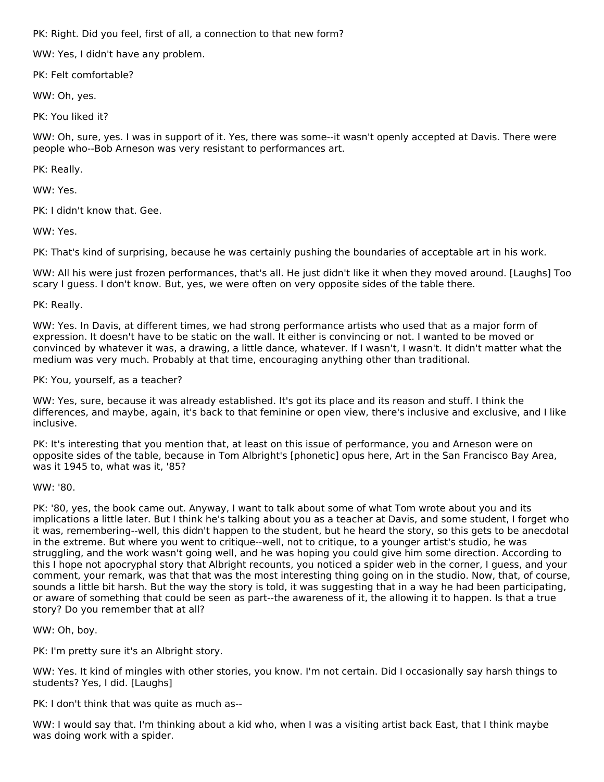PK: Right. Did you feel, first of all, a connection to that new form?

WW: Yes, I didn't have any problem.

PK: Felt comfortable?

WW: Oh, yes.

PK: You liked it?

WW: Oh, sure, yes. I was in support of it. Yes, there was some--it wasn't openly accepted at Davis. There were people who--Bob Arneson was very resistant to performances art.

PK: Really.

WW: Yes.

PK: I didn't know that. Gee.

WW: Yes.

PK: That's kind of surprising, because he was certainly pushing the boundaries of acceptable art in his work.

WW: All his were just frozen performances, that's all. He just didn't like it when they moved around. [Laughs] Too scary I guess. I don't know. But, yes, we were often on very opposite sides of the table there.

PK: Really.

WW: Yes. In Davis, at different times, we had strong performance artists who used that as a major form of expression. It doesn't have to be static on the wall. It either is convincing or not. I wanted to be moved or convinced by whatever it was, a drawing, a little dance, whatever. If I wasn't, I wasn't. It didn't matter what the medium was very much. Probably at that time, encouraging anything other than traditional.

PK: You, yourself, as a teacher?

WW: Yes, sure, because it was already established. It's got its place and its reason and stuff. I think the differences, and maybe, again, it's back to that feminine or open view, there's inclusive and exclusive, and I like inclusive.

PK: It's interesting that you mention that, at least on this issue of performance, you and Arneson were on opposite sides of the table, because in Tom Albright's [phonetic] opus here, Art in the San Francisco Bay Area, was it 1945 to, what was it, '85?

WW: '80.

PK: '80, yes, the book came out. Anyway, I want to talk about some of what Tom wrote about you and its implications a little later. But I think he's talking about you as a teacher at Davis, and some student, I forget who it was, remembering--well, this didn't happen to the student, but he heard the story, so this gets to be anecdotal in the extreme. But where you went to critique--well, not to critique, to a younger artist's studio, he was struggling, and the work wasn't going well, and he was hoping you could give him some direction. According to this I hope not apocryphal story that Albright recounts, you noticed a spider web in the corner, I guess, and your comment, your remark, was that that was the most interesting thing going on in the studio. Now, that, of course, sounds a little bit harsh. But the way the story is told, it was suggesting that in a way he had been participating, or aware of something that could be seen as part--the awareness of it, the allowing it to happen. Is that a true story? Do you remember that at all?

WW: Oh, boy.

PK: I'm pretty sure it's an Albright story.

WW: Yes. It kind of mingles with other stories, you know. I'm not certain. Did I occasionally say harsh things to students? Yes, I did. [Laughs]

PK: I don't think that was quite as much as--

WW: I would say that. I'm thinking about a kid who, when I was a visiting artist back East, that I think maybe was doing work with a spider.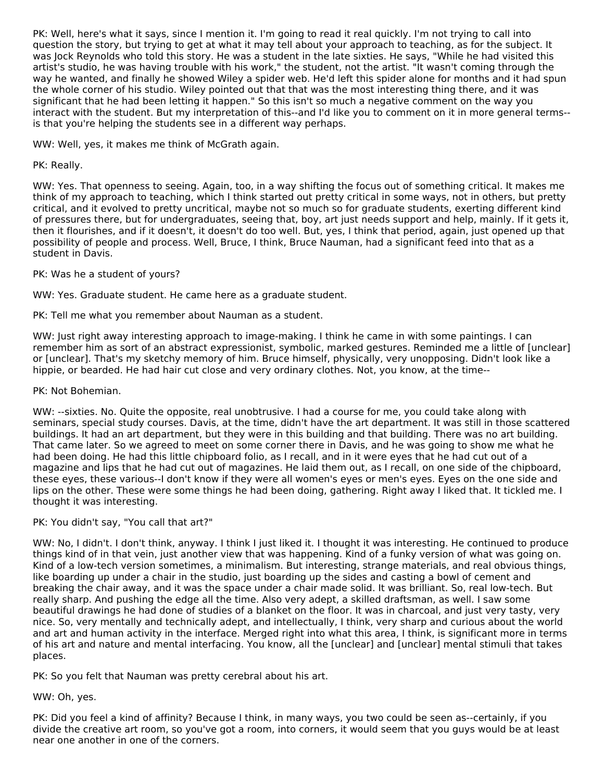PK: Well, here's what it says, since I mention it. I'm going to read it real quickly. I'm not trying to call into question the story, but trying to get at what it may tell about your approach to teaching, as for the subject. It was Jock Reynolds who told this story. He was a student in the late sixties. He says, "While he had visited this artist's studio, he was having trouble with his work," the student, not the artist. "It wasn't coming through the way he wanted, and finally he showed Wiley a spider web. He'd left this spider alone for months and it had spun the whole corner of his studio. Wiley pointed out that that was the most interesting thing there, and it was significant that he had been letting it happen." So this isn't so much a negative comment on the way you interact with the student. But my interpretation of this--and I'd like you to comment on it in more general terms- is that you're helping the students see in a different way perhaps.

WW: Well, yes, it makes me think of McGrath again.

# PK: Really.

WW: Yes. That openness to seeing. Again, too, in a way shifting the focus out of something critical. It makes me think of my approach to teaching, which I think started out pretty critical in some ways, not in others, but pretty critical, and it evolved to pretty uncritical, maybe not so much so for graduate students, exerting different kind of pressures there, but for undergraduates, seeing that, boy, art just needs support and help, mainly. If it gets it, then it flourishes, and if it doesn't, it doesn't do too well. But, yes, I think that period, again, just opened up that possibility of people and process. Well, Bruce, I think, Bruce Nauman, had a significant feed into that as a student in Davis.

#### PK: Was he a student of yours?

WW: Yes. Graduate student. He came here as a graduate student.

PK: Tell me what you remember about Nauman as a student.

WW: Just right away interesting approach to image-making. I think he came in with some paintings. I can remember him as sort of an abstract expressionist, symbolic, marked gestures. Reminded me a little of [unclear] or [unclear]. That's my sketchy memory of him. Bruce himself, physically, very unopposing. Didn't look like a hippie, or bearded. He had hair cut close and very ordinary clothes. Not, you know, at the time--

#### PK: Not Bohemian.

WW: --sixties. No. Quite the opposite, real unobtrusive. I had a course for me, you could take along with seminars, special study courses. Davis, at the time, didn't have the art department. It was still in those scattered buildings. It had an art department, but they were in this building and that building. There was no art building. That came later. So we agreed to meet on some corner there in Davis, and he was going to show me what he had been doing. He had this little chipboard folio, as I recall, and in it were eyes that he had cut out of a magazine and lips that he had cut out of magazines. He laid them out, as I recall, on one side of the chipboard, these eyes, these various--I don't know if they were all women's eyes or men's eyes. Eyes on the one side and lips on the other. These were some things he had been doing, gathering. Right away I liked that. It tickled me. I thought it was interesting.

#### PK: You didn't say, "You call that art?"

WW: No, I didn't. I don't think, anyway. I think I just liked it. I thought it was interesting. He continued to produce things kind of in that vein, just another view that was happening. Kind of a funky version of what was going on. Kind of a low-tech version sometimes, a minimalism. But interesting, strange materials, and real obvious things, like boarding up under a chair in the studio, just boarding up the sides and casting a bowl of cement and breaking the chair away, and it was the space under a chair made solid. It was brilliant. So, real low-tech. But really sharp. And pushing the edge all the time. Also very adept, a skilled draftsman, as well. I saw some beautiful drawings he had done of studies of a blanket on the floor. It was in charcoal, and just very tasty, very nice. So, very mentally and technically adept, and intellectually, I think, very sharp and curious about the world and art and human activity in the interface. Merged right into what this area, I think, is significant more in terms of his art and nature and mental interfacing. You know, all the [unclear] and [unclear] mental stimuli that takes places.

PK: So you felt that Nauman was pretty cerebral about his art.

#### WW: Oh, yes.

PK: Did you feel a kind of affinity? Because I think, in many ways, you two could be seen as--certainly, if you divide the creative art room, so you've got a room, into corners, it would seem that you guys would be at least near one another in one of the corners.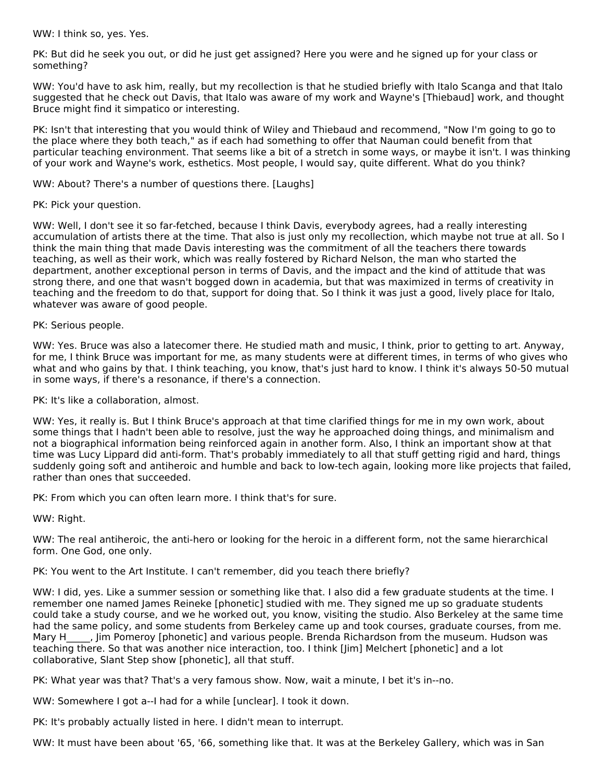WW: I think so, yes. Yes.

PK: But did he seek you out, or did he just get assigned? Here you were and he signed up for your class or something?

WW: You'd have to ask him, really, but my recollection is that he studied briefly with Italo Scanga and that Italo suggested that he check out Davis, that Italo was aware of my work and Wayne's [Thiebaud] work, and thought Bruce might find it simpatico or interesting.

PK: Isn't that interesting that you would think of Wiley and Thiebaud and recommend, "Now I'm going to go to the place where they both teach," as if each had something to offer that Nauman could benefit from that particular teaching environment. That seems like a bit of a stretch in some ways, or maybe it isn't. I was thinking of your work and Wayne's work, esthetics. Most people, I would say, quite different. What do you think?

WW: About? There's a number of questions there. [Laughs]

PK: Pick your question.

WW: Well, I don't see it so far-fetched, because I think Davis, everybody agrees, had a really interesting accumulation of artists there at the time. That also is just only my recollection, which maybe not true at all. So I think the main thing that made Davis interesting was the commitment of all the teachers there towards teaching, as well as their work, which was really fostered by Richard Nelson, the man who started the department, another exceptional person in terms of Davis, and the impact and the kind of attitude that was strong there, and one that wasn't bogged down in academia, but that was maximized in terms of creativity in teaching and the freedom to do that, support for doing that. So I think it was just a good, lively place for Italo, whatever was aware of good people.

#### PK: Serious people.

WW: Yes. Bruce was also a latecomer there. He studied math and music, I think, prior to getting to art. Anyway, for me, I think Bruce was important for me, as many students were at different times, in terms of who gives who what and who gains by that. I think teaching, you know, that's just hard to know. I think it's always 50-50 mutual in some ways, if there's a resonance, if there's a connection.

PK: It's like a collaboration, almost.

WW: Yes, it really is. But I think Bruce's approach at that time clarified things for me in my own work, about some things that I hadn't been able to resolve, just the way he approached doing things, and minimalism and not a biographical information being reinforced again in another form. Also, I think an important show at that time was Lucy Lippard did anti-form. That's probably immediately to all that stuff getting rigid and hard, things suddenly going soft and antiheroic and humble and back to low-tech again, looking more like projects that failed, rather than ones that succeeded.

PK: From which you can often learn more. I think that's for sure.

WW: Right.

WW: The real antiheroic, the anti-hero or looking for the heroic in a different form, not the same hierarchical form. One God, one only.

PK: You went to the Art Institute. I can't remember, did you teach there briefly?

WW: I did, yes. Like a summer session or something like that. I also did a few graduate students at the time. I remember one named James Reineke [phonetic] studied with me. They signed me up so graduate students could take a study course, and we he worked out, you know, visiting the studio. Also Berkeley at the same time had the same policy, and some students from Berkeley came up and took courses, graduate courses, from me. Mary H<sub>im</sub>, Jim Pomeroy [phonetic] and various people. Brenda Richardson from the museum. Hudson was teaching there. So that was another nice interaction, too. I think [Jim] Melchert [phonetic] and a lot collaborative, Slant Step show [phonetic], all that stuff.

PK: What year was that? That's a very famous show. Now, wait a minute, I bet it's in--no.

WW: Somewhere I got a--I had for a while [unclear]. I took it down.

PK: It's probably actually listed in here. I didn't mean to interrupt.

WW: It must have been about '65, '66, something like that. It was at the Berkeley Gallery, which was in San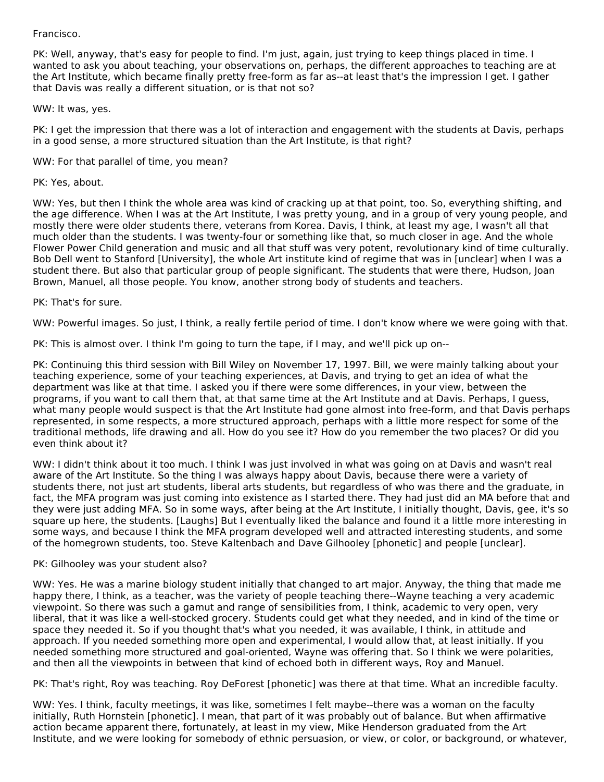#### Francisco.

PK: Well, anyway, that's easy for people to find. I'm just, again, just trying to keep things placed in time. I wanted to ask you about teaching, your observations on, perhaps, the different approaches to teaching are at the Art Institute, which became finally pretty free-form as far as--at least that's the impression I get. I gather that Davis was really a different situation, or is that not so?

#### WW: It was, yes.

PK: I get the impression that there was a lot of interaction and engagement with the students at Davis, perhaps in a good sense, a more structured situation than the Art Institute, is that right?

WW: For that parallel of time, you mean?

PK: Yes, about.

WW: Yes, but then I think the whole area was kind of cracking up at that point, too. So, everything shifting, and the age difference. When I was at the Art Institute, I was pretty young, and in a group of very young people, and mostly there were older students there, veterans from Korea. Davis, I think, at least my age, I wasn't all that much older than the students. I was twenty-four or something like that, so much closer in age. And the whole Flower Power Child generation and music and all that stuff was very potent, revolutionary kind of time culturally. Bob Dell went to Stanford [University], the whole Art institute kind of regime that was in [unclear] when I was a student there. But also that particular group of people significant. The students that were there, Hudson, Joan Brown, Manuel, all those people. You know, another strong body of students and teachers.

# PK: That's for sure.

WW: Powerful images. So just, I think, a really fertile period of time. I don't know where we were going with that.

PK: This is almost over. I think I'm going to turn the tape, if I may, and we'll pick up on--

PK: Continuing this third session with Bill Wiley on November 17, 1997. Bill, we were mainly talking about your teaching experience, some of your teaching experiences, at Davis, and trying to get an idea of what the department was like at that time. I asked you if there were some differences, in your view, between the programs, if you want to call them that, at that same time at the Art Institute and at Davis. Perhaps, I guess, what many people would suspect is that the Art Institute had gone almost into free-form, and that Davis perhaps represented, in some respects, a more structured approach, perhaps with a little more respect for some of the traditional methods, life drawing and all. How do you see it? How do you remember the two places? Or did you even think about it?

WW: I didn't think about it too much. I think I was just involved in what was going on at Davis and wasn't real aware of the Art Institute. So the thing I was always happy about Davis, because there were a variety of students there, not just art students, liberal arts students, but regardless of who was there and the graduate, in fact, the MFA program was just coming into existence as I started there. They had just did an MA before that and they were just adding MFA. So in some ways, after being at the Art Institute, I initially thought, Davis, gee, it's so square up here, the students. [Laughs] But I eventually liked the balance and found it a little more interesting in some ways, and because I think the MFA program developed well and attracted interesting students, and some of the homegrown students, too. Steve Kaltenbach and Dave Gilhooley [phonetic] and people [unclear].

#### PK: Gilhooley was your student also?

WW: Yes. He was a marine biology student initially that changed to art major. Anyway, the thing that made me happy there, I think, as a teacher, was the variety of people teaching there--Wayne teaching a very academic viewpoint. So there was such a gamut and range of sensibilities from, I think, academic to very open, very liberal, that it was like a well-stocked grocery. Students could get what they needed, and in kind of the time or space they needed it. So if you thought that's what you needed, it was available, I think, in attitude and approach. If you needed something more open and experimental, I would allow that, at least initially. If you needed something more structured and goal-oriented, Wayne was offering that. So I think we were polarities, and then all the viewpoints in between that kind of echoed both in different ways, Roy and Manuel.

PK: That's right, Roy was teaching. Roy DeForest [phonetic] was there at that time. What an incredible faculty.

WW: Yes. I think, faculty meetings, it was like, sometimes I felt maybe--there was a woman on the faculty initially, Ruth Hornstein [phonetic]. I mean, that part of it was probably out of balance. But when affirmative action became apparent there, fortunately, at least in my view, Mike Henderson graduated from the Art Institute, and we were looking for somebody of ethnic persuasion, or view, or color, or background, or whatever,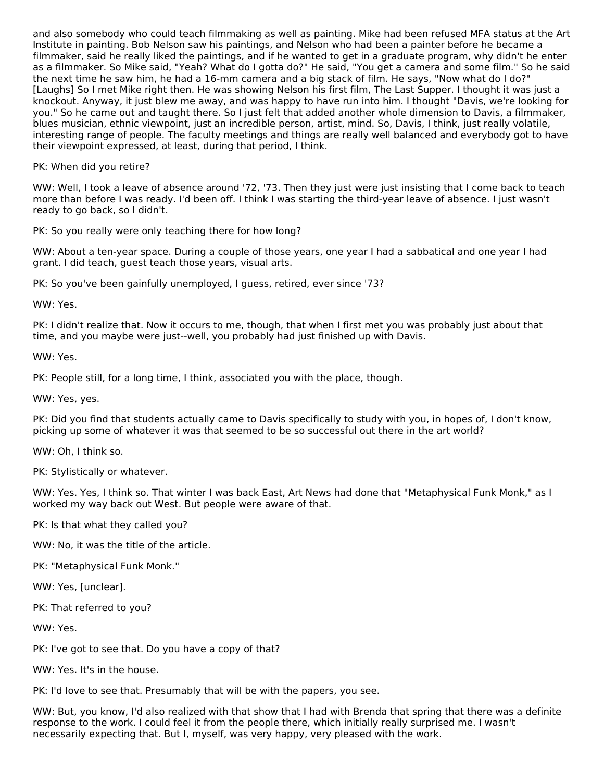and also somebody who could teach filmmaking as well as painting. Mike had been refused MFA status at the Art Institute in painting. Bob Nelson saw his paintings, and Nelson who had been a painter before he became a filmmaker, said he really liked the paintings, and if he wanted to get in a graduate program, why didn't he enter as a filmmaker. So Mike said, "Yeah? What do I gotta do?" He said, "You get a camera and some film." So he said the next time he saw him, he had a 16-mm camera and a big stack of film. He says, "Now what do I do?" [Laughs] So I met Mike right then. He was showing Nelson his first film, The Last Supper. I thought it was just a knockout. Anyway, it just blew me away, and was happy to have run into him. I thought "Davis, we're looking for you." So he came out and taught there. So I just felt that added another whole dimension to Davis, a filmmaker, blues musician, ethnic viewpoint, just an incredible person, artist, mind. So, Davis, I think, just really volatile, interesting range of people. The faculty meetings and things are really well balanced and everybody got to have their viewpoint expressed, at least, during that period, I think.

PK: When did you retire?

WW: Well, I took a leave of absence around '72, '73. Then they just were just insisting that I come back to teach more than before I was ready. I'd been off. I think I was starting the third-year leave of absence. I just wasn't ready to go back, so I didn't.

PK: So you really were only teaching there for how long?

WW: About a ten-year space. During a couple of those years, one year I had a sabbatical and one year I had grant. I did teach, guest teach those years, visual arts.

PK: So you've been gainfully unemployed, I guess, retired, ever since '73?

WW: Yes.

PK: I didn't realize that. Now it occurs to me, though, that when I first met you was probably just about that time, and you maybe were just--well, you probably had just finished up with Davis.

WW: Yes.

PK: People still, for a long time, I think, associated you with the place, though.

WW: Yes, yes.

PK: Did you find that students actually came to Davis specifically to study with you, in hopes of, I don't know, picking up some of whatever it was that seemed to be so successful out there in the art world?

WW: Oh, I think so.

PK: Stylistically or whatever.

WW: Yes. Yes, I think so. That winter I was back East, Art News had done that "Metaphysical Funk Monk," as I worked my way back out West. But people were aware of that.

PK: Is that what they called you?

WW: No, it was the title of the article.

PK: "Metaphysical Funk Monk."

WW: Yes, [unclear].

PK: That referred to you?

WW: Yes.

PK: I've got to see that. Do you have a copy of that?

WW: Yes. It's in the house.

PK: I'd love to see that. Presumably that will be with the papers, you see.

WW: But, you know, I'd also realized with that show that I had with Brenda that spring that there was a definite response to the work. I could feel it from the people there, which initially really surprised me. I wasn't necessarily expecting that. But I, myself, was very happy, very pleased with the work.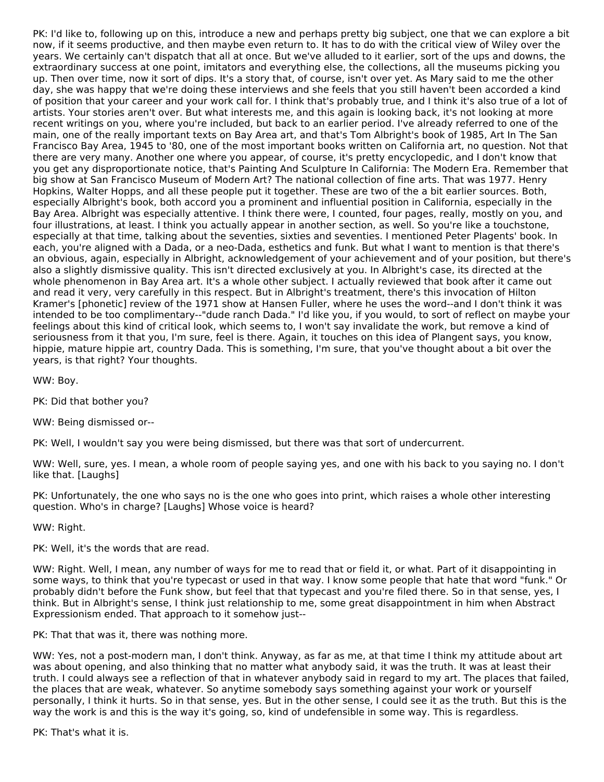PK: I'd like to, following up on this, introduce a new and perhaps pretty big subject, one that we can explore a bit now, if it seems productive, and then maybe even return to. It has to do with the critical view of Wiley over the years. We certainly can't dispatch that all at once. But we've alluded to it earlier, sort of the ups and downs, the extraordinary success at one point, imitators and everything else, the collections, all the museums picking you up. Then over time, now it sort of dips. It's a story that, of course, isn't over yet. As Mary said to me the other day, she was happy that we're doing these interviews and she feels that you still haven't been accorded a kind of position that your career and your work call for. I think that's probably true, and I think it's also true of a lot of artists. Your stories aren't over. But what interests me, and this again is looking back, it's not looking at more recent writings on you, where you're included, but back to an earlier period. I've already referred to one of the main, one of the really important texts on Bay Area art, and that's Tom Albright's book of 1985, Art In The San Francisco Bay Area, 1945 to '80, one of the most important books written on California art, no question. Not that there are very many. Another one where you appear, of course, it's pretty encyclopedic, and I don't know that you get any disproportionate notice, that's Painting And Sculpture In California: The Modern Era. Remember that big show at San Francisco Museum of Modern Art? The national collection of fine arts. That was 1977. Henry Hopkins, Walter Hopps, and all these people put it together. These are two of the a bit earlier sources. Both, especially Albright's book, both accord you a prominent and influential position in California, especially in the Bay Area. Albright was especially attentive. I think there were, I counted, four pages, really, mostly on you, and four illustrations, at least. I think you actually appear in another section, as well. So you're like a touchstone, especially at that time, talking about the seventies, sixties and seventies. I mentioned Peter Plagents' book. In each, you're aligned with a Dada, or a neo-Dada, esthetics and funk. But what I want to mention is that there's an obvious, again, especially in Albright, acknowledgement of your achievement and of your position, but there's also a slightly dismissive quality. This isn't directed exclusively at you. In Albright's case, its directed at the whole phenomenon in Bay Area art. It's a whole other subject. I actually reviewed that book after it came out and read it very, very carefully in this respect. But in Albright's treatment, there's this invocation of Hilton Kramer's [phonetic] review of the 1971 show at Hansen Fuller, where he uses the word--and I don't think it was intended to be too complimentary--"dude ranch Dada." I'd like you, if you would, to sort of reflect on maybe your feelings about this kind of critical look, which seems to, I won't say invalidate the work, but remove a kind of seriousness from it that you, I'm sure, feel is there. Again, it touches on this idea of Plangent says, you know, hippie, mature hippie art, country Dada. This is something, I'm sure, that you've thought about a bit over the years, is that right? Your thoughts.

WW: Boy.

PK: Did that bother you?

WW: Being dismissed or--

PK: Well, I wouldn't say you were being dismissed, but there was that sort of undercurrent.

WW: Well, sure, yes. I mean, a whole room of people saying yes, and one with his back to you saying no. I don't like that. [Laughs]

PK: Unfortunately, the one who says no is the one who goes into print, which raises a whole other interesting question. Who's in charge? [Laughs] Whose voice is heard?

WW: Right.

PK: Well, it's the words that are read.

WW: Right. Well, I mean, any number of ways for me to read that or field it, or what. Part of it disappointing in some ways, to think that you're typecast or used in that way. I know some people that hate that word "funk." Or probably didn't before the Funk show, but feel that that typecast and you're filed there. So in that sense, yes, I think. But in Albright's sense, I think just relationship to me, some great disappointment in him when Abstract Expressionism ended. That approach to it somehow just--

PK: That that was it, there was nothing more.

WW: Yes, not a post-modern man, I don't think. Anyway, as far as me, at that time I think my attitude about art was about opening, and also thinking that no matter what anybody said, it was the truth. It was at least their truth. I could always see a reflection of that in whatever anybody said in regard to my art. The places that failed, the places that are weak, whatever. So anytime somebody says something against your work or yourself personally, I think it hurts. So in that sense, yes. But in the other sense, I could see it as the truth. But this is the way the work is and this is the way it's going, so, kind of undefensible in some way. This is regardless.

PK: That's what it is.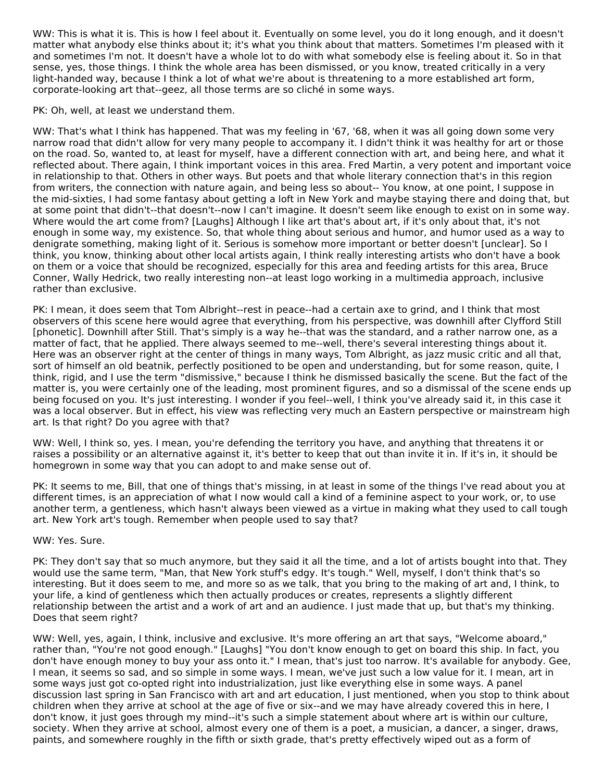WW: This is what it is. This is how I feel about it. Eventually on some level, you do it long enough, and it doesn't matter what anybody else thinks about it; it's what you think about that matters. Sometimes I'm pleased with it and sometimes I'm not. It doesn't have a whole lot to do with what somebody else is feeling about it. So in that sense, yes, those things. I think the whole area has been dismissed, or you know, treated critically in a very light-handed way, because I think a lot of what we're about is threatening to a more established art form, corporate-looking art that--geez, all those terms are so cliché in some ways.

PK: Oh, well, at least we understand them.

WW: That's what I think has happened. That was my feeling in '67, '68, when it was all going down some very narrow road that didn't allow for very many people to accompany it. I didn't think it was healthy for art or those on the road. So, wanted to, at least for myself, have a different connection with art, and being here, and what it reflected about. There again, I think important voices in this area. Fred Martin, a very potent and important voice in relationship to that. Others in other ways. But poets and that whole literary connection that's in this region from writers, the connection with nature again, and being less so about-- You know, at one point, I suppose in the mid-sixties, I had some fantasy about getting a loft in New York and maybe staying there and doing that, but at some point that didn't--that doesn't--now I can't imagine. It doesn't seem like enough to exist on in some way. Where would the art come from? [Laughs] Although I like art that's about art, if it's only about that, it's not enough in some way, my existence. So, that whole thing about serious and humor, and humor used as a way to denigrate something, making light of it. Serious is somehow more important or better doesn't [unclear]. So I think, you know, thinking about other local artists again, I think really interesting artists who don't have a book on them or a voice that should be recognized, especially for this area and feeding artists for this area, Bruce Conner, Wally Hedrick, two really interesting non--at least logo working in a multimedia approach, inclusive rather than exclusive.

PK: I mean, it does seem that Tom Albright--rest in peace--had a certain axe to grind, and I think that most observers of this scene here would agree that everything, from his perspective, was downhill after Clyfford Still [phonetic]. Downhill after Still. That's simply is a way he--that was the standard, and a rather narrow one, as a matter of fact, that he applied. There always seemed to me--well, there's several interesting things about it. Here was an observer right at the center of things in many ways, Tom Albright, as jazz music critic and all that, sort of himself an old beatnik, perfectly positioned to be open and understanding, but for some reason, quite, I think, rigid, and I use the term "dismissive," because I think he dismissed basically the scene. But the fact of the matter is, you were certainly one of the leading, most prominent figures, and so a dismissal of the scene ends up being focused on you. It's just interesting. I wonder if you feel--well, I think you've already said it, in this case it was a local observer. But in effect, his view was reflecting very much an Eastern perspective or mainstream high art. Is that right? Do you agree with that?

WW: Well, I think so, yes. I mean, you're defending the territory you have, and anything that threatens it or raises a possibility or an alternative against it, it's better to keep that out than invite it in. If it's in, it should be homegrown in some way that you can adopt to and make sense out of.

PK: It seems to me, Bill, that one of things that's missing, in at least in some of the things I've read about you at different times, is an appreciation of what I now would call a kind of a feminine aspect to your work, or, to use another term, a gentleness, which hasn't always been viewed as a virtue in making what they used to call tough art. New York art's tough. Remember when people used to say that?

#### WW: Yes. Sure.

PK: They don't say that so much anymore, but they said it all the time, and a lot of artists bought into that. They would use the same term, "Man, that New York stuff's edgy. It's tough." Well, myself, I don't think that's so interesting. But it does seem to me, and more so as we talk, that you bring to the making of art and, I think, to your life, a kind of gentleness which then actually produces or creates, represents a slightly different relationship between the artist and a work of art and an audience. I just made that up, but that's my thinking. Does that seem right?

WW: Well, yes, again, I think, inclusive and exclusive. It's more offering an art that says, "Welcome aboard," rather than, "You're not good enough." [Laughs] "You don't know enough to get on board this ship. In fact, you don't have enough money to buy your ass onto it." I mean, that's just too narrow. It's available for anybody. Gee, I mean, it seems so sad, and so simple in some ways. I mean, we've just such a low value for it. I mean, art in some ways just got co-opted right into industrialization, just like everything else in some ways. A panel discussion last spring in San Francisco with art and art education, I just mentioned, when you stop to think about children when they arrive at school at the age of five or six--and we may have already covered this in here, I don't know, it just goes through my mind--it's such a simple statement about where art is within our culture, society. When they arrive at school, almost every one of them is a poet, a musician, a dancer, a singer, draws, paints, and somewhere roughly in the fifth or sixth grade, that's pretty effectively wiped out as a form of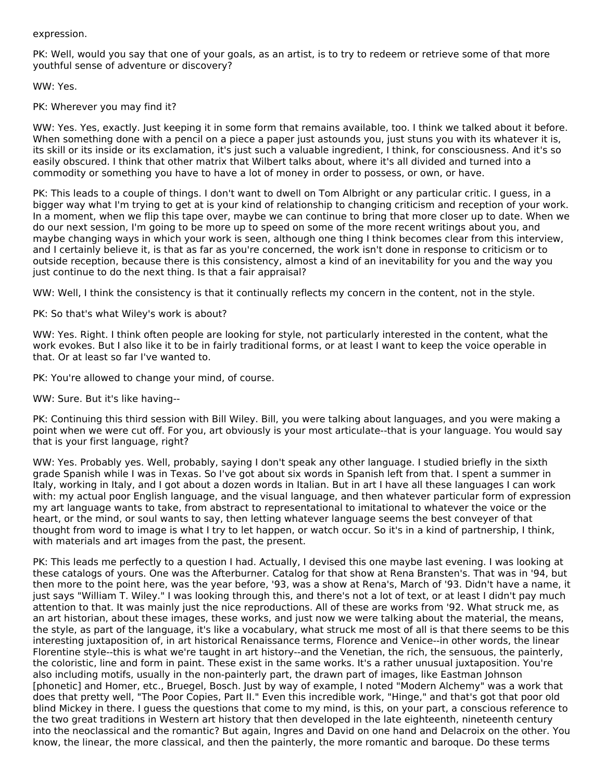#### expression.

PK: Well, would you say that one of your goals, as an artist, is to try to redeem or retrieve some of that more youthful sense of adventure or discovery?

WW: Yes.

PK: Wherever you may find it?

WW: Yes. Yes, exactly. Just keeping it in some form that remains available, too. I think we talked about it before. When something done with a pencil on a piece a paper just astounds you, just stuns you with its whatever it is, its skill or its inside or its exclamation, it's just such a valuable ingredient, I think, for consciousness. And it's so easily obscured. I think that other matrix that Wilbert talks about, where it's all divided and turned into a commodity or something you have to have a lot of money in order to possess, or own, or have.

PK: This leads to a couple of things. I don't want to dwell on Tom Albright or any particular critic. I guess, in a bigger way what I'm trying to get at is your kind of relationship to changing criticism and reception of your work. In a moment, when we flip this tape over, maybe we can continue to bring that more closer up to date. When we do our next session, I'm going to be more up to speed on some of the more recent writings about you, and maybe changing ways in which your work is seen, although one thing I think becomes clear from this interview, and I certainly believe it, is that as far as you're concerned, the work isn't done in response to criticism or to outside reception, because there is this consistency, almost a kind of an inevitability for you and the way you just continue to do the next thing. Is that a fair appraisal?

WW: Well, I think the consistency is that it continually reflects my concern in the content, not in the style.

PK: So that's what Wiley's work is about?

WW: Yes. Right. I think often people are looking for style, not particularly interested in the content, what the work evokes. But I also like it to be in fairly traditional forms, or at least I want to keep the voice operable in that. Or at least so far I've wanted to.

PK: You're allowed to change your mind, of course.

WW: Sure. But it's like having--

PK: Continuing this third session with Bill Wiley. Bill, you were talking about languages, and you were making a point when we were cut off. For you, art obviously is your most articulate--that is your language. You would say that is your first language, right?

WW: Yes. Probably yes. Well, probably, saying I don't speak any other language. I studied briefly in the sixth grade Spanish while I was in Texas. So I've got about six words in Spanish left from that. I spent a summer in Italy, working in Italy, and I got about a dozen words in Italian. But in art I have all these languages I can work with: my actual poor English language, and the visual language, and then whatever particular form of expression my art language wants to take, from abstract to representational to imitational to whatever the voice or the heart, or the mind, or soul wants to say, then letting whatever language seems the best conveyer of that thought from word to image is what I try to let happen, or watch occur. So it's in a kind of partnership, I think, with materials and art images from the past, the present.

PK: This leads me perfectly to a question I had. Actually, I devised this one maybe last evening. I was looking at these catalogs of yours. One was the Afterburner. Catalog for that show at Rena Bransten's. That was in '94, but then more to the point here, was the year before, '93, was a show at Rena's, March of '93. Didn't have a name, it just says "William T. Wiley." I was looking through this, and there's not a lot of text, or at least I didn't pay much attention to that. It was mainly just the nice reproductions. All of these are works from '92. What struck me, as an art historian, about these images, these works, and just now we were talking about the material, the means, the style, as part of the language, it's like a vocabulary, what struck me most of all is that there seems to be this interesting juxtaposition of, in art historical Renaissance terms, Florence and Venice--in other words, the linear Florentine style--this is what we're taught in art history--and the Venetian, the rich, the sensuous, the painterly, the coloristic, line and form in paint. These exist in the same works. It's a rather unusual juxtaposition. You're also including motifs, usually in the non-painterly part, the drawn part of images, like Eastman Johnson [phonetic] and Homer, etc., Bruegel, Bosch. Just by way of example, I noted "Modern Alchemy" was a work that does that pretty well, "The Poor Copies, Part II." Even this incredible work, "Hinge," and that's got that poor old blind Mickey in there. I guess the questions that come to my mind, is this, on your part, a conscious reference to the two great traditions in Western art history that then developed in the late eighteenth, nineteenth century into the neoclassical and the romantic? But again, Ingres and David on one hand and Delacroix on the other. You know, the linear, the more classical, and then the painterly, the more romantic and baroque. Do these terms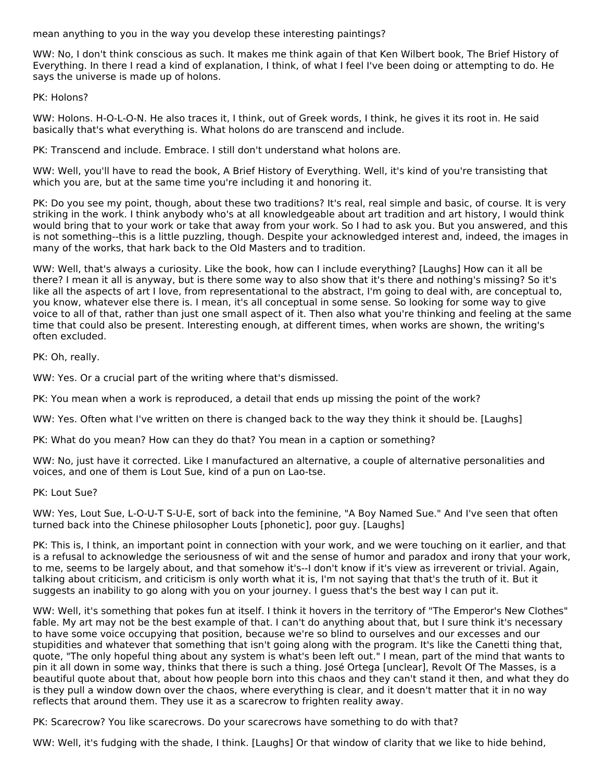mean anything to you in the way you develop these interesting paintings?

WW: No, I don't think conscious as such. It makes me think again of that Ken Wilbert book, The Brief History of Everything. In there I read a kind of explanation, I think, of what I feel I've been doing or attempting to do. He says the universe is made up of holons.

PK: Holons?

WW: Holons. H-O-L-O-N. He also traces it, I think, out of Greek words, I think, he gives it its root in. He said basically that's what everything is. What holons do are transcend and include.

PK: Transcend and include. Embrace. I still don't understand what holons are.

WW: Well, you'll have to read the book, A Brief History of Everything. Well, it's kind of you're transisting that which you are, but at the same time you're including it and honoring it.

PK: Do you see my point, though, about these two traditions? It's real, real simple and basic, of course. It is very striking in the work. I think anybody who's at all knowledgeable about art tradition and art history, I would think would bring that to your work or take that away from your work. So I had to ask you. But you answered, and this is not something--this is a little puzzling, though. Despite your acknowledged interest and, indeed, the images in many of the works, that hark back to the Old Masters and to tradition.

WW: Well, that's always a curiosity. Like the book, how can I include everything? [Laughs] How can it all be there? I mean it all is anyway, but is there some way to also show that it's there and nothing's missing? So it's like all the aspects of art I love, from representational to the abstract, I'm going to deal with, are conceptual to, you know, whatever else there is. I mean, it's all conceptual in some sense. So looking for some way to give voice to all of that, rather than just one small aspect of it. Then also what you're thinking and feeling at the same time that could also be present. Interesting enough, at different times, when works are shown, the writing's often excluded.

PK: Oh, really.

WW: Yes. Or a crucial part of the writing where that's dismissed.

PK: You mean when a work is reproduced, a detail that ends up missing the point of the work?

WW: Yes. Often what I've written on there is changed back to the way they think it should be. [Laughs]

PK: What do you mean? How can they do that? You mean in a caption or something?

WW: No, just have it corrected. Like I manufactured an alternative, a couple of alternative personalities and voices, and one of them is Lout Sue, kind of a pun on Lao-tse.

PK: Lout Sue?

WW: Yes, Lout Sue, L-O-U-T S-U-E, sort of back into the feminine, "A Boy Named Sue." And I've seen that often turned back into the Chinese philosopher Louts [phonetic], poor guy. [Laughs]

PK: This is, I think, an important point in connection with your work, and we were touching on it earlier, and that is a refusal to acknowledge the seriousness of wit and the sense of humor and paradox and irony that your work, to me, seems to be largely about, and that somehow it's--I don't know if it's view as irreverent or trivial. Again, talking about criticism, and criticism is only worth what it is, I'm not saying that that's the truth of it. But it suggests an inability to go along with you on your journey. I guess that's the best way I can put it.

WW: Well, it's something that pokes fun at itself. I think it hovers in the territory of "The Emperor's New Clothes" fable. My art may not be the best example of that. I can't do anything about that, but I sure think it's necessary to have some voice occupying that position, because we're so blind to ourselves and our excesses and our stupidities and whatever that something that isn't going along with the program. It's like the Canetti thing that, quote, "The only hopeful thing about any system is what's been left out." I mean, part of the mind that wants to pin it all down in some way, thinks that there is such a thing. José Ortega [unclear], Revolt Of The Masses, is a beautiful quote about that, about how people born into this chaos and they can't stand it then, and what they do is they pull a window down over the chaos, where everything is clear, and it doesn't matter that it in no way reflects that around them. They use it as a scarecrow to frighten reality away.

PK: Scarecrow? You like scarecrows. Do your scarecrows have something to do with that?

WW: Well, it's fudging with the shade, I think. [Laughs] Or that window of clarity that we like to hide behind,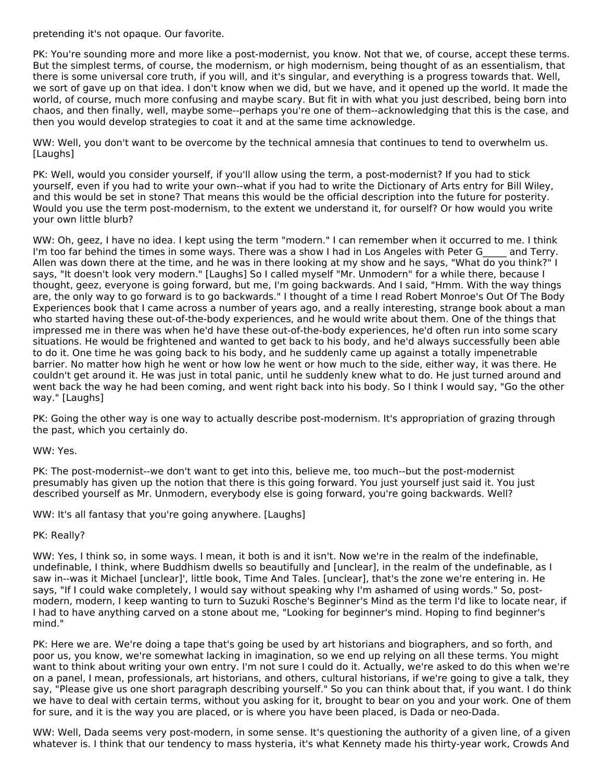pretending it's not opaque. Our favorite.

PK: You're sounding more and more like a post-modernist, you know. Not that we, of course, accept these terms. But the simplest terms, of course, the modernism, or high modernism, being thought of as an essentialism, that there is some universal core truth, if you will, and it's singular, and everything is a progress towards that. Well, we sort of gave up on that idea. I don't know when we did, but we have, and it opened up the world. It made the world, of course, much more confusing and maybe scary. But fit in with what you just described, being born into chaos, and then finally, well, maybe some--perhaps you're one of them--acknowledging that this is the case, and then you would develop strategies to coat it and at the same time acknowledge.

WW: Well, you don't want to be overcome by the technical amnesia that continues to tend to overwhelm us. [Laughs]

PK: Well, would you consider yourself, if you'll allow using the term, a post-modernist? If you had to stick yourself, even if you had to write your own--what if you had to write the Dictionary of Arts entry for Bill Wiley, and this would be set in stone? That means this would be the official description into the future for posterity. Would you use the term post-modernism, to the extent we understand it, for ourself? Or how would you write your own little blurb?

WW: Oh, geez, I have no idea. I kept using the term "modern." I can remember when it occurred to me. I think I'm too far behind the times in some ways. There was a show I had in Los Angeles with Peter G\_\_\_\_\_ and Terry. Allen was down there at the time, and he was in there looking at my show and he says, "What do you think?" I says, "It doesn't look very modern." [Laughs] So I called myself "Mr. Unmodern" for a while there, because I thought, geez, everyone is going forward, but me, I'm going backwards. And I said, "Hmm. With the way things are, the only way to go forward is to go backwards." I thought of a time I read Robert Monroe's Out Of The Body Experiences book that I came across a number of years ago, and a really interesting, strange book about a man who started having these out-of-the-body experiences, and he would write about them. One of the things that impressed me in there was when he'd have these out-of-the-body experiences, he'd often run into some scary situations. He would be frightened and wanted to get back to his body, and he'd always successfully been able to do it. One time he was going back to his body, and he suddenly came up against a totally impenetrable barrier. No matter how high he went or how low he went or how much to the side, either way, it was there. He couldn't get around it. He was just in total panic, until he suddenly knew what to do. He just turned around and went back the way he had been coming, and went right back into his body. So I think I would say, "Go the other way." [Laughs]

PK: Going the other way is one way to actually describe post-modernism. It's appropriation of grazing through the past, which you certainly do.

WW: Yes.

PK: The post-modernist--we don't want to get into this, believe me, too much--but the post-modernist presumably has given up the notion that there is this going forward. You just yourself just said it. You just described yourself as Mr. Unmodern, everybody else is going forward, you're going backwards. Well?

WW: It's all fantasy that you're going anywhere. [Laughs]

PK: Really?

WW: Yes, I think so, in some ways. I mean, it both is and it isn't. Now we're in the realm of the indefinable, undefinable, I think, where Buddhism dwells so beautifully and [unclear], in the realm of the undefinable, as I saw in--was it Michael [unclear]', little book, Time And Tales. [unclear], that's the zone we're entering in. He says, "If I could wake completely, I would say without speaking why I'm ashamed of using words." So, post modern, modern, I keep wanting to turn to Suzuki Rosche's Beginner's Mind as the term I'd like to locate near, if I had to have anything carved on a stone about me, "Looking for beginner's mind. Hoping to find beginner's mind."

PK: Here we are. We're doing a tape that's going be used by art historians and biographers, and so forth, and poor us, you know, we're somewhat lacking in imagination, so we end up relying on all these terms. You might want to think about writing your own entry. I'm not sure I could do it. Actually, we're asked to do this when we're on a panel, I mean, professionals, art historians, and others, cultural historians, if we're going to give a talk, they say, "Please give us one short paragraph describing yourself." So you can think about that, if you want. I do think we have to deal with certain terms, without you asking for it, brought to bear on you and your work. One of them for sure, and it is the way you are placed, or is where you have been placed, is Dada or neo-Dada.

WW: Well, Dada seems very post-modern, in some sense. It's questioning the authority of a given line, of a given whatever is. I think that our tendency to mass hysteria, it's what Kennety made his thirty-year work, Crowds And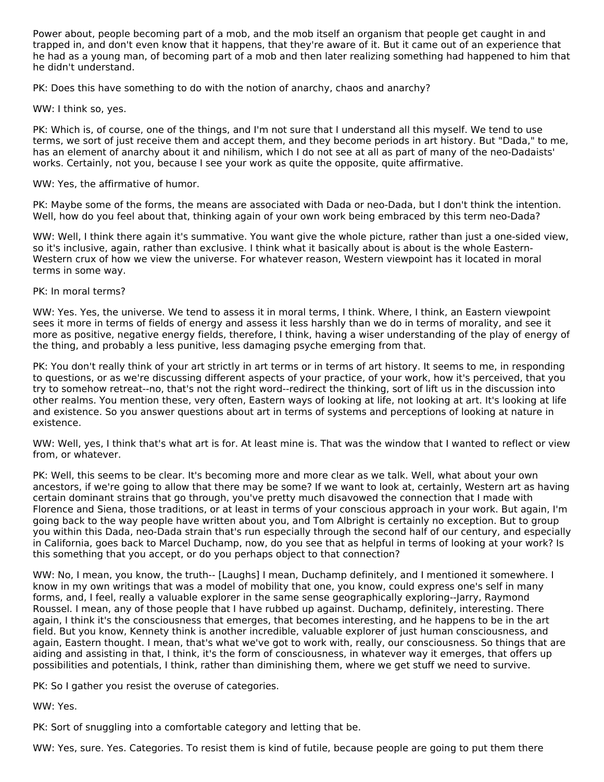Power about, people becoming part of a mob, and the mob itself an organism that people get caught in and trapped in, and don't even know that it happens, that they're aware of it. But it came out of an experience that he had as a young man, of becoming part of a mob and then later realizing something had happened to him that he didn't understand.

PK: Does this have something to do with the notion of anarchy, chaos and anarchy?

WW: I think so, yes.

PK: Which is, of course, one of the things, and I'm not sure that I understand all this myself. We tend to use terms, we sort of just receive them and accept them, and they become periods in art history. But "Dada," to me, has an element of anarchy about it and nihilism, which I do not see at all as part of many of the neo-Dadaists' works. Certainly, not you, because I see your work as quite the opposite, quite affirmative.

#### WW: Yes, the affirmative of humor.

PK: Maybe some of the forms, the means are associated with Dada or neo-Dada, but I don't think the intention. Well, how do you feel about that, thinking again of your own work being embraced by this term neo-Dada?

WW: Well, I think there again it's summative. You want give the whole picture, rather than just a one-sided view, so it's inclusive, again, rather than exclusive. I think what it basically about is about is the whole Eastern- Western crux of how we view the universe. For whatever reason, Western viewpoint has it located in moral terms in some way.

#### PK: In moral terms?

WW: Yes. Yes, the universe. We tend to assess it in moral terms, I think. Where, I think, an Eastern viewpoint sees it more in terms of fields of energy and assess it less harshly than we do in terms of morality, and see it more as positive, negative energy fields, therefore, I think, having a wiser understanding of the play of energy of the thing, and probably a less punitive, less damaging psyche emerging from that.

PK: You don't really think of your art strictly in art terms or in terms of art history. It seems to me, in responding to questions, or as we're discussing different aspects of your practice, of your work, how it's perceived, that you try to somehow retreat--no, that's not the right word--redirect the thinking, sort of lift us in the discussion into other realms. You mention these, very often, Eastern ways of looking at life, not looking at art. It's looking at life and existence. So you answer questions about art in terms of systems and perceptions of looking at nature in existence.

WW: Well, yes, I think that's what art is for. At least mine is. That was the window that I wanted to reflect or view from, or whatever.

PK: Well, this seems to be clear. It's becoming more and more clear as we talk. Well, what about your own ancestors, if we're going to allow that there may be some? If we want to look at, certainly, Western art as having certain dominant strains that go through, you've pretty much disavowed the connection that I made with Florence and Siena, those traditions, or at least in terms of your conscious approach in your work. But again, I'm going back to the way people have written about you, and Tom Albright is certainly no exception. But to group you within this Dada, neo-Dada strain that's run especially through the second half of our century, and especially in California, goes back to Marcel Duchamp, now, do you see that as helpful in terms of looking at your work? Is this something that you accept, or do you perhaps object to that connection?

WW: No, I mean, you know, the truth-- [Laughs] I mean, Duchamp definitely, and I mentioned it somewhere. I know in my own writings that was a model of mobility that one, you know, could express one's self in many forms, and, I feel, really a valuable explorer in the same sense geographically exploring--Jarry, Raymond Roussel. I mean, any of those people that I have rubbed up against. Duchamp, definitely, interesting. There again, I think it's the consciousness that emerges, that becomes interesting, and he happens to be in the art field. But you know, Kennety think is another incredible, valuable explorer of just human consciousness, and again, Eastern thought. I mean, that's what we've got to work with, really, our consciousness. So things that are aiding and assisting in that, I think, it's the form of consciousness, in whatever way it emerges, that offers up possibilities and potentials, I think, rather than diminishing them, where we get stuff we need to survive.

PK: So I gather you resist the overuse of categories.

WW: Yes.

PK: Sort of snuggling into a comfortable category and letting that be.

WW: Yes, sure. Yes. Categories. To resist them is kind of futile, because people are going to put them there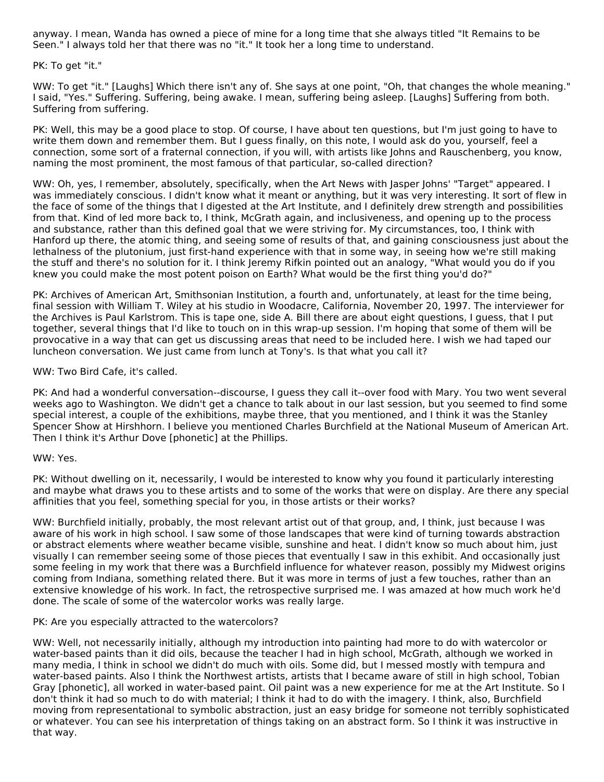anyway. I mean, Wanda has owned a piece of mine for a long time that she always titled "It Remains to be Seen." I always told her that there was no "it." It took her a long time to understand.

PK: To get "it."

WW: To get "it." [Laughs] Which there isn't any of. She says at one point, "Oh, that changes the whole meaning." I said, "Yes." Suffering. Suffering, being awake. I mean, suffering being asleep. [Laughs] Suffering from both. Suffering from suffering.

PK: Well, this may be a good place to stop. Of course, I have about ten questions, but I'm just going to have to write them down and remember them. But I guess finally, on this note, I would ask do you, yourself, feel a connection, some sort of a fraternal connection, if you will, with artists like Johns and Rauschenberg, you know, naming the most prominent, the most famous of that particular, so-called direction?

WW: Oh, yes, I remember, absolutely, specifically, when the Art News with Jasper Johns' "Target" appeared. I was immediately conscious. I didn't know what it meant or anything, but it was very interesting. It sort of flew in the face of some of the things that I digested at the Art Institute, and I definitely drew strength and possibilities from that. Kind of led more back to, I think, McGrath again, and inclusiveness, and opening up to the process and substance, rather than this defined goal that we were striving for. My circumstances, too, I think with Hanford up there, the atomic thing, and seeing some of results of that, and gaining consciousness just about the lethalness of the plutonium, just first-hand experience with that in some way, in seeing how we're still making the stuff and there's no solution for it. I think Jeremy Rifkin pointed out an analogy, "What would you do if you knew you could make the most potent poison on Earth? What would be the first thing you'd do?"

PK: Archives of American Art, Smithsonian Institution, a fourth and, unfortunately, at least for the time being, final session with William T. Wiley at his studio in Woodacre, California, November 20, 1997. The interviewer for the Archives is Paul Karlstrom. This is tape one, side A. Bill there are about eight questions, I guess, that I put together, several things that I'd like to touch on in this wrap-up session. I'm hoping that some of them will be provocative in a way that can get us discussing areas that need to be included here. I wish we had taped our luncheon conversation. We just came from lunch at Tony's. Is that what you call it?

WW: Two Bird Cafe, it's called.

PK: And had a wonderful conversation--discourse, I guess they call it--over food with Mary. You two went several weeks ago to Washington. We didn't get a chance to talk about in our last session, but you seemed to find some special interest, a couple of the exhibitions, maybe three, that you mentioned, and I think it was the Stanley Spencer Show at Hirshhorn. I believe you mentioned Charles Burchfield at the National Museum of American Art. Then I think it's Arthur Dove [phonetic] at the Phillips.

#### WW: Yes.

PK: Without dwelling on it, necessarily, I would be interested to know why you found it particularly interesting and maybe what draws you to these artists and to some of the works that were on display. Are there any special affinities that you feel, something special for you, in those artists or their works?

WW: Burchfield initially, probably, the most relevant artist out of that group, and, I think, just because I was aware of his work in high school. I saw some of those landscapes that were kind of turning towards abstraction or abstract elements where weather became visible, sunshine and heat. I didn't know so much about him, just visually I can remember seeing some of those pieces that eventually I saw in this exhibit. And occasionally just some feeling in my work that there was a Burchfield influence for whatever reason, possibly my Midwest origins coming from Indiana, something related there. But it was more in terms of just a few touches, rather than an extensive knowledge of his work. In fact, the retrospective surprised me. I was amazed at how much work he'd done. The scale of some of the watercolor works was really large.

# PK: Are you especially attracted to the watercolors?

WW: Well, not necessarily initially, although my introduction into painting had more to do with watercolor or water-based paints than it did oils, because the teacher I had in high school, McGrath, although we worked in many media, I think in school we didn't do much with oils. Some did, but I messed mostly with tempura and water-based paints. Also I think the Northwest artists, artists that I became aware of still in high school, Tobian Gray [phonetic], all worked in water-based paint. Oil paint was a new experience for me at the Art Institute. So I don't think it had so much to do with material; I think it had to do with the imagery. I think, also, Burchfield moving from representational to symbolic abstraction, just an easy bridge for someone not terribly sophisticated or whatever. You can see his interpretation of things taking on an abstract form. So I think it was instructive in that way.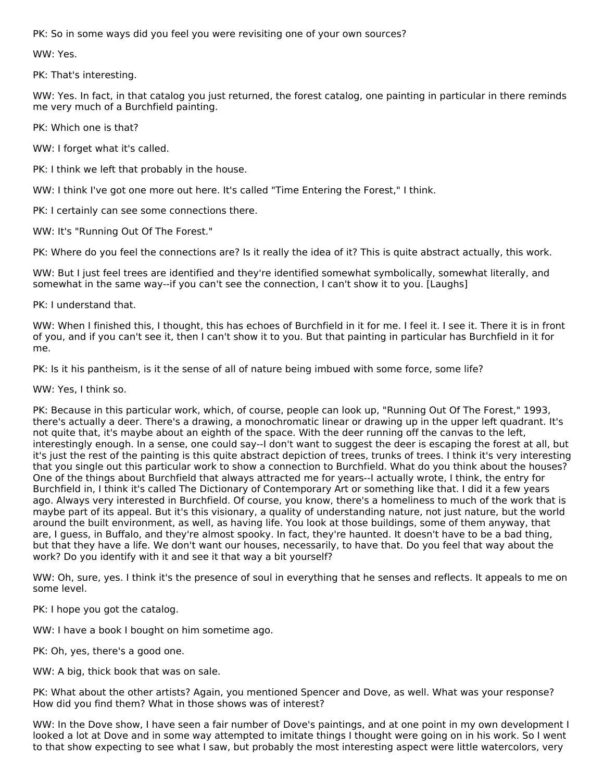PK: So in some ways did you feel you were revisiting one of your own sources?

WW: Yes.

PK: That's interesting.

WW: Yes. In fact, in that catalog you just returned, the forest catalog, one painting in particular in there reminds me very much of a Burchfield painting.

PK: Which one is that?

WW: I forget what it's called.

PK: I think we left that probably in the house.

WW: I think I've got one more out here. It's called "Time Entering the Forest," I think.

PK: I certainly can see some connections there.

WW: It's "Running Out Of The Forest."

PK: Where do you feel the connections are? Is it really the idea of it? This is quite abstract actually, this work.

WW: But I just feel trees are identified and they're identified somewhat symbolically, somewhat literally, and somewhat in the same way--if you can't see the connection, I can't show it to you. [Laughs]

PK: I understand that.

WW: When I finished this, I thought, this has echoes of Burchfield in it for me. I feel it. I see it. There it is in front of you, and if you can't see it, then I can't show it to you. But that painting in particular has Burchfield in it for me.

PK: Is it his pantheism, is it the sense of all of nature being imbued with some force, some life?

WW: Yes, I think so.

PK: Because in this particular work, which, of course, people can look up, "Running Out Of The Forest," 1993, there's actually a deer. There's a drawing, a monochromatic linear or drawing up in the upper left quadrant. It's not quite that, it's maybe about an eighth of the space. With the deer running off the canvas to the left, interestingly enough. In a sense, one could say--I don't want to suggest the deer is escaping the forest at all, but it's just the rest of the painting is this quite abstract depiction of trees, trunks of trees. I think it's very interesting that you single out this particular work to show a connection to Burchfield. What do you think about the houses? One of the things about Burchfield that always attracted me for years--I actually wrote, I think, the entry for Burchfield in, I think it's called The Dictionary of Contemporary Art or something like that. I did it a few years ago. Always very interested in Burchfield. Of course, you know, there's a homeliness to much of the work that is maybe part of its appeal. But it's this visionary, a quality of understanding nature, not just nature, but the world around the built environment, as well, as having life. You look at those buildings, some of them anyway, that are, I guess, in Buffalo, and they're almost spooky. In fact, they're haunted. It doesn't have to be a bad thing, but that they have a life. We don't want our houses, necessarily, to have that. Do you feel that way about the work? Do you identify with it and see it that way a bit yourself?

WW: Oh, sure, yes. I think it's the presence of soul in everything that he senses and reflects. It appeals to me on some level.

PK: I hope you got the catalog.

WW: I have a book I bought on him sometime ago.

PK: Oh, yes, there's a good one.

WW: A big, thick book that was on sale.

PK: What about the other artists? Again, you mentioned Spencer and Dove, as well. What was your response? How did you find them? What in those shows was of interest?

WW: In the Dove show, I have seen a fair number of Dove's paintings, and at one point in my own development I looked a lot at Dove and in some way attempted to imitate things I thought were going on in his work. So I went to that show expecting to see what I saw, but probably the most interesting aspect were little watercolors, very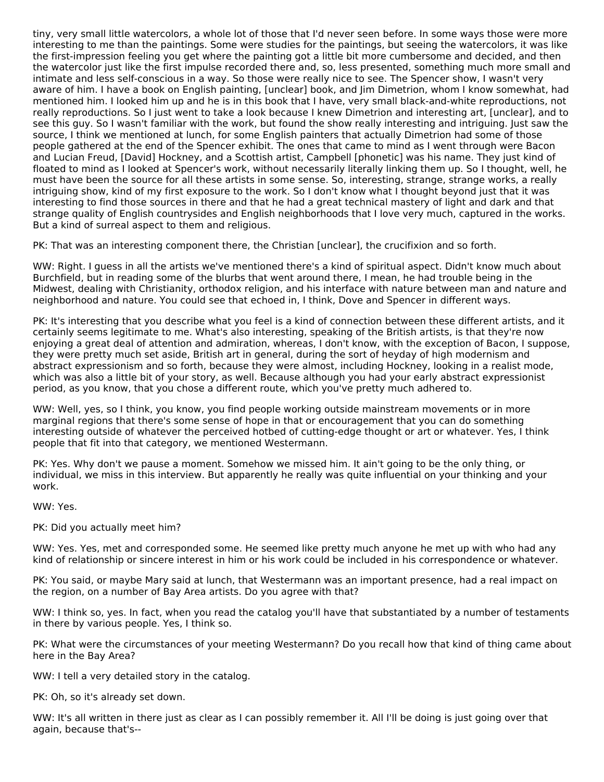tiny, very small little watercolors, a whole lot of those that I'd never seen before. In some ways those were more interesting to me than the paintings. Some were studies for the paintings, but seeing the watercolors, it was like the first-impression feeling you get where the painting got a little bit more cumbersome and decided, and then the watercolor just like the first impulse recorded there and, so, less presented, something much more small and intimate and less self-conscious in a way. So those were really nice to see. The Spencer show, I wasn't very aware of him. I have a book on English painting, [unclear] book, and Jim Dimetrion, whom I know somewhat, had mentioned him. I looked him up and he is in this book that I have, very small black-and-white reproductions, not really reproductions. So I just went to take a look because I knew Dimetrion and interesting art, [unclear], and to see this guy. So I wasn't familiar with the work, but found the show really interesting and intriguing. Just saw the source, I think we mentioned at lunch, for some English painters that actually Dimetrion had some of those people gathered at the end of the Spencer exhibit. The ones that came to mind as I went through were Bacon and Lucian Freud, [David] Hockney, and a Scottish artist, Campbell [phonetic] was his name. They just kind of floated to mind as I looked at Spencer's work, without necessarily literally linking them up. So I thought, well, he must have been the source for all these artists in some sense. So, interesting, strange, strange works, a really intriguing show, kind of my first exposure to the work. So I don't know what I thought beyond just that it was interesting to find those sources in there and that he had a great technical mastery of light and dark and that strange quality of English countrysides and English neighborhoods that I love very much, captured in the works. But a kind of surreal aspect to them and religious.

PK: That was an interesting component there, the Christian [unclear], the crucifixion and so forth.

WW: Right. I guess in all the artists we've mentioned there's a kind of spiritual aspect. Didn't know much about Burchfield, but in reading some of the blurbs that went around there, I mean, he had trouble being in the Midwest, dealing with Christianity, orthodox religion, and his interface with nature between man and nature and neighborhood and nature. You could see that echoed in, I think, Dove and Spencer in different ways.

PK: It's interesting that you describe what you feel is a kind of connection between these different artists, and it certainly seems legitimate to me. What's also interesting, speaking of the British artists, is that they're now enjoying a great deal of attention and admiration, whereas, I don't know, with the exception of Bacon, I suppose, they were pretty much set aside, British art in general, during the sort of heyday of high modernism and abstract expressionism and so forth, because they were almost, including Hockney, looking in a realist mode, which was also a little bit of your story, as well. Because although you had your early abstract expressionist period, as you know, that you chose a different route, which you've pretty much adhered to.

WW: Well, yes, so I think, you know, you find people working outside mainstream movements or in more marginal regions that there's some sense of hope in that or encouragement that you can do something interesting outside of whatever the perceived hotbed of cutting-edge thought or art or whatever. Yes, I think people that fit into that category, we mentioned Westermann.

PK: Yes. Why don't we pause a moment. Somehow we missed him. It ain't going to be the only thing, or individual, we miss in this interview. But apparently he really was quite influential on your thinking and your work.

WW: Yes.

PK: Did you actually meet him?

WW: Yes. Yes, met and corresponded some. He seemed like pretty much anyone he met up with who had any kind of relationship or sincere interest in him or his work could be included in his correspondence or whatever.

PK: You said, or maybe Mary said at lunch, that Westermann was an important presence, had a real impact on the region, on a number of Bay Area artists. Do you agree with that?

WW: I think so, yes. In fact, when you read the catalog you'll have that substantiated by a number of testaments in there by various people. Yes, I think so.

PK: What were the circumstances of your meeting Westermann? Do you recall how that kind of thing came about here in the Bay Area?

WW: I tell a very detailed story in the catalog.

PK: Oh, so it's already set down.

WW: It's all written in there just as clear as I can possibly remember it. All I'll be doing is just going over that again, because that's--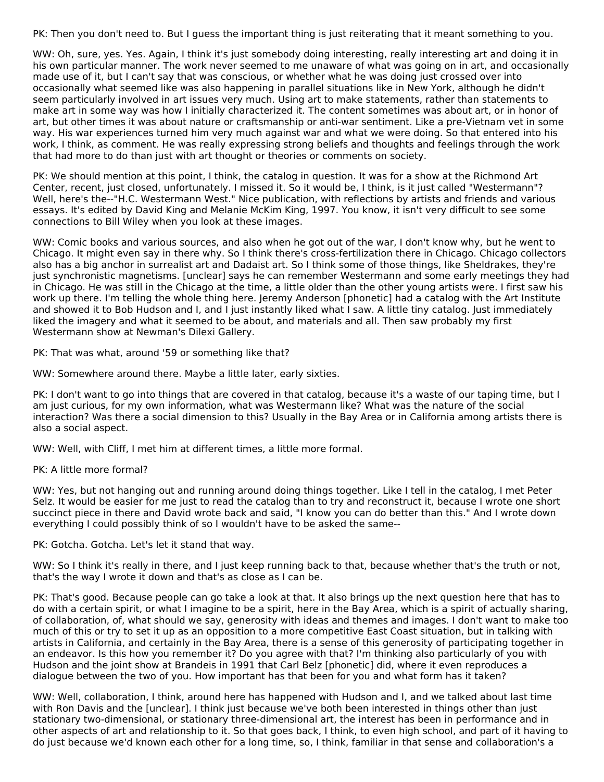PK: Then you don't need to. But I guess the important thing is just reiterating that it meant something to you.

WW: Oh, sure, yes. Yes. Again, I think it's just somebody doing interesting, really interesting art and doing it in his own particular manner. The work never seemed to me unaware of what was going on in art, and occasionally made use of it, but I can't say that was conscious, or whether what he was doing just crossed over into occasionally what seemed like was also happening in parallel situations like in New York, although he didn't seem particularly involved in art issues very much. Using art to make statements, rather than statements to make art in some way was how I initially characterized it. The content sometimes was about art, or in honor of art, but other times it was about nature or craftsmanship or anti-war sentiment. Like a pre-Vietnam vet in some way. His war experiences turned him very much against war and what we were doing. So that entered into his work, I think, as comment. He was really expressing strong beliefs and thoughts and feelings through the work that had more to do than just with art thought or theories or comments on society.

PK: We should mention at this point, I think, the catalog in question. It was for a show at the Richmond Art Center, recent, just closed, unfortunately. I missed it. So it would be, I think, is it just called "Westermann"? Well, here's the--"H.C. Westermann West." Nice publication, with reflections by artists and friends and various essays. It's edited by David King and Melanie McKim King, 1997. You know, it isn't very difficult to see some connections to Bill Wiley when you look at these images.

WW: Comic books and various sources, and also when he got out of the war, I don't know why, but he went to Chicago. It might even say in there why. So I think there's cross-fertilization there in Chicago. Chicago collectors also has a big anchor in surrealist art and Dadaist art. So I think some of those things, like Sheldrakes, they're just synchronistic magnetisms. [unclear] says he can remember Westermann and some early meetings they had in Chicago. He was still in the Chicago at the time, a little older than the other young artists were. I first saw his work up there. I'm telling the whole thing here. Jeremy Anderson [phonetic] had a catalog with the Art Institute and showed it to Bob Hudson and I, and I just instantly liked what I saw. A little tiny catalog. Just immediately liked the imagery and what it seemed to be about, and materials and all. Then saw probably my first Westermann show at Newman's Dilexi Gallery.

PK: That was what, around '59 or something like that?

WW: Somewhere around there. Maybe a little later, early sixties.

PK: I don't want to go into things that are covered in that catalog, because it's a waste of our taping time, but I am just curious, for my own information, what was Westermann like? What was the nature of the social interaction? Was there a social dimension to this? Usually in the Bay Area or in California among artists there is also a social aspect.

WW: Well, with Cliff, I met him at different times, a little more formal.

PK: A little more formal?

WW: Yes, but not hanging out and running around doing things together. Like I tell in the catalog, I met Peter Selz. It would be easier for me just to read the catalog than to try and reconstruct it, because I wrote one short succinct piece in there and David wrote back and said, "I know you can do better than this." And I wrote down everything I could possibly think of so I wouldn't have to be asked the same--

PK: Gotcha. Gotcha. Let's let it stand that way.

WW: So I think it's really in there, and I just keep running back to that, because whether that's the truth or not, that's the way I wrote it down and that's as close as I can be.

PK: That's good. Because people can go take a look at that. It also brings up the next question here that has to do with a certain spirit, or what I imagine to be a spirit, here in the Bay Area, which is a spirit of actually sharing, of collaboration, of, what should we say, generosity with ideas and themes and images. I don't want to make too much of this or try to set it up as an opposition to a more competitive East Coast situation, but in talking with artists in California, and certainly in the Bay Area, there is a sense of this generosity of participating together in an endeavor. Is this how you remember it? Do you agree with that? I'm thinking also particularly of you with Hudson and the joint show at Brandeis in 1991 that Carl Belz [phonetic] did, where it even reproduces a dialogue between the two of you. How important has that been for you and what form has it taken?

WW: Well, collaboration, I think, around here has happened with Hudson and I, and we talked about last time with Ron Davis and the [unclear]. I think just because we've both been interested in things other than just stationary two-dimensional, or stationary three-dimensional art, the interest has been in performance and in other aspects of art and relationship to it. So that goes back, I think, to even high school, and part of it having to do just because we'd known each other for a long time, so, I think, familiar in that sense and collaboration's a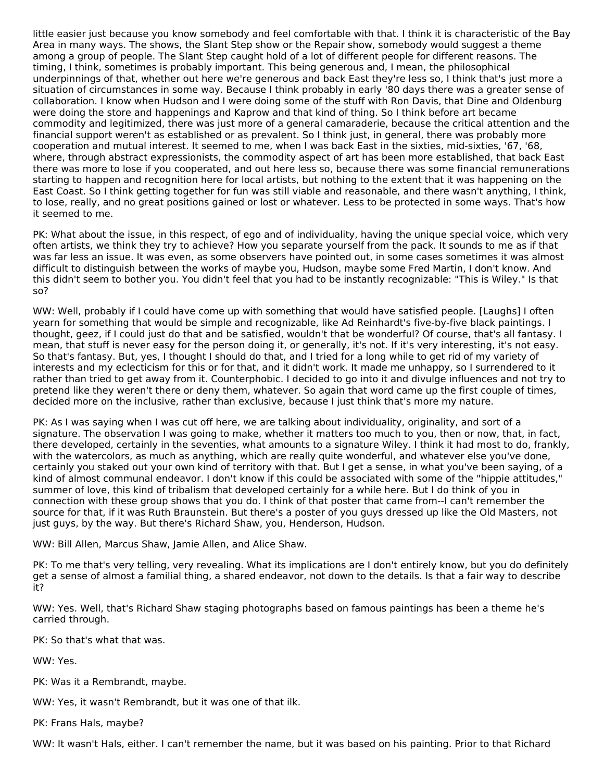little easier just because you know somebody and feel comfortable with that. I think it is characteristic of the Bay Area in many ways. The shows, the Slant Step show or the Repair show, somebody would suggest a theme among a group of people. The Slant Step caught hold of a lot of different people for different reasons. The timing, I think, sometimes is probably important. This being generous and, I mean, the philosophical underpinnings of that, whether out here we're generous and back East they're less so, I think that's just more a situation of circumstances in some way. Because I think probably in early '80 days there was a greater sense of collaboration. I know when Hudson and I were doing some of the stuff with Ron Davis, that Dine and Oldenburg were doing the store and happenings and Kaprow and that kind of thing. So I think before art became commodity and legitimized, there was just more of a general camaraderie, because the critical attention and the financial support weren't as established or as prevalent. So I think just, in general, there was probably more cooperation and mutual interest. It seemed to me, when I was back East in the sixties, mid-sixties, '67, '68, where, through abstract expressionists, the commodity aspect of art has been more established, that back East there was more to lose if you cooperated, and out here less so, because there was some financial remunerations starting to happen and recognition here for local artists, but nothing to the extent that it was happening on the East Coast. So I think getting together for fun was still viable and reasonable, and there wasn't anything, I think, to lose, really, and no great positions gained or lost or whatever. Less to be protected in some ways. That's how it seemed to me.

PK: What about the issue, in this respect, of ego and of individuality, having the unique special voice, which very often artists, we think they try to achieve? How you separate yourself from the pack. It sounds to me as if that was far less an issue. It was even, as some observers have pointed out, in some cases sometimes it was almost difficult to distinguish between the works of maybe you, Hudson, maybe some Fred Martin, I don't know. And this didn't seem to bother you. You didn't feel that you had to be instantly recognizable: "This is Wiley." Is that so?

WW: Well, probably if I could have come up with something that would have satisfied people. [Laughs] I often yearn for something that would be simple and recognizable, like Ad Reinhardt's five-by-five black paintings. I thought, geez, if I could just do that and be satisfied, wouldn't that be wonderful? Of course, that's all fantasy. I mean, that stuff is never easy for the person doing it, or generally, it's not. If it's very interesting, it's not easy. So that's fantasy. But, yes, I thought I should do that, and I tried for a long while to get rid of my variety of interests and my eclecticism for this or for that, and it didn't work. It made me unhappy, so I surrendered to it rather than tried to get away from it. Counterphobic. I decided to go into it and divulge influences and not try to pretend like they weren't there or deny them, whatever. So again that word came up the first couple of times, decided more on the inclusive, rather than exclusive, because I just think that's more my nature.

PK: As I was saying when I was cut off here, we are talking about individuality, originality, and sort of a signature. The observation I was going to make, whether it matters too much to you, then or now, that, in fact, there developed, certainly in the seventies, what amounts to a signature Wiley. I think it had most to do, frankly, with the watercolors, as much as anything, which are really quite wonderful, and whatever else you've done, certainly you staked out your own kind of territory with that. But I get a sense, in what you've been saying, of a kind of almost communal endeavor. I don't know if this could be associated with some of the "hippie attitudes," summer of love, this kind of tribalism that developed certainly for a while here. But I do think of you in connection with these group shows that you do. I think of that poster that came from--I can't remember the source for that, if it was Ruth Braunstein. But there's a poster of you guys dressed up like the Old Masters, not just guys, by the way. But there's Richard Shaw, you, Henderson, Hudson.

WW: Bill Allen, Marcus Shaw, Jamie Allen, and Alice Shaw.

PK: To me that's very telling, very revealing. What its implications are I don't entirely know, but you do definitely get a sense of almost a familial thing, a shared endeavor, not down to the details. Is that a fair way to describe it?

WW: Yes. Well, that's Richard Shaw staging photographs based on famous paintings has been a theme he's carried through.

PK: So that's what that was.

WW: Yes.

PK: Was it a Rembrandt, maybe.

WW: Yes, it wasn't Rembrandt, but it was one of that ilk.

PK: Frans Hals, maybe?

WW: It wasn't Hals, either. I can't remember the name, but it was based on his painting. Prior to that Richard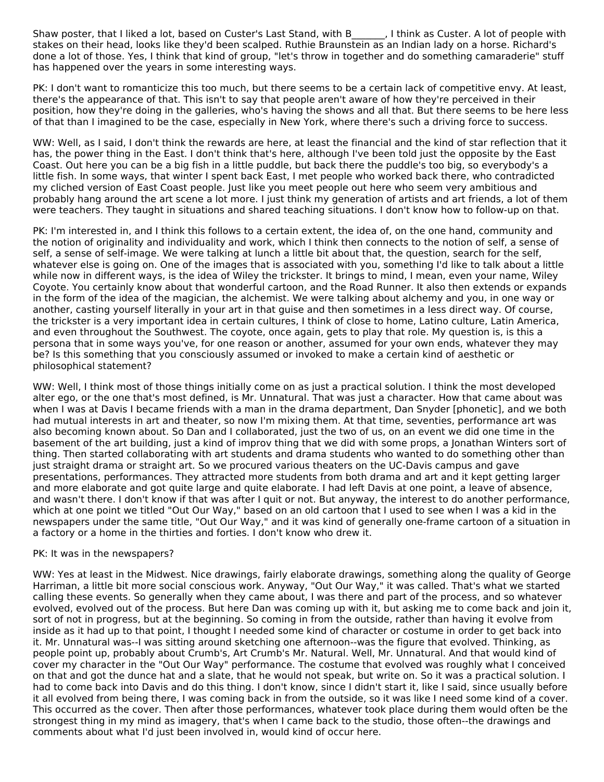Shaw poster, that I liked a lot, based on Custer's Last Stand, with B \_\_\_\_\_, I think as Custer. A lot of people with stakes on their head, looks like they'd been scalped. Ruthie Braunstein as an Indian lady on a horse. Richard's done a lot of those. Yes, I think that kind of group, "let's throw in together and do something camaraderie" stuff has happened over the years in some interesting ways.

PK: I don't want to romanticize this too much, but there seems to be a certain lack of competitive envy. At least, there's the appearance of that. This isn't to say that people aren't aware of how they're perceived in their position, how they're doing in the galleries, who's having the shows and all that. But there seems to be here less of that than I imagined to be the case, especially in New York, where there's such a driving force to success.

WW: Well, as I said, I don't think the rewards are here, at least the financial and the kind of star reflection that it has, the power thing in the East. I don't think that's here, although I've been told just the opposite by the East Coast. Out here you can be a big fish in a little puddle, but back there the puddle's too big, so everybody's a little fish. In some ways, that winter I spent back East, I met people who worked back there, who contradicted my cliched version of East Coast people. Just like you meet people out here who seem very ambitious and probably hang around the art scene a lot more. I just think my generation of artists and art friends, a lot of them were teachers. They taught in situations and shared teaching situations. I don't know how to follow-up on that.

PK: I'm interested in, and I think this follows to a certain extent, the idea of, on the one hand, community and the notion of originality and individuality and work, which I think then connects to the notion of self, a sense of self, a sense of self-image. We were talking at lunch a little bit about that, the question, search for the self, whatever else is going on. One of the images that is associated with you, something I'd like to talk about a little while now in different ways, is the idea of Wiley the trickster. It brings to mind, I mean, even your name, Wiley Coyote. You certainly know about that wonderful cartoon, and the Road Runner. It also then extends or expands in the form of the idea of the magician, the alchemist. We were talking about alchemy and you, in one way or another, casting yourself literally in your art in that guise and then sometimes in a less direct way. Of course, the trickster is a very important idea in certain cultures, I think of close to home, Latino culture, Latin America, and even throughout the Southwest. The coyote, once again, gets to play that role. My question is, is this a persona that in some ways you've, for one reason or another, assumed for your own ends, whatever they may be? Is this something that you consciously assumed or invoked to make a certain kind of aesthetic or philosophical statement?

WW: Well, I think most of those things initially come on as just a practical solution. I think the most developed alter ego, or the one that's most defined, is Mr. Unnatural. That was just a character. How that came about was when I was at Davis I became friends with a man in the drama department, Dan Snyder [phonetic], and we both had mutual interests in art and theater, so now I'm mixing them. At that time, seventies, performance art was also becoming known about. So Dan and I collaborated, just the two of us, on an event we did one time in the basement of the art building, just a kind of improv thing that we did with some props, a Jonathan Winters sort of thing. Then started collaborating with art students and drama students who wanted to do something other than just straight drama or straight art. So we procured various theaters on the UC-Davis campus and gave presentations, performances. They attracted more students from both drama and art and it kept getting larger and more elaborate and got quite large and quite elaborate. I had left Davis at one point, a leave of absence, and wasn't there. I don't know if that was after I quit or not. But anyway, the interest to do another performance, which at one point we titled "Out Our Way," based on an old cartoon that I used to see when I was a kid in the newspapers under the same title, "Out Our Way," and it was kind of generally one-frame cartoon of a situation in a factory or a home in the thirties and forties. I don't know who drew it.

#### PK: It was in the newspapers?

WW: Yes at least in the Midwest. Nice drawings, fairly elaborate drawings, something along the quality of George Harriman, a little bit more social conscious work. Anyway, "Out Our Way," it was called. That's what we started calling these events. So generally when they came about, I was there and part of the process, and so whatever evolved, evolved out of the process. But here Dan was coming up with it, but asking me to come back and join it, sort of not in progress, but at the beginning. So coming in from the outside, rather than having it evolve from inside as it had up to that point, I thought I needed some kind of character or costume in order to get back into it. Mr. Unnatural was--I was sitting around sketching one afternoon--was the figure that evolved. Thinking, as people point up, probably about Crumb's, Art Crumb's Mr. Natural. Well, Mr. Unnatural. And that would kind of cover my character in the "Out Our Way" performance. The costume that evolved was roughly what I conceived on that and got the dunce hat and a slate, that he would not speak, but write on. So it was a practical solution. I had to come back into Davis and do this thing. I don't know, since I didn't start it, like I said, since usually before it all evolved from being there, I was coming back in from the outside, so it was like I need some kind of a cover. This occurred as the cover. Then after those performances, whatever took place during them would often be the strongest thing in my mind as imagery, that's when I came back to the studio, those often--the drawings and comments about what I'd just been involved in, would kind of occur here.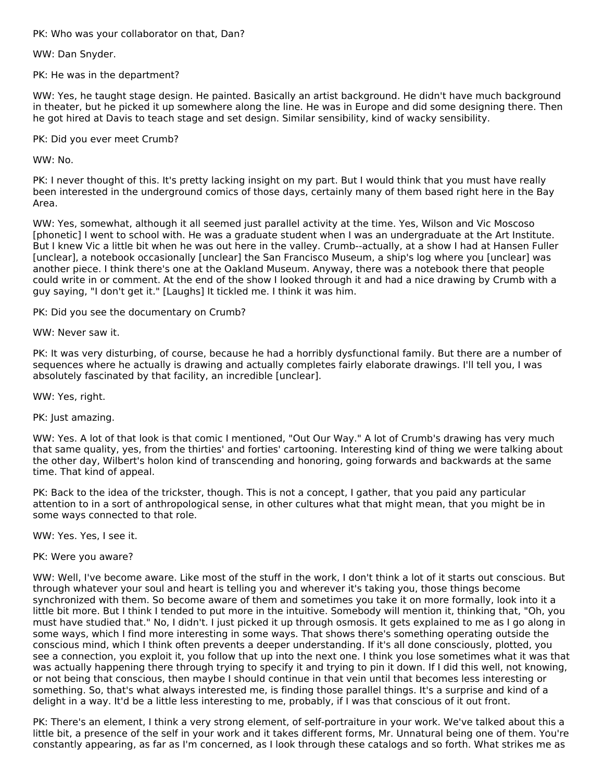PK: Who was your collaborator on that, Dan?

WW: Dan Snyder.

PK: He was in the department?

WW: Yes, he taught stage design. He painted. Basically an artist background. He didn't have much background in theater, but he picked it up somewhere along the line. He was in Europe and did some designing there. Then he got hired at Davis to teach stage and set design. Similar sensibility, kind of wacky sensibility.

PK: Did you ever meet Crumb?

WW: No.

PK: I never thought of this. It's pretty lacking insight on my part. But I would think that you must have really been interested in the underground comics of those days, certainly many of them based right here in the Bay Area.

WW: Yes, somewhat, although it all seemed just parallel activity at the time. Yes, Wilson and Vic Moscoso [phonetic] I went to school with. He was a graduate student when I was an undergraduate at the Art Institute. But I knew Vic a little bit when he was out here in the valley. Crumb--actually, at a show I had at Hansen Fuller [unclear], a notebook occasionally [unclear] the San Francisco Museum, a ship's log where you [unclear] was another piece. I think there's one at the Oakland Museum. Anyway, there was a notebook there that people could write in or comment. At the end of the show I looked through it and had a nice drawing by Crumb with a guy saying, "I don't get it." [Laughs] It tickled me. I think it was him.

PK: Did you see the documentary on Crumb?

WW: Never saw it.

PK: It was very disturbing, of course, because he had a horribly dysfunctional family. But there are a number of sequences where he actually is drawing and actually completes fairly elaborate drawings. I'll tell you, I was absolutely fascinated by that facility, an incredible [unclear].

WW: Yes, right.

PK: Just amazing.

WW: Yes. A lot of that look is that comic I mentioned, "Out Our Way." A lot of Crumb's drawing has very much that same quality, yes, from the thirties' and forties' cartooning. Interesting kind of thing we were talking about the other day, Wilbert's holon kind of transcending and honoring, going forwards and backwards at the same time. That kind of appeal.

PK: Back to the idea of the trickster, though. This is not a concept, I gather, that you paid any particular attention to in a sort of anthropological sense, in other cultures what that might mean, that you might be in some ways connected to that role.

WW: Yes. Yes, I see it.

PK: Were you aware?

WW: Well, I've become aware. Like most of the stuff in the work, I don't think a lot of it starts out conscious. But through whatever your soul and heart is telling you and wherever it's taking you, those things become synchronized with them. So become aware of them and sometimes you take it on more formally, look into it a little bit more. But I think I tended to put more in the intuitive. Somebody will mention it, thinking that, "Oh, you must have studied that." No, I didn't. I just picked it up through osmosis. It gets explained to me as I go along in some ways, which I find more interesting in some ways. That shows there's something operating outside the conscious mind, which I think often prevents a deeper understanding. If it's all done consciously, plotted, you see a connection, you exploit it, you follow that up into the next one. I think you lose sometimes what it was that was actually happening there through trying to specify it and trying to pin it down. If I did this well, not knowing, or not being that conscious, then maybe I should continue in that vein until that becomes less interesting or something. So, that's what always interested me, is finding those parallel things. It's a surprise and kind of a delight in a way. It'd be a little less interesting to me, probably, if I was that conscious of it out front.

PK: There's an element, I think a very strong element, of self-portraiture in your work. We've talked about this a little bit, a presence of the self in your work and it takes different forms, Mr. Unnatural being one of them. You're constantly appearing, as far as I'm concerned, as I look through these catalogs and so forth. What strikes me as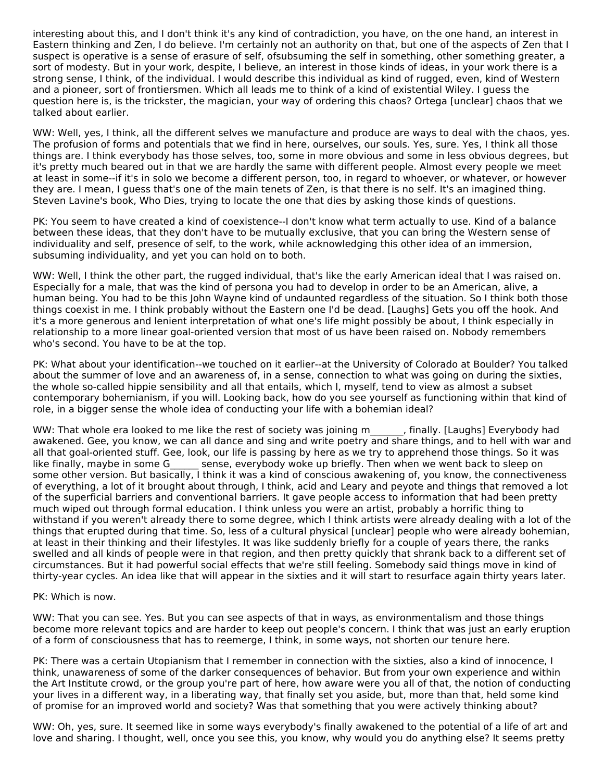interesting about this, and I don't think it's any kind of contradiction, you have, on the one hand, an interest in Eastern thinking and Zen, I do believe. I'm certainly not an authority on that, but one of the aspects of Zen that I suspect is operative is a sense of erasure of self, ofsubsuming the self in something, other something greater, a sort of modesty. But in your work, despite, I believe, an interest in those kinds of ideas, in your work there is a strong sense, I think, of the individual. I would describe this individual as kind of rugged, even, kind of Western and a pioneer, sort of frontiersmen. Which all leads me to think of a kind of existential Wiley. I guess the question here is, is the trickster, the magician, your way of ordering this chaos? Ortega [unclear] chaos that we talked about earlier.

WW: Well, yes, I think, all the different selves we manufacture and produce are ways to deal with the chaos, yes. The profusion of forms and potentials that we find in here, ourselves, our souls. Yes, sure. Yes, I think all those things are. I think everybody has those selves, too, some in more obvious and some in less obvious degrees, but it's pretty much beared out in that we are hardly the same with different people. Almost every people we meet at least in some--if it's in solo we become a different person, too, in regard to whoever, or whatever, or however they are. I mean, I guess that's one of the main tenets of Zen, is that there is no self. It's an imagined thing. Steven Lavine's book, Who Dies, trying to locate the one that dies by asking those kinds of questions.

PK: You seem to have created a kind of coexistence--I don't know what term actually to use. Kind of a balance between these ideas, that they don't have to be mutually exclusive, that you can bring the Western sense of individuality and self, presence of self, to the work, while acknowledging this other idea of an immersion, subsuming individuality, and yet you can hold on to both.

WW: Well, I think the other part, the rugged individual, that's like the early American ideal that I was raised on. Especially for a male, that was the kind of persona you had to develop in order to be an American, alive, a human being. You had to be this John Wayne kind of undaunted regardless of the situation. So I think both those things coexist in me. I think probably without the Eastern one I'd be dead. [Laughs] Gets you off the hook. And it's a more generous and lenient interpretation of what one's life might possibly be about, I think especially in relationship to a more linear goal-oriented version that most of us have been raised on. Nobody remembers who's second. You have to be at the top.

PK: What about your identification--we touched on it earlier--at the University of Colorado at Boulder? You talked about the summer of love and an awareness of, in a sense, connection to what was going on during the sixties, the whole so-called hippie sensibility and all that entails, which I, myself, tend to view as almost a subset contemporary bohemianism, if you will. Looking back, how do you see yourself as functioning within that kind of role, in a bigger sense the whole idea of conducting your life with a bohemian ideal?

WW: That whole era looked to me like the rest of society was joining m and inally. [Laughs] Everybody had awakened. Gee, you know, we can all dance and sing and write poetry and share things, and to hell with war and all that goal-oriented stuff. Gee, look, our life is passing by here as we try to apprehend those things. So it was like finally, maybe in some G accores sense, everybody woke up briefly. Then when we went back to sleep on some other version. But basically, I think it was a kind of conscious awakening of, you know, the connectiveness of everything, a lot of it brought about through, I think, acid and Leary and peyote and things that removed a lot of the superficial barriers and conventional barriers. It gave people access to information that had been pretty much wiped out through formal education. I think unless you were an artist, probably a horrific thing to withstand if you weren't already there to some degree, which I think artists were already dealing with a lot of the things that erupted during that time. So, less of a cultural physical [unclear] people who were already bohemian, at least in their thinking and their lifestyles. It was like suddenly briefly for a couple of years there, the ranks swelled and all kinds of people were in that region, and then pretty quickly that shrank back to a different set of circumstances. But it had powerful social effects that we're still feeling. Somebody said things move in kind of thirty-year cycles. An idea like that will appear in the sixties and it will start to resurface again thirty years later.

#### PK: Which is now.

WW: That you can see. Yes. But you can see aspects of that in ways, as environmentalism and those things become more relevant topics and are harder to keep out people's concern. I think that was just an early eruption of a form of consciousness that has to reemerge, I think, in some ways, not shorten our tenure here.

PK: There was a certain Utopianism that I remember in connection with the sixties, also a kind of innocence, I think, unawareness of some of the darker consequences of behavior. But from your own experience and within the Art Institute crowd, or the group you're part of here, how aware were you all of that, the notion of conducting your lives in a different way, in a liberating way, that finally set you aside, but, more than that, held some kind of promise for an improved world and society? Was that something that you were actively thinking about?

WW: Oh, yes, sure. It seemed like in some ways everybody's finally awakened to the potential of a life of art and love and sharing. I thought, well, once you see this, you know, why would you do anything else? It seems pretty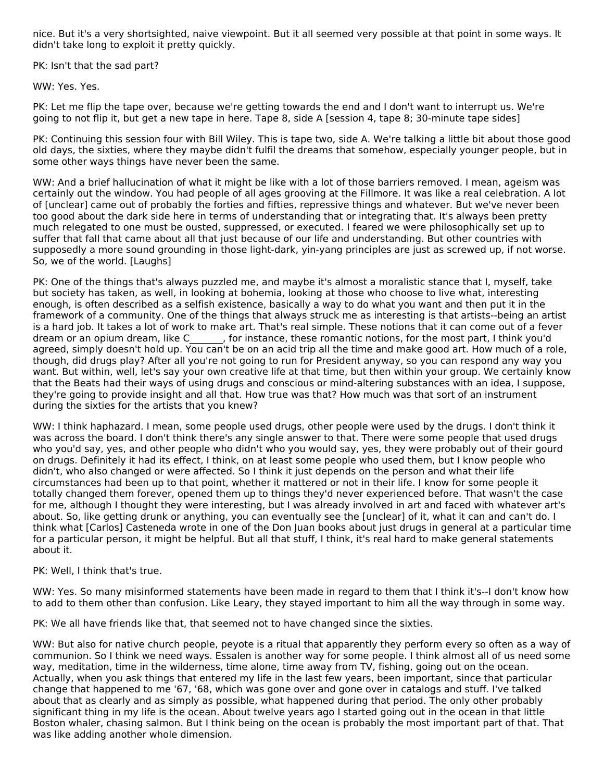nice. But it's a very shortsighted, naive viewpoint. But it all seemed very possible at that point in some ways. It didn't take long to exploit it pretty quickly.

PK: Isn't that the sad part?

WW: Yes. Yes.

PK: Let me flip the tape over, because we're getting towards the end and I don't want to interrupt us. We're going to not flip it, but get a new tape in here. Tape 8, side A [session 4, tape 8; 30-minute tape sides]

PK: Continuing this session four with Bill Wiley. This is tape two, side A. We're talking a little bit about those good old days, the sixties, where they maybe didn't fulfil the dreams that somehow, especially younger people, but in some other ways things have never been the same.

WW: And a brief hallucination of what it might be like with a lot of those barriers removed. I mean, ageism was certainly out the window. You had people of all ages grooving at the Fillmore. It was like a real celebration. A lot of [unclear] came out of probably the forties and fifties, repressive things and whatever. But we've never been too good about the dark side here in terms of understanding that or integrating that. It's always been pretty much relegated to one must be ousted, suppressed, or executed. I feared we were philosophically set up to suffer that fall that came about all that just because of our life and understanding. But other countries with supposedly a more sound grounding in those light-dark, yin-yang principles are just as screwed up, if not worse. So, we of the world. [Laughs]

PK: One of the things that's always puzzled me, and maybe it's almost a moralistic stance that I, myself, take but society has taken, as well, in looking at bohemia, looking at those who choose to live what, interesting enough, is often described as a selfish existence, basically a way to do what you want and then put it in the framework of a community. One of the things that always struck me as interesting is that artists--being an artist is a hard job. It takes a lot of work to make art. That's real simple. These notions that it can come out of a fever dream or an opium dream, like C\_\_\_\_\_\_\_, for instance, these romantic notions, for the most part, I think you'd agreed, simply doesn't hold up. You can't be on an acid trip all the time and make good art. How much of a role, though, did drugs play? After all you're not going to run for President anyway, so you can respond any way you want. But within, well, let's say your own creative life at that time, but then within your group. We certainly know that the Beats had their ways of using drugs and conscious or mind-altering substances with an idea, I suppose, they're going to provide insight and all that. How true was that? How much was that sort of an instrument during the sixties for the artists that you knew?

WW: I think haphazard. I mean, some people used drugs, other people were used by the drugs. I don't think it was across the board. I don't think there's any single answer to that. There were some people that used drugs who you'd say, yes, and other people who didn't who you would say, yes, they were probably out of their gourd on drugs. Definitely it had its effect, I think, on at least some people who used them, but I know people who didn't, who also changed or were affected. So I think it just depends on the person and what their life circumstances had been up to that point, whether it mattered or not in their life. I know for some people it totally changed them forever, opened them up to things they'd never experienced before. That wasn't the case for me, although I thought they were interesting, but I was already involved in art and faced with whatever art's about. So, like getting drunk or anything, you can eventually see the [unclear] of it, what it can and can't do. I think what [Carlos] Casteneda wrote in one of the Don Juan books about just drugs in general at a particular time for a particular person, it might be helpful. But all that stuff, I think, it's real hard to make general statements about it.

#### PK: Well, I think that's true.

WW: Yes. So many misinformed statements have been made in regard to them that I think it's--I don't know how to add to them other than confusion. Like Leary, they stayed important to him all the way through in some way.

PK: We all have friends like that, that seemed not to have changed since the sixties.

WW: But also for native church people, peyote is a ritual that apparently they perform every so often as a way of communion. So I think we need ways. Essalen is another way for some people. I think almost all of us need some way, meditation, time in the wilderness, time alone, time away from TV, fishing, going out on the ocean. Actually, when you ask things that entered my life in the last few years, been important, since that particular change that happened to me '67, '68, which was gone over and gone over in catalogs and stuff. I've talked about that as clearly and as simply as possible, what happened during that period. The only other probably significant thing in my life is the ocean. About twelve years ago I started going out in the ocean in that little Boston whaler, chasing salmon. But I think being on the ocean is probably the most important part of that. That was like adding another whole dimension.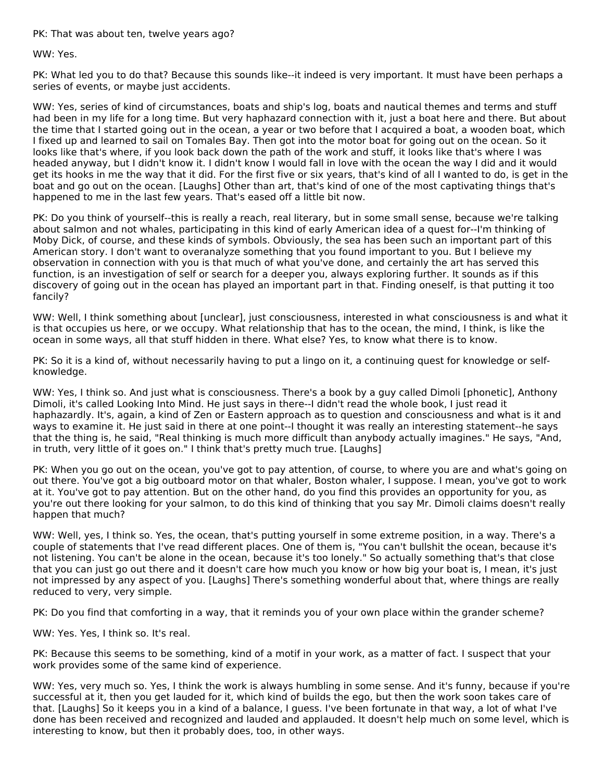PK: That was about ten, twelve years ago?

WW: Yes.

PK: What led you to do that? Because this sounds like--it indeed is very important. It must have been perhaps a series of events, or maybe just accidents.

WW: Yes, series of kind of circumstances, boats and ship's log, boats and nautical themes and terms and stuff had been in my life for a long time. But very haphazard connection with it, just a boat here and there. But about the time that I started going out in the ocean, a year or two before that I acquired a boat, a wooden boat, which I fixed up and learned to sail on Tomales Bay. Then got into the motor boat for going out on the ocean. So it looks like that's where, if you look back down the path of the work and stuff, it looks like that's where I was headed anyway, but I didn't know it. I didn't know I would fall in love with the ocean the way I did and it would get its hooks in me the way that it did. For the first five or six years, that's kind of all I wanted to do, is get in the boat and go out on the ocean. [Laughs] Other than art, that's kind of one of the most captivating things that's happened to me in the last few years. That's eased off a little bit now.

PK: Do you think of yourself--this is really a reach, real literary, but in some small sense, because we're talking about salmon and not whales, participating in this kind of early American idea of a quest for--I'm thinking of Moby Dick, of course, and these kinds of symbols. Obviously, the sea has been such an important part of this American story. I don't want to overanalyze something that you found important to you. But I believe my observation in connection with you is that much of what you've done, and certainly the art has served this function, is an investigation of self or search for a deeper you, always exploring further. It sounds as if this discovery of going out in the ocean has played an important part in that. Finding oneself, is that putting it too fancily?

WW: Well, I think something about [unclear], just consciousness, interested in what consciousness is and what it is that occupies us here, or we occupy. What relationship that has to the ocean, the mind, I think, is like the ocean in some ways, all that stuff hidden in there. What else? Yes, to know what there is to know.

PK: So it is a kind of, without necessarily having to put a lingo on it, a continuing quest for knowledge or selfknowledge.

WW: Yes, I think so. And just what is consciousness. There's a book by a guy called Dimoli [phonetic], Anthony Dimoli, it's called Looking Into Mind. He just says in there--I didn't read the whole book, I just read it haphazardly. It's, again, a kind of Zen or Eastern approach as to question and consciousness and what is it and ways to examine it. He just said in there at one point--I thought it was really an interesting statement--he says that the thing is, he said, "Real thinking is much more difficult than anybody actually imagines." He says, "And, in truth, very little of it goes on." I think that's pretty much true. [Laughs]

PK: When you go out on the ocean, you've got to pay attention, of course, to where you are and what's going on out there. You've got a big outboard motor on that whaler, Boston whaler, I suppose. I mean, you've got to work at it. You've got to pay attention. But on the other hand, do you find this provides an opportunity for you, as you're out there looking for your salmon, to do this kind of thinking that you say Mr. Dimoli claims doesn't really happen that much?

WW: Well, yes, I think so. Yes, the ocean, that's putting yourself in some extreme position, in a way. There's a couple of statements that I've read different places. One of them is, "You can't bullshit the ocean, because it's not listening. You can't be alone in the ocean, because it's too lonely." So actually something that's that close that you can just go out there and it doesn't care how much you know or how big your boat is, I mean, it's just not impressed by any aspect of you. [Laughs] There's something wonderful about that, where things are really reduced to very, very simple.

PK: Do you find that comforting in a way, that it reminds you of your own place within the grander scheme?

WW: Yes. Yes, I think so. It's real.

PK: Because this seems to be something, kind of a motif in your work, as a matter of fact. I suspect that your work provides some of the same kind of experience.

WW: Yes, very much so. Yes, I think the work is always humbling in some sense. And it's funny, because if you're successful at it, then you get lauded for it, which kind of builds the ego, but then the work soon takes care of that. [Laughs] So it keeps you in a kind of a balance, I guess. I've been fortunate in that way, a lot of what I've done has been received and recognized and lauded and applauded. It doesn't help much on some level, which is interesting to know, but then it probably does, too, in other ways.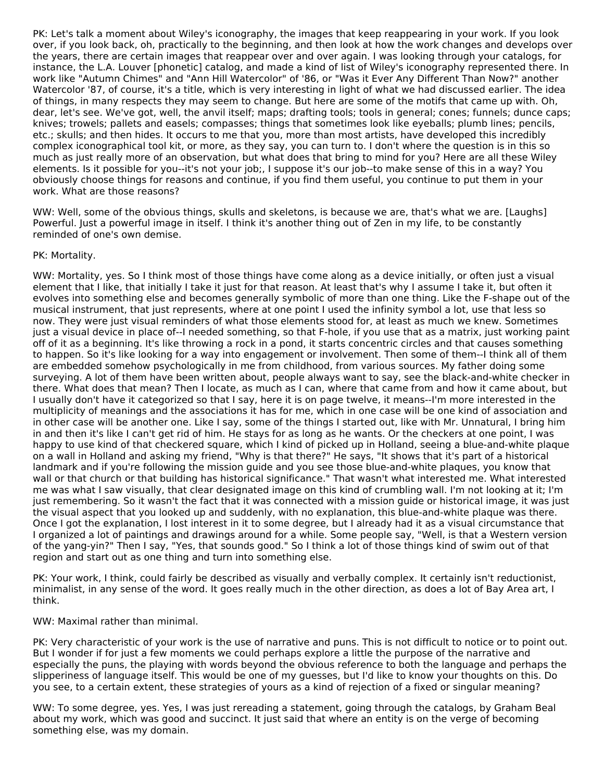PK: Let's talk a moment about Wiley's iconography, the images that keep reappearing in your work. If you look over, if you look back, oh, practically to the beginning, and then look at how the work changes and develops over the years, there are certain images that reappear over and over again. I was looking through your catalogs, for instance, the L.A. Louver [phonetic] catalog, and made a kind of list of Wiley's iconography represented there. In work like "Autumn Chimes" and "Ann Hill Watercolor" of '86, or "Was it Ever Any Different Than Now?" another Watercolor '87, of course, it's a title, which is very interesting in light of what we had discussed earlier. The idea of things, in many respects they may seem to change. But here are some of the motifs that came up with. Oh, dear, let's see. We've got, well, the anvil itself; maps; drafting tools; tools in general; cones; funnels; dunce caps; knives; trowels; pallets and easels; compasses; things that sometimes look like eyeballs; plumb lines; pencils, etc.; skulls; and then hides. It occurs to me that you, more than most artists, have developed this incredibly complex iconographical tool kit, or more, as they say, you can turn to. I don't where the question is in this so much as just really more of an observation, but what does that bring to mind for you? Here are all these Wiley elements. Is it possible for you--it's not your job;, I suppose it's our job--to make sense of this in a way? You obviously choose things for reasons and continue, if you find them useful, you continue to put them in your work. What are those reasons?

WW: Well, some of the obvious things, skulls and skeletons, is because we are, that's what we are. [Laughs] Powerful. Just a powerful image in itself. I think it's another thing out of Zen in my life, to be constantly reminded of one's own demise.

#### PK: Mortality.

WW: Mortality, yes. So I think most of those things have come along as a device initially, or often just a visual element that I like, that initially I take it just for that reason. At least that's why I assume I take it, but often it evolves into something else and becomes generally symbolic of more than one thing. Like the F-shape out of the musical instrument, that just represents, where at one point I used the infinity symbol a lot, use that less so now. They were just visual reminders of what those elements stood for, at least as much we knew. Sometimes just a visual device in place of--I needed something, so that F-hole, if you use that as a matrix, just working paint off of it as a beginning. It's like throwing a rock in a pond, it starts concentric circles and that causes something to happen. So it's like looking for a way into engagement or involvement. Then some of them--I think all of them are embedded somehow psychologically in me from childhood, from various sources. My father doing some surveying. A lot of them have been written about, people always want to say, see the black-and-white checker in there. What does that mean? Then I locate, as much as I can, where that came from and how it came about, but I usually don't have it categorized so that I say, here it is on page twelve, it means--I'm more interested in the multiplicity of meanings and the associations it has for me, which in one case will be one kind of association and in other case will be another one. Like I say, some of the things I started out, like with Mr. Unnatural, I bring him in and then it's like I can't get rid of him. He stays for as long as he wants. Or the checkers at one point, I was happy to use kind of that checkered square, which I kind of picked up in Holland, seeing a blue-and-white plaque on a wall in Holland and asking my friend, "Why is that there?" He says, "It shows that it's part of a historical landmark and if you're following the mission guide and you see those blue-and-white plaques, you know that wall or that church or that building has historical significance." That wasn't what interested me. What interested me was what I saw visually, that clear designated image on this kind of crumbling wall. I'm not looking at it; I'm just remembering. So it wasn't the fact that it was connected with a mission guide or historical image, it was just the visual aspect that you looked up and suddenly, with no explanation, this blue-and-white plaque was there. Once I got the explanation, I lost interest in it to some degree, but I already had it as a visual circumstance that I organized a lot of paintings and drawings around for a while. Some people say, "Well, is that a Western version of the yang-yin?" Then I say, "Yes, that sounds good." So I think a lot of those things kind of swim out of that region and start out as one thing and turn into something else.

PK: Your work, I think, could fairly be described as visually and verbally complex. It certainly isn't reductionist, minimalist, in any sense of the word. It goes really much in the other direction, as does a lot of Bay Area art, I think.

#### WW: Maximal rather than minimal.

PK: Very characteristic of your work is the use of narrative and puns. This is not difficult to notice or to point out. But I wonder if for just a few moments we could perhaps explore a little the purpose of the narrative and especially the puns, the playing with words beyond the obvious reference to both the language and perhaps the slipperiness of language itself. This would be one of my guesses, but I'd like to know your thoughts on this. Do you see, to a certain extent, these strategies of yours as a kind of rejection of a fixed or singular meaning?

WW: To some degree, yes. Yes, I was just rereading a statement, going through the catalogs, by Graham Beal about my work, which was good and succinct. It just said that where an entity is on the verge of becoming something else, was my domain.